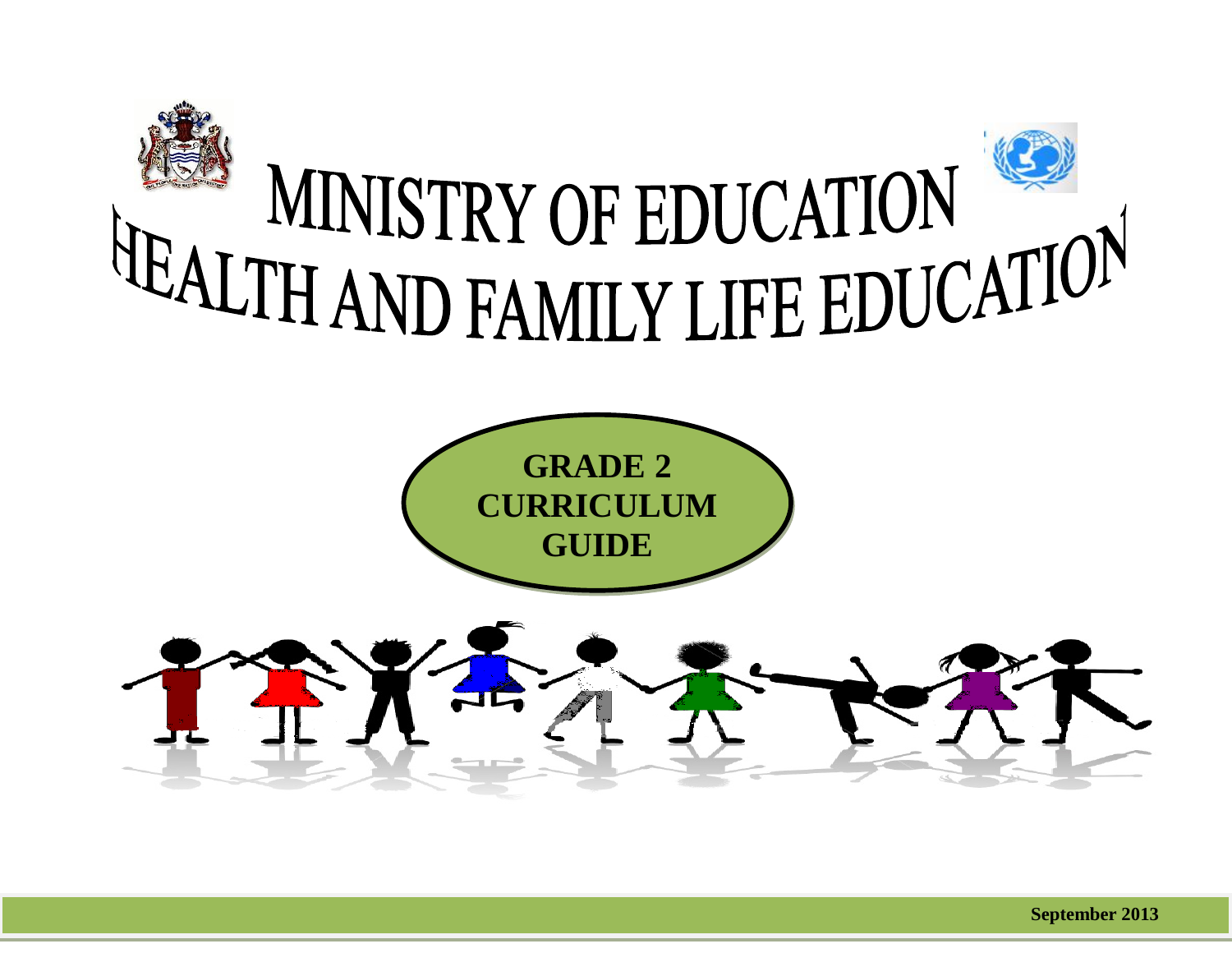

l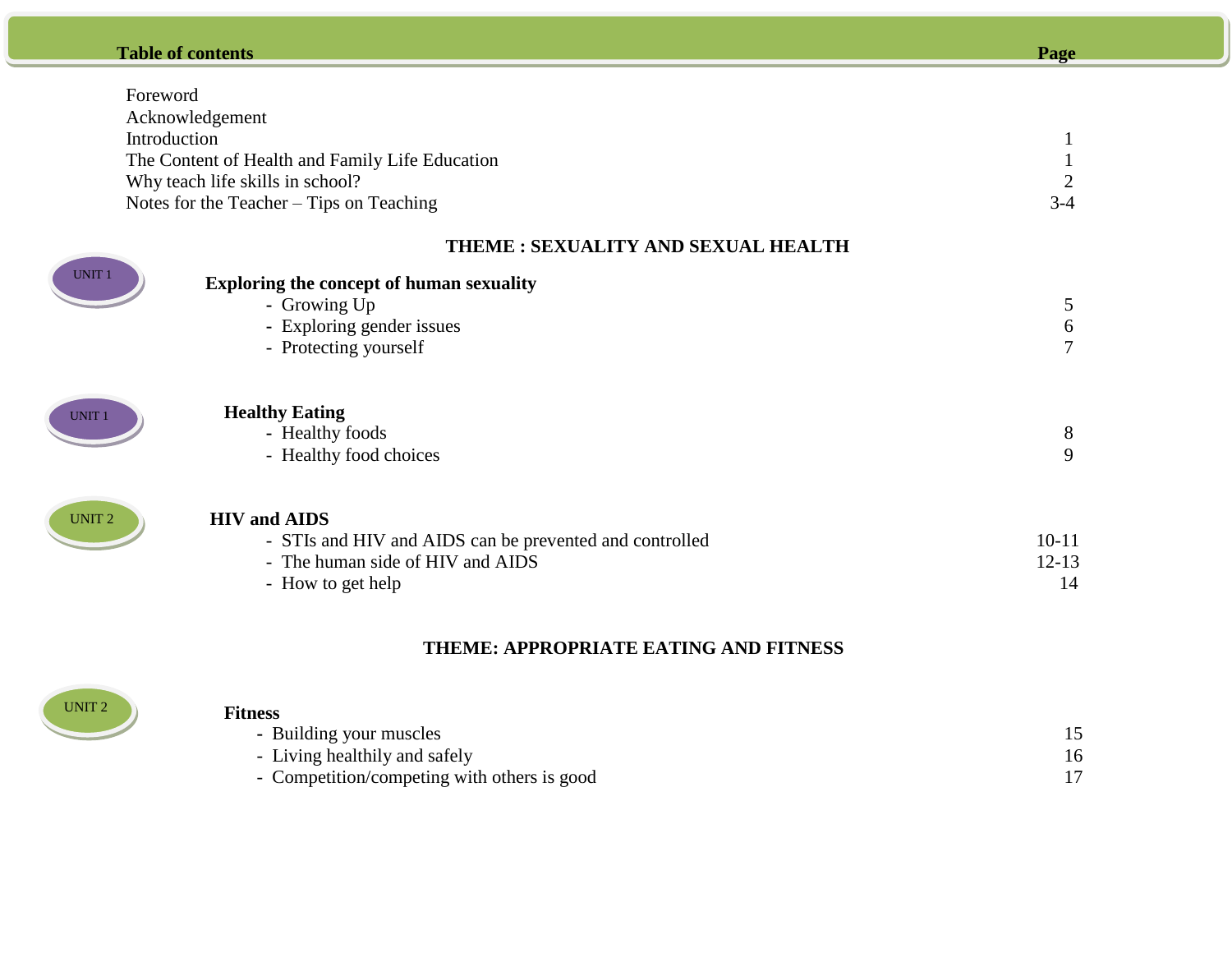## **Table of contents Page**

Ī

| Foreword      |                                                                                             |           |  |  |
|---------------|---------------------------------------------------------------------------------------------|-----------|--|--|
|               | Acknowledgement                                                                             |           |  |  |
|               | Introduction                                                                                |           |  |  |
|               | The Content of Health and Family Life Education                                             |           |  |  |
|               | Why teach life skills in school?                                                            |           |  |  |
|               | Notes for the Teacher $-$ Tips on Teaching                                                  | $3-4$     |  |  |
|               | THEME: SEXUALITY AND SEXUAL HEALTH                                                          |           |  |  |
| <b>UNIT1</b>  | <b>Exploring the concept of human sexuality</b>                                             |           |  |  |
|               | - Growing Up                                                                                | 5         |  |  |
|               | - Exploring gender issues                                                                   | 6         |  |  |
|               | - Protecting yourself                                                                       | 7         |  |  |
| <b>UNIT1</b>  | <b>Healthy Eating</b>                                                                       |           |  |  |
|               | - Healthy foods                                                                             | 8         |  |  |
|               | - Healthy food choices                                                                      | 9         |  |  |
|               |                                                                                             |           |  |  |
| <b>UNIT 2</b> | <b>HIV</b> and AIDS                                                                         | $10 - 11$ |  |  |
|               | - STIs and HIV and AIDS can be prevented and controlled<br>- The human side of HIV and AIDS | $12 - 13$ |  |  |
|               |                                                                                             | 14        |  |  |
|               | - How to get help                                                                           |           |  |  |

# **THEME: APPROPRIATE EATING AND FITNESS**



### **Fitness**

| гицсээ                                      |    |
|---------------------------------------------|----|
| - Building your muscles                     |    |
| - Living healthily and safely               | 16 |
| - Competition/competing with others is good |    |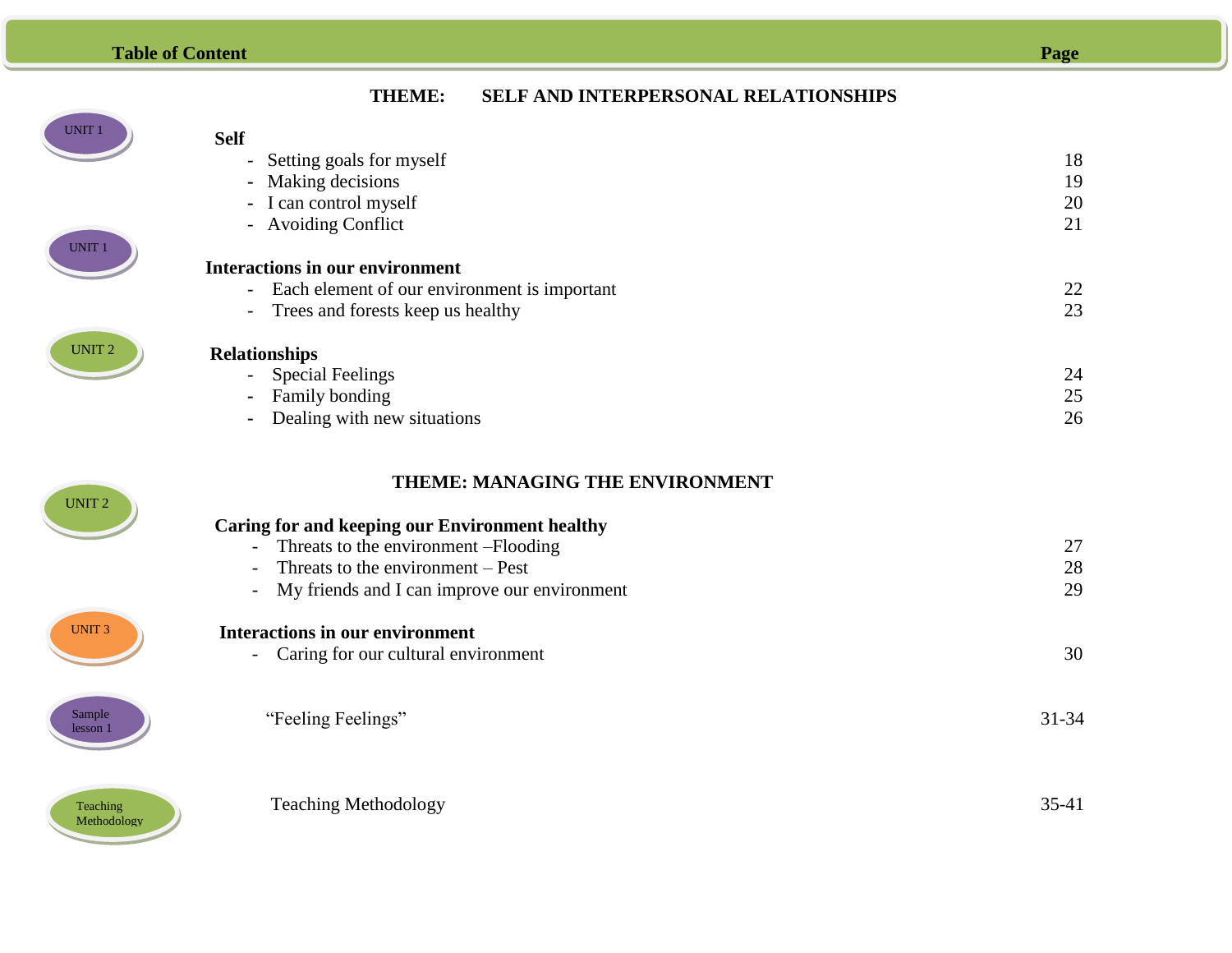## **Table of Content**

|--|--|

| UNIT 1 |  |
|--------|--|
|        |  |

UNIT 2

# **Self**

| - Setting goals for myself                                               | 18    |
|--------------------------------------------------------------------------|-------|
| Making decisions<br>$\blacksquare$                                       | 19    |
| - I can control myself                                                   | 20    |
| - Avoiding Conflict                                                      | 21    |
|                                                                          |       |
| <b>Interactions in our environment</b>                                   |       |
| Each element of our environment is important<br>$\overline{\phantom{a}}$ | 22    |
| Trees and forests keep us healthy<br>$\overline{\phantom{a}}$            | 23    |
| <b>Relationships</b>                                                     |       |
| <b>Special Feelings</b>                                                  | 24    |
| Family bonding                                                           | 25    |
| Dealing with new situations                                              | 26    |
| THEME: MANAGING THE ENVIRONMENT                                          |       |
|                                                                          |       |
| <b>Caring for and keeping our Environment healthy</b>                    |       |
| Threats to the environment -Flooding                                     | 27    |
| Threats to the environment – Pest                                        | 28    |
| My friends and I can improve our environment                             | 29    |
| <b>Interactions in our environment</b>                                   |       |
| Caring for our cultural environment                                      | 30    |
|                                                                          | 31-34 |
| "Feeling Feelings"                                                       |       |



UNIT 3

UNIT 2

Sample lesson 1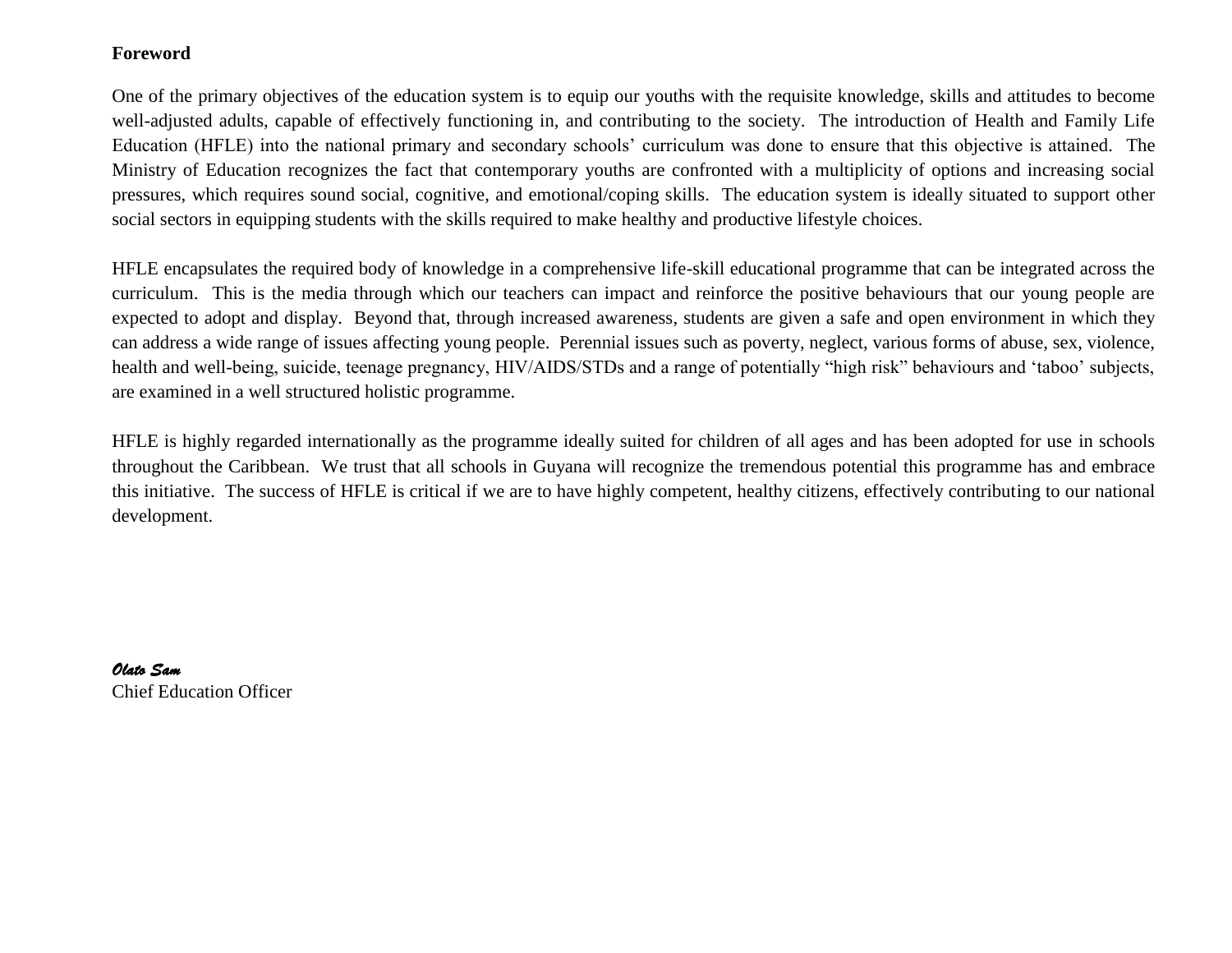### **Foreword**

One of the primary objectives of the education system is to equip our youths with the requisite knowledge, skills and attitudes to become well-adjusted adults, capable of effectively functioning in, and contributing to the society. The introduction of Health and Family Life Education (HFLE) into the national primary and secondary schools" curriculum was done to ensure that this objective is attained. The Ministry of Education recognizes the fact that contemporary youths are confronted with a multiplicity of options and increasing social pressures, which requires sound social, cognitive, and emotional/coping skills. The education system is ideally situated to support other social sectors in equipping students with the skills required to make healthy and productive lifestyle choices.

HFLE encapsulates the required body of knowledge in a comprehensive life-skill educational programme that can be integrated across the curriculum. This is the media through which our teachers can impact and reinforce the positive behaviours that our young people are expected to adopt and display. Beyond that, through increased awareness, students are given a safe and open environment in which they can address a wide range of issues affecting young people. Perennial issues such as poverty, neglect, various forms of abuse, sex, violence, health and well-being, suicide, teenage pregnancy, HIV/AIDS/STDs and a range of potentially "high risk" behaviours and 'taboo' subjects, are examined in a well structured holistic programme.

HFLE is highly regarded internationally as the programme ideally suited for children of all ages and has been adopted for use in schools throughout the Caribbean. We trust that all schools in Guyana will recognize the tremendous potential this programme has and embrace this initiative. The success of HFLE is critical if we are to have highly competent, healthy citizens, effectively contributing to our national development.

*Olato Sam*  Chief Education Officer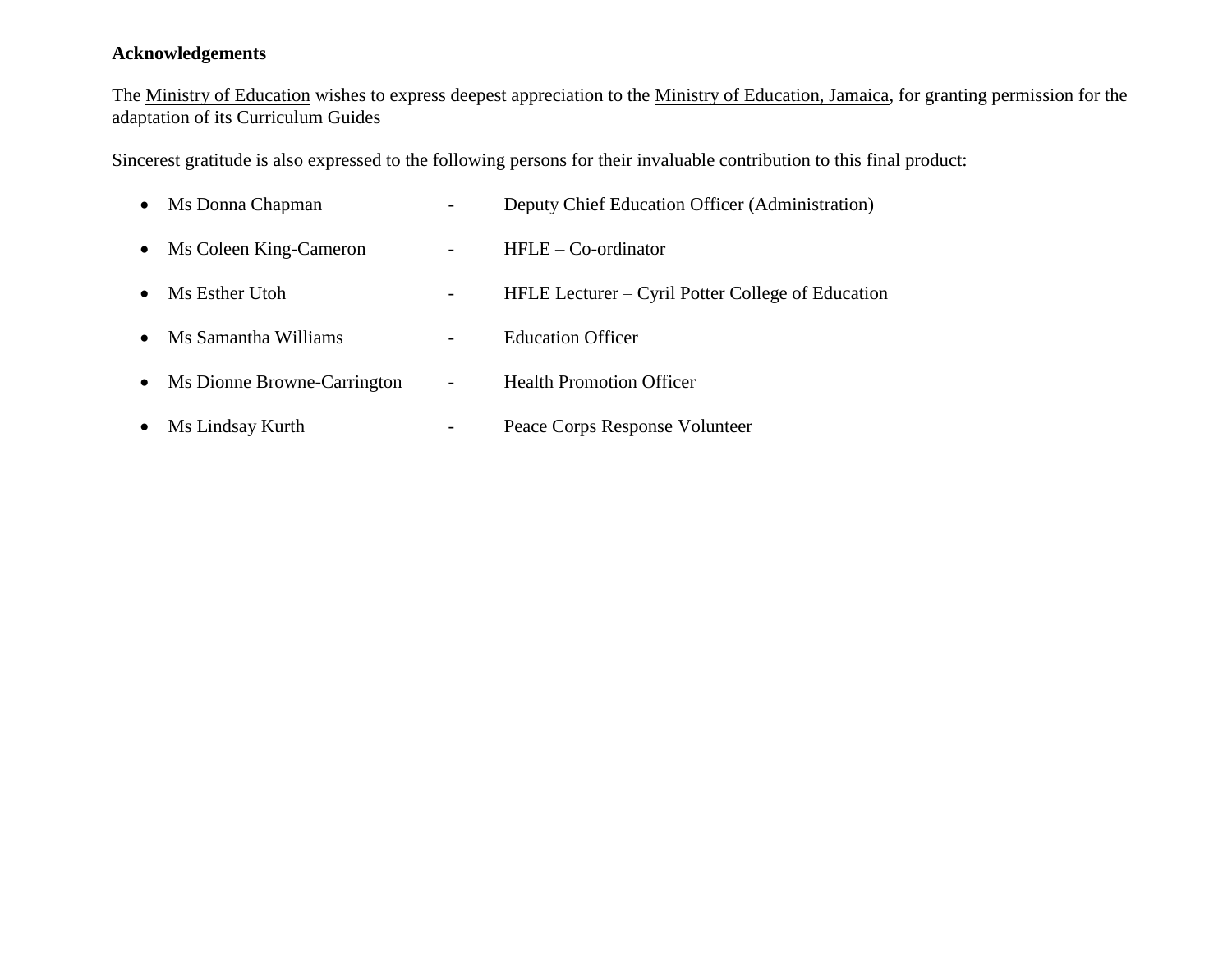## **Acknowledgements**

The Ministry of Education wishes to express deepest appreciation to the Ministry of Education, Jamaica, for granting permission for the adaptation of its Curriculum Guides

Sincerest gratitude is also expressed to the following persons for their invaluable contribution to this final product:

|           | • Ms Donna Chapman            |                          | Deputy Chief Education Officer (Administration)   |
|-----------|-------------------------------|--------------------------|---------------------------------------------------|
|           | • Ms Coleen King-Cameron      |                          | $HFLE - Co-ordinate$                              |
| $\bullet$ | Ms Esther Utoh                |                          | HFLE Lecturer – Cyril Potter College of Education |
| $\bullet$ | Ms Samantha Williams          |                          | <b>Education Officer</b>                          |
|           | • Ms Dionne Browne-Carrington | $\overline{\phantom{a}}$ | <b>Health Promotion Officer</b>                   |
|           | • Ms Lindsay Kurth            |                          | Peace Corps Response Volunteer                    |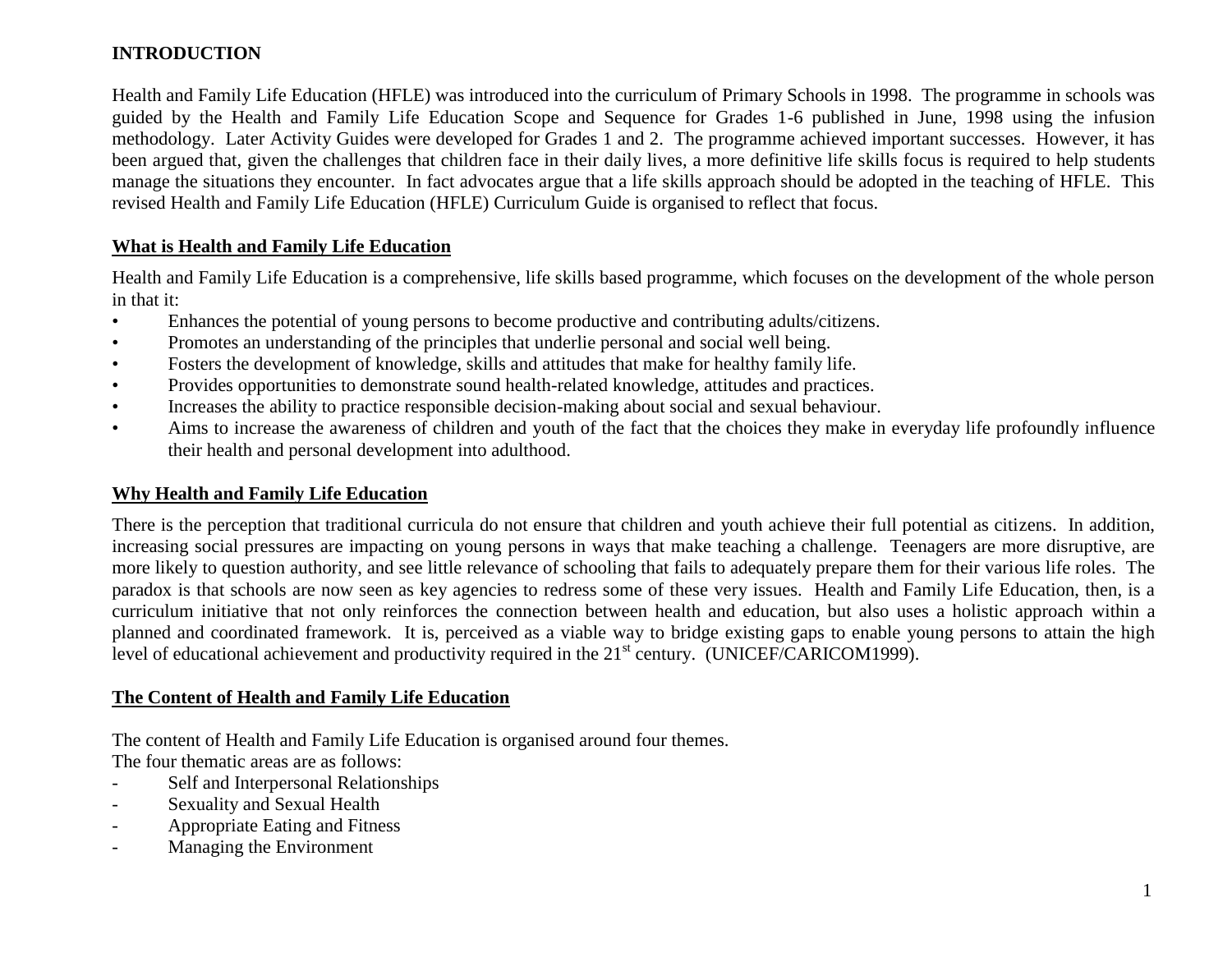## **INTRODUCTION**

Health and Family Life Education (HFLE) was introduced into the curriculum of Primary Schools in 1998. The programme in schools was guided by the Health and Family Life Education Scope and Sequence for Grades 1-6 published in June, 1998 using the infusion methodology. Later Activity Guides were developed for Grades 1 and 2. The programme achieved important successes. However, it has been argued that, given the challenges that children face in their daily lives, a more definitive life skills focus is required to help students manage the situations they encounter. In fact advocates argue that a life skills approach should be adopted in the teaching of HFLE. This revised Health and Family Life Education (HFLE) Curriculum Guide is organised to reflect that focus.

### **What is Health and Family Life Education**

Health and Family Life Education is a comprehensive, life skills based programme, which focuses on the development of the whole person in that it:

- Enhances the potential of young persons to become productive and contributing adults/citizens.
- Promotes an understanding of the principles that underlie personal and social well being.
- Fosters the development of knowledge, skills and attitudes that make for healthy family life.
- Provides opportunities to demonstrate sound health-related knowledge, attitudes and practices.
- Increases the ability to practice responsible decision-making about social and sexual behaviour.
- Aims to increase the awareness of children and youth of the fact that the choices they make in everyday life profoundly influence their health and personal development into adulthood.

### **Why Health and Family Life Education**

There is the perception that traditional curricula do not ensure that children and youth achieve their full potential as citizens. In addition, increasing social pressures are impacting on young persons in ways that make teaching a challenge. Teenagers are more disruptive, are more likely to question authority, and see little relevance of schooling that fails to adequately prepare them for their various life roles. The paradox is that schools are now seen as key agencies to redress some of these very issues. Health and Family Life Education, then, is a curriculum initiative that not only reinforces the connection between health and education, but also uses a holistic approach within a planned and coordinated framework. It is, perceived as a viable way to bridge existing gaps to enable young persons to attain the high level of educational achievement and productivity required in the 21<sup>st</sup> century. (UNICEF/CARICOM1999).

## **The Content of Health and Family Life Education**

The content of Health and Family Life Education is organised around four themes.

The four thematic areas are as follows:

- Self and Interpersonal Relationships
- Sexuality and Sexual Health
- Appropriate Eating and Fitness
- Managing the Environment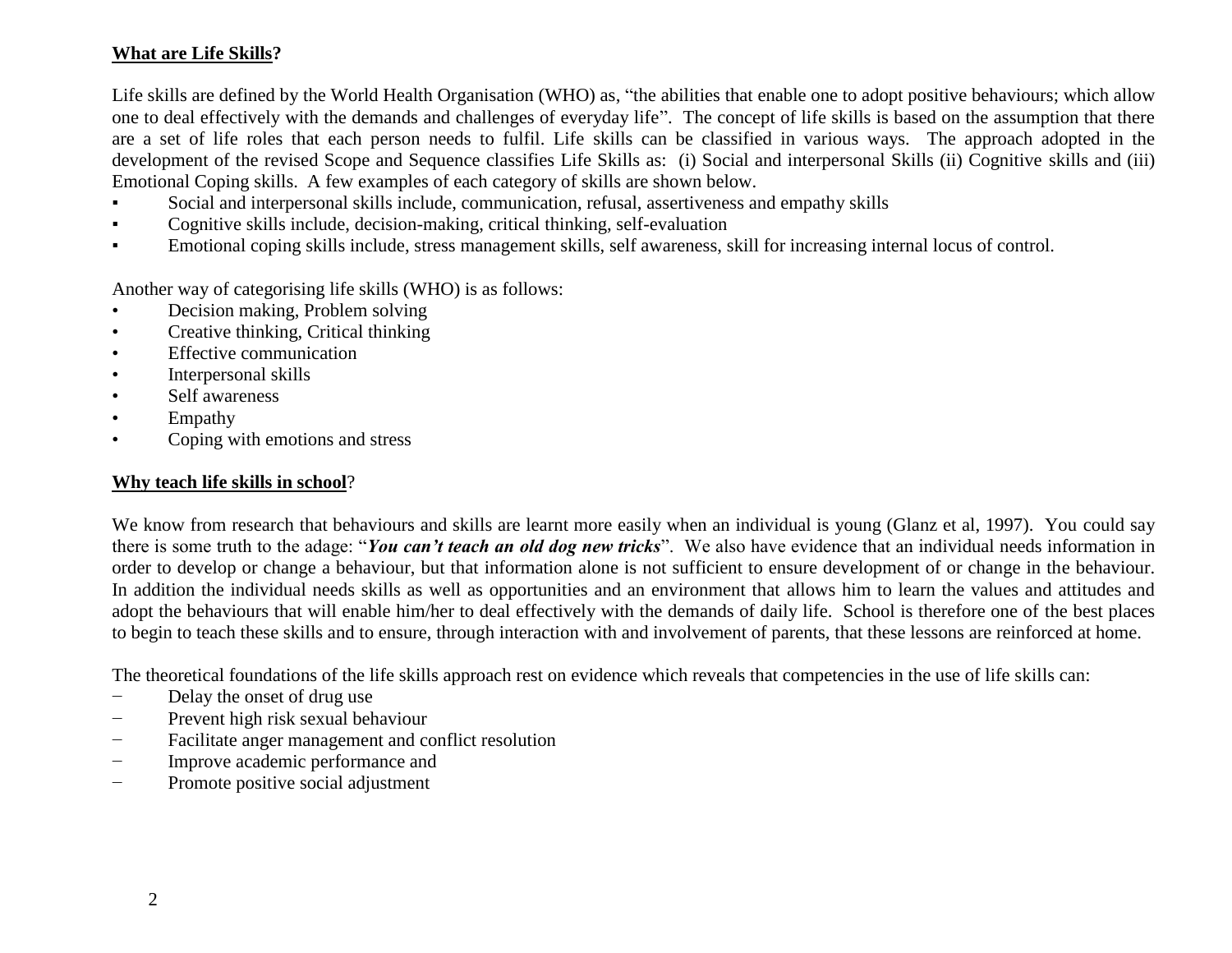## **What are Life Skills?**

Life skills are defined by the World Health Organisation (WHO) as, "the abilities that enable one to adopt positive behaviours; which allow one to deal effectively with the demands and challenges of everyday life". The concept of life skills is based on the assumption that there are a set of life roles that each person needs to fulfil. Life skills can be classified in various ways. The approach adopted in the development of the revised Scope and Sequence classifies Life Skills as: (i) Social and interpersonal Skills (ii) Cognitive skills and (iii) Emotional Coping skills. A few examples of each category of skills are shown below.

- Social and interpersonal skills include, communication, refusal, assertiveness and empathy skills
- Cognitive skills include, decision-making, critical thinking, self-evaluation
- Emotional coping skills include, stress management skills, self awareness, skill for increasing internal locus of control.

Another way of categorising life skills (WHO) is as follows:

- Decision making, Problem solving
- Creative thinking, Critical thinking
- Effective communication
- Interpersonal skills
- Self awareness
- Empathy
- Coping with emotions and stress

### **Why teach life skills in school**?

We know from research that behaviours and skills are learnt more easily when an individual is young (Glanz et al, 1997). You could say there is some truth to the adage: "*You can't teach an old dog new tricks*". We also have evidence that an individual needs information in order to develop or change a behaviour, but that information alone is not sufficient to ensure development of or change in the behaviour. In addition the individual needs skills as well as opportunities and an environment that allows him to learn the values and attitudes and adopt the behaviours that will enable him/her to deal effectively with the demands of daily life. School is therefore one of the best places to begin to teach these skills and to ensure, through interaction with and involvement of parents, that these lessons are reinforced at home.

The theoretical foundations of the life skills approach rest on evidence which reveals that competencies in the use of life skills can:

- − Delay the onset of drug use
- − Prevent high risk sexual behaviour
- − Facilitate anger management and conflict resolution
- − Improve academic performance and
- − Promote positive social adjustment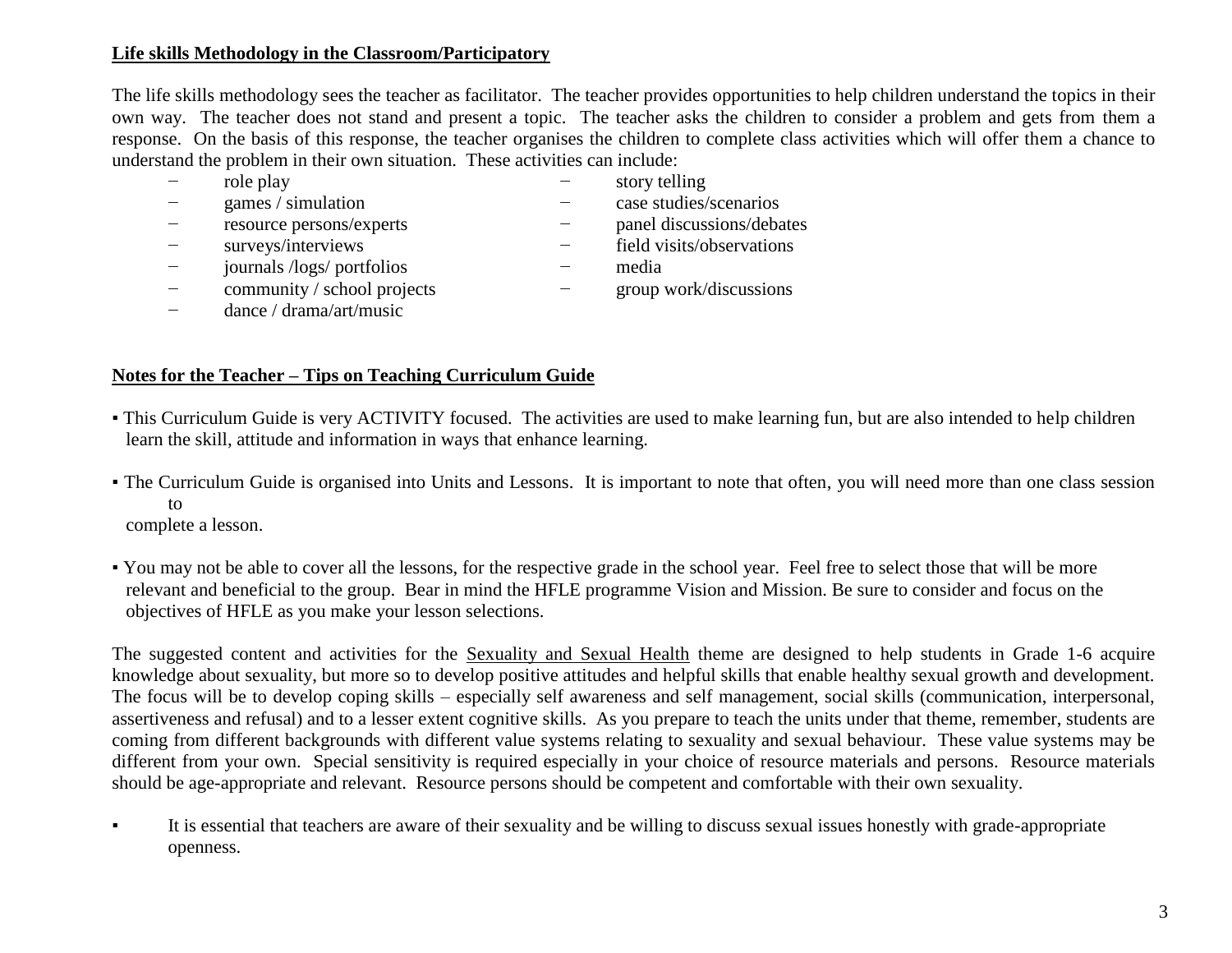## **Life skills Methodology in the Classroom/Participatory**

The life skills methodology sees the teacher as facilitator. The teacher provides opportunities to help children understand the topics in their own way. The teacher does not stand and present a topic. The teacher asks the children to consider a problem and gets from them a response. On the basis of this response, the teacher organises the children to complete class activities which will offer them a chance to understand the problem in their own situation. These activities can include:

- − role play − story telling
	-
- − games / simulation − case studies/scenarios
- − resource persons/experts − panel discussions/debates
- − surveys/interviews − field visits/observations
- − journals /logs/ portfolios − media
- − community / school projects − group work/discussions
- -
- − dance / drama/art/music
- **Notes for the Teacher – Tips on Teaching Curriculum Guide**
- This Curriculum Guide is very ACTIVITY focused. The activities are used to make learning fun, but are also intended to help children learn the skill, attitude and information in ways that enhance learning.
- The Curriculum Guide is organised into Units and Lessons. It is important to note that often, you will need more than one class session to

complete a lesson.

▪ You may not be able to cover all the lessons, for the respective grade in the school year. Feel free to select those that will be more relevant and beneficial to the group. Bear in mind the HFLE programme Vision and Mission. Be sure to consider and focus on the objectives of HFLE as you make your lesson selections.

The suggested content and activities for the Sexuality and Sexual Health theme are designed to help students in Grade 1-6 acquire knowledge about sexuality, but more so to develop positive attitudes and helpful skills that enable healthy sexual growth and development. The focus will be to develop coping skills – especially self awareness and self management, social skills (communication, interpersonal, assertiveness and refusal) and to a lesser extent cognitive skills. As you prepare to teach the units under that theme, remember, students are coming from different backgrounds with different value systems relating to sexuality and sexual behaviour. These value systems may be different from your own. Special sensitivity is required especially in your choice of resource materials and persons. Resource materials should be age-appropriate and relevant. Resource persons should be competent and comfortable with their own sexuality.

It is essential that teachers are aware of their sexuality and be willing to discuss sexual issues honestly with grade-appropriate openness.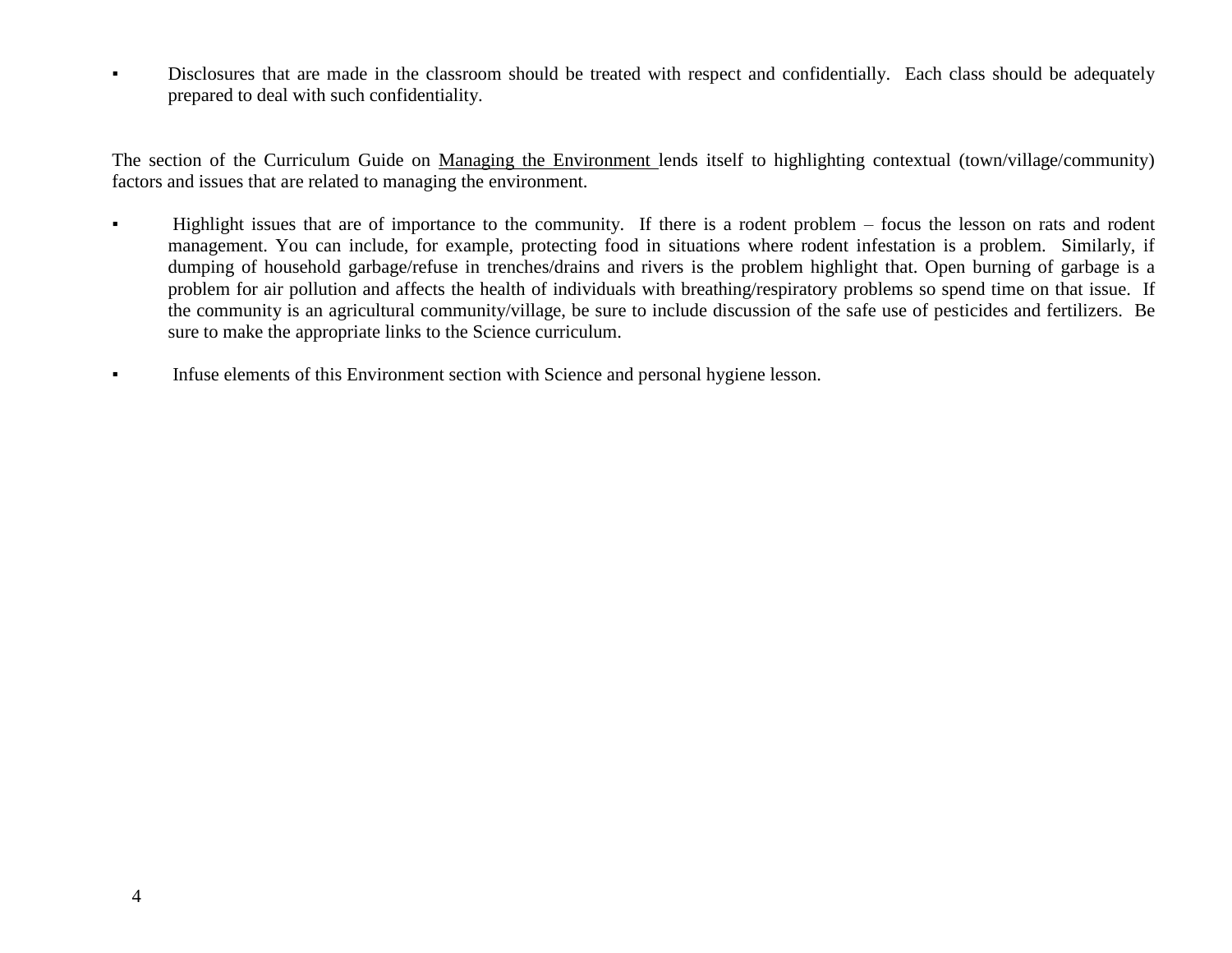▪ Disclosures that are made in the classroom should be treated with respect and confidentially. Each class should be adequately prepared to deal with such confidentiality.

The section of the Curriculum Guide on Managing the Environment lends itself to highlighting contextual (town/village/community) factors and issues that are related to managing the environment.

- Highlight issues that are of importance to the community. If there is a rodent problem focus the lesson on rats and rodent management. You can include, for example, protecting food in situations where rodent infestation is a problem. Similarly, if dumping of household garbage/refuse in trenches/drains and rivers is the problem highlight that. Open burning of garbage is a problem for air pollution and affects the health of individuals with breathing/respiratory problems so spend time on that issue. If the community is an agricultural community/village, be sure to include discussion of the safe use of pesticides and fertilizers. Be sure to make the appropriate links to the Science curriculum.
- **•** Infuse elements of this Environment section with Science and personal hygiene lesson.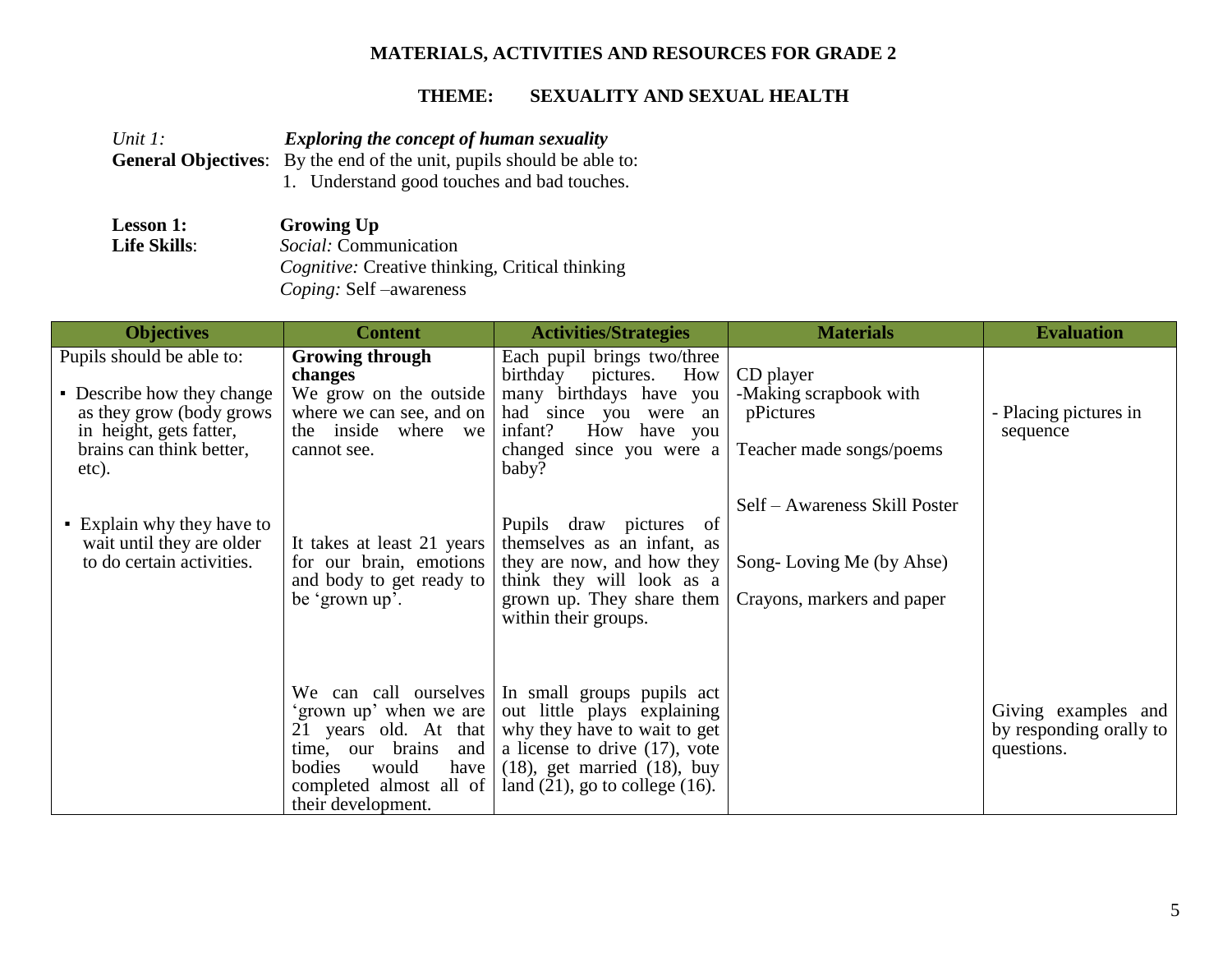## **MATERIALS, ACTIVITIES AND RESOURCES FOR GRADE 2**

| Unit $l$ :          | <b>Exploring the concept of human sexuality</b>                              |
|---------------------|------------------------------------------------------------------------------|
|                     | <b>General Objectives:</b> By the end of the unit, pupils should be able to: |
|                     | 1. Understand good touches and bad touches.                                  |
| <b>Lesson 1:</b>    | <b>Growing Up</b>                                                            |
| <b>Life Skills:</b> | Social: Communication                                                        |
|                     | <i>Cognitive:</i> Creative thinking, Critical thinking                       |

| <b>Objectives</b>                                                                                                                                    | <b>Content</b>                                                                                                                                                               | <b>Activities/Strategies</b>                                                                                                                                                                               | <b>Materials</b>                                                                        | <b>Evaluation</b>                                            |
|------------------------------------------------------------------------------------------------------------------------------------------------------|------------------------------------------------------------------------------------------------------------------------------------------------------------------------------|------------------------------------------------------------------------------------------------------------------------------------------------------------------------------------------------------------|-----------------------------------------------------------------------------------------|--------------------------------------------------------------|
| Pupils should be able to:<br>• Describe how they change<br>as they grow (body grows)<br>in height, gets fatter,<br>brains can think better,<br>etc). | <b>Growing through</b><br>changes<br>We grow on the outside<br>where we can see, and on<br>the inside where we<br>cannot see.                                                | Each pupil brings two/three<br>birthday<br>How<br>pictures.<br>many birthdays have you<br>had since you were an<br>How have you<br>infant?<br>changed since you were a<br>baby?                            | CD player<br>-Making scrapbook with<br>pPictures<br>Teacher made songs/poems            | - Placing pictures in<br>sequence                            |
| • Explain why they have to<br>wait until they are older<br>to do certain activities.                                                                 | It takes at least 21 years<br>for our brain, emotions<br>and body to get ready to<br>be 'grown up'.                                                                          | Pupils draw pictures<br>- of<br>themselves as an infant, as<br>they are now, and how they<br>think they will look as a<br>grown up. They share them<br>within their groups.                                | Self – Awareness Skill Poster<br>Song-Loving Me (by Ahse)<br>Crayons, markers and paper |                                                              |
|                                                                                                                                                      | We can call ourselves<br>'grown up' when we are<br>21 years old. At that<br>time, our brains and<br>bodies<br>would<br>have<br>completed almost all of<br>their development. | In small groups pupils act<br>out little plays explaining<br>why they have to wait to get<br>a license to drive $(17)$ , vote<br>$(18)$ , get married $(18)$ , buy<br>land $(21)$ , go to college $(16)$ . |                                                                                         | Giving examples and<br>by responding orally to<br>questions. |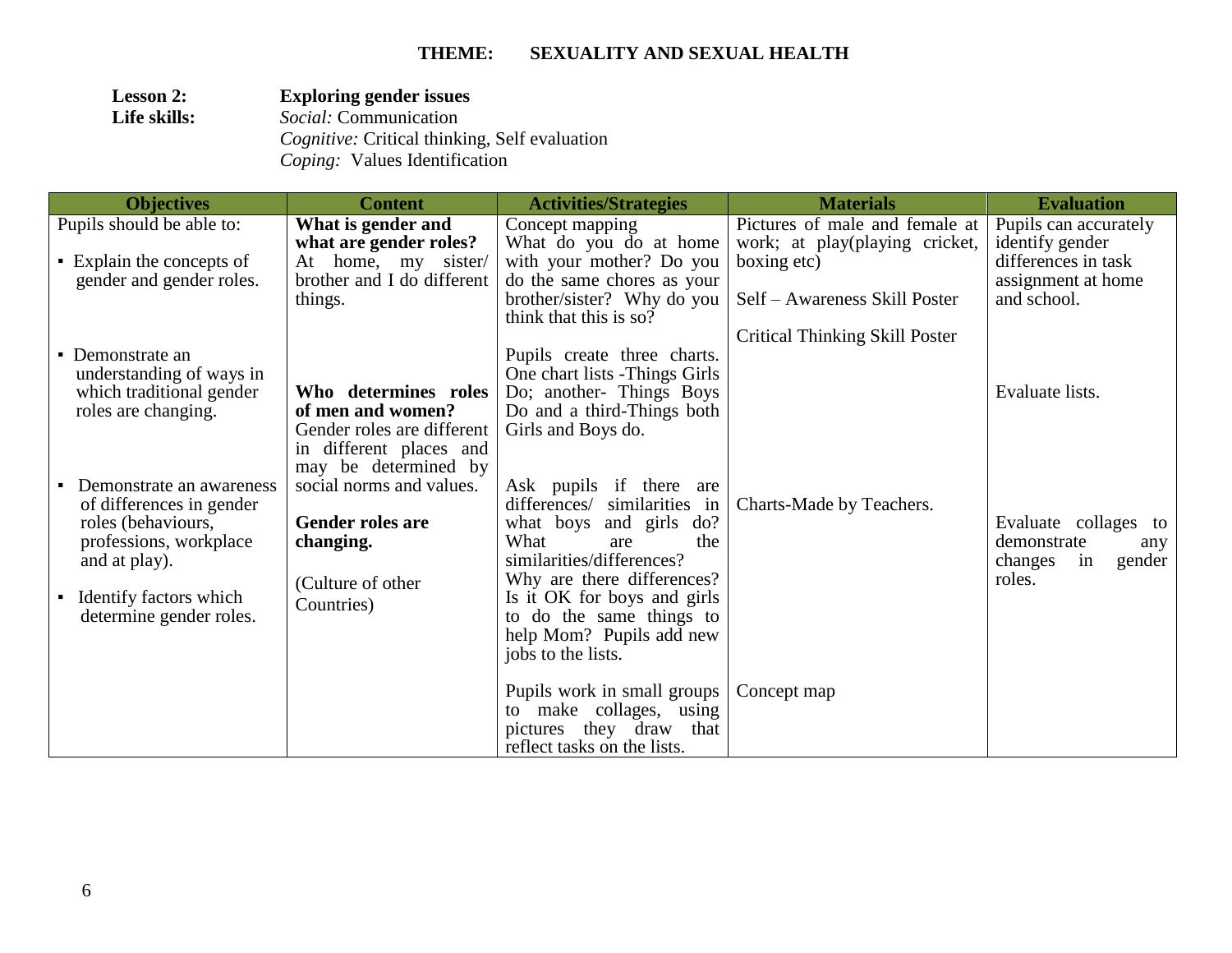| <b>Lesson 2:</b> | <b>Exploring gender issues</b>                       |  |  |
|------------------|------------------------------------------------------|--|--|
| Life skills:     | <i>Social:</i> Communication                         |  |  |
|                  | <i>Cognitive:</i> Critical thinking, Self evaluation |  |  |
|                  | <i>Coping:</i> Values Identification                 |  |  |

| <b>Objectives</b>                            | <b>Content</b>             | <b>Activities/Strategies</b>                                  | <b>Materials</b>                      | <b>Evaluation</b>       |
|----------------------------------------------|----------------------------|---------------------------------------------------------------|---------------------------------------|-------------------------|
| Pupils should be able to:                    | What is gender and         | Concept mapping                                               | Pictures of male and female at        | Pupils can accurately   |
|                                              | what are gender roles?     | What do you do at home                                        | work; at play(playing cricket,        | identify gender         |
| • Explain the concepts of                    | At home, my sister/        | with your mother? Do you                                      | boxing etc)                           | differences in task     |
| gender and gender roles.                     | brother and I do different | do the same chores as your                                    |                                       | assignment at home      |
|                                              | things.                    | brother/sister? Why do you                                    | Self – Awareness Skill Poster         | and school.             |
|                                              |                            | think that this is so?                                        |                                       |                         |
|                                              |                            |                                                               | <b>Critical Thinking Skill Poster</b> |                         |
| • Demonstrate an<br>understanding of ways in |                            | Pupils create three charts.<br>One chart lists - Things Girls |                                       |                         |
| which traditional gender                     | Who determines roles       | Do; another- Things Boys                                      |                                       | Evaluate lists.         |
| roles are changing.                          | of men and women?          | Do and a third-Things both                                    |                                       |                         |
|                                              | Gender roles are different | Girls and Boys do.                                            |                                       |                         |
|                                              | in different places and    |                                                               |                                       |                         |
|                                              | may be determined by       |                                                               |                                       |                         |
| Demonstrate an awareness                     | social norms and values.   | Ask pupils if there<br>are                                    |                                       |                         |
| of differences in gender                     |                            | differences/ similarities in                                  | Charts-Made by Teachers.              |                         |
| roles (behaviours,                           | <b>Gender roles are</b>    | do?<br>what boys and girls                                    |                                       | Evaluate collages to    |
| professions, workplace                       | changing.                  | What<br>the<br>are                                            |                                       | demonstrate<br>any      |
| and at play).                                |                            | similarities/differences?                                     |                                       | changes<br>in<br>gender |
|                                              | (Culture of other          | Why are there differences?                                    |                                       | roles.                  |
| • Identify factors which                     | Countries)                 | Is it OK for boys and girls<br>to do the same things to       |                                       |                         |
| determine gender roles.                      |                            | help Mom? Pupils add new                                      |                                       |                         |
|                                              |                            | jobs to the lists.                                            |                                       |                         |
|                                              |                            |                                                               |                                       |                         |
|                                              |                            | Pupils work in small groups                                   | Concept map                           |                         |
|                                              |                            | to make collages, using                                       |                                       |                         |
|                                              |                            | pictures they draw that                                       |                                       |                         |
|                                              |                            | reflect tasks on the lists.                                   |                                       |                         |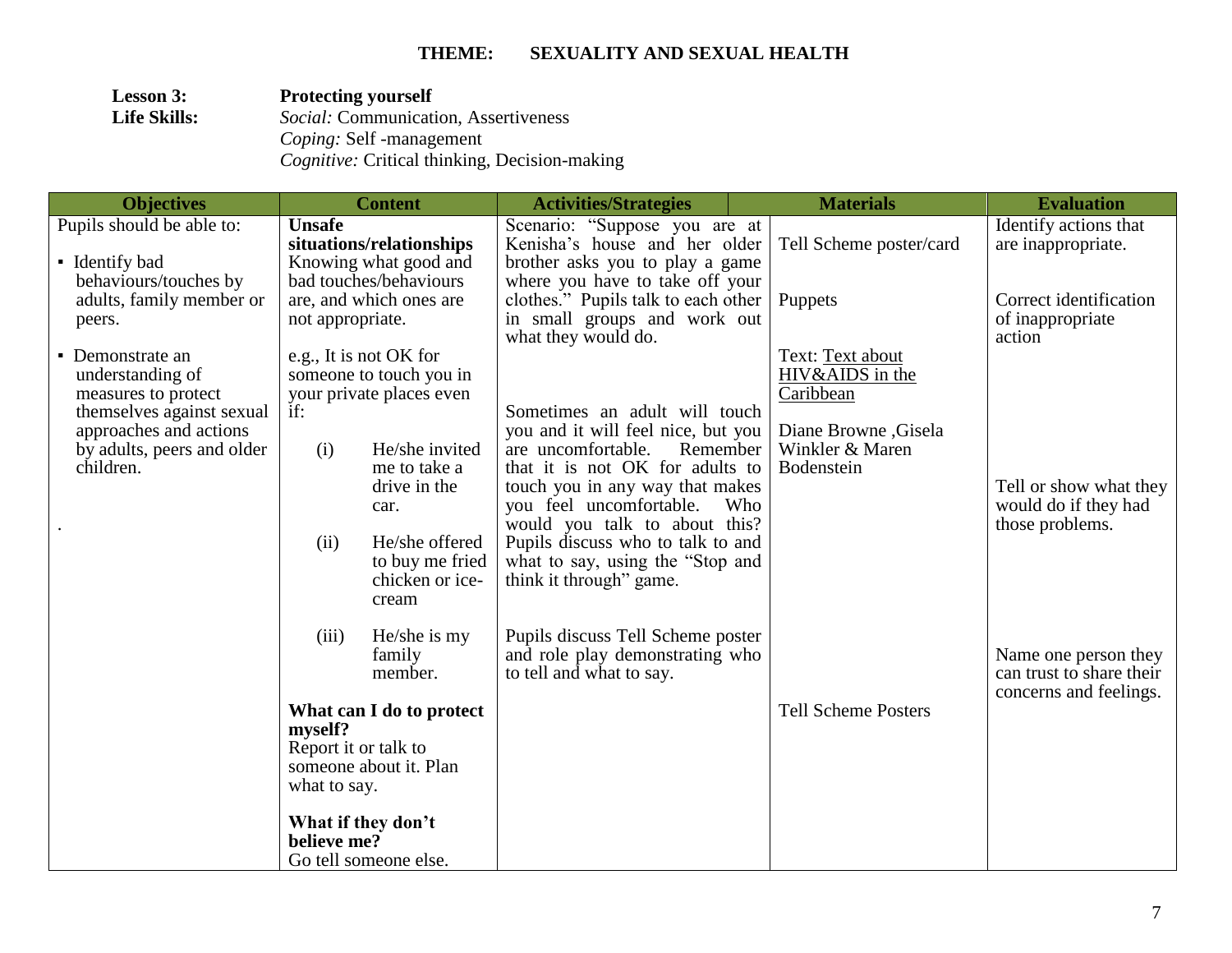| <b>Lesson 3:</b>    | <b>Protecting yourself</b>                           |
|---------------------|------------------------------------------------------|
| <b>Life Skills:</b> | <i>Social:</i> Communication, Assertiveness          |
|                     | <i>Coping:</i> Self -management                      |
|                     | <i>Cognitive:</i> Critical thinking, Decision-making |

| <b>Objectives</b>          |                      | <b>Content</b>           | <b>Activities/Strategies</b>                                        |     | <b>Materials</b>           | <b>Evaluation</b>                                |
|----------------------------|----------------------|--------------------------|---------------------------------------------------------------------|-----|----------------------------|--------------------------------------------------|
| Pupils should be able to:  | <b>Unsafe</b>        |                          | Scenario: "Suppose you are at                                       |     |                            | Identify actions that                            |
|                            |                      | situations/relationships | Kenisha's house and her older                                       |     | Tell Scheme poster/card    | are inappropriate.                               |
| • Identify bad             |                      | Knowing what good and    | brother asks you to play a game                                     |     |                            |                                                  |
| behaviours/touches by      |                      | bad touches/behaviours   | where you have to take off your                                     |     |                            |                                                  |
| adults, family member or   | not appropriate.     | are, and which ones are  | clothes." Pupils talk to each other<br>in small groups and work out |     | Puppets                    | Correct identification<br>of inappropriate       |
| peers.                     |                      |                          | what they would do.                                                 |     |                            | action                                           |
| • Demonstrate an           |                      | e.g., It is not OK for   |                                                                     |     | Text: Text about           |                                                  |
| understanding of           |                      | someone to touch you in  |                                                                     |     | HIV&AIDS in the            |                                                  |
| measures to protect        |                      | your private places even |                                                                     |     | Caribbean                  |                                                  |
| themselves against sexual  | if:                  |                          | Sometimes an adult will touch                                       |     |                            |                                                  |
| approaches and actions     |                      |                          | you and it will feel nice, but you                                  |     | Diane Browne, Gisela       |                                                  |
| by adults, peers and older | (i)                  | He/she invited           | Remember<br>are uncomfortable.                                      |     | Winkler & Maren            |                                                  |
| children.                  |                      | me to take a             | that it is not OK for adults to                                     |     | Bodenstein                 |                                                  |
|                            |                      | drive in the<br>car.     | touch you in any way that makes<br>you feel uncomfortable.          | Who |                            | Tell or show what they<br>would do if they had   |
|                            |                      |                          | would you talk to about this?                                       |     |                            | those problems.                                  |
|                            | (ii)                 | He/she offered           | Pupils discuss who to talk to and                                   |     |                            |                                                  |
|                            |                      | to buy me fried          | what to say, using the "Stop and                                    |     |                            |                                                  |
|                            |                      | chicken or ice-          | think it through" game.                                             |     |                            |                                                  |
|                            |                      | cream                    |                                                                     |     |                            |                                                  |
|                            |                      |                          |                                                                     |     |                            |                                                  |
|                            | (iii)                | He/she is my             | Pupils discuss Tell Scheme poster                                   |     |                            |                                                  |
|                            |                      | family<br>member.        | and role play demonstrating who<br>to tell and what to say.         |     |                            | Name one person they<br>can trust to share their |
|                            |                      |                          |                                                                     |     |                            | concerns and feelings.                           |
|                            |                      | What can I do to protect |                                                                     |     | <b>Tell Scheme Posters</b> |                                                  |
|                            | myself?              |                          |                                                                     |     |                            |                                                  |
|                            | Report it or talk to |                          |                                                                     |     |                            |                                                  |
|                            |                      | someone about it. Plan   |                                                                     |     |                            |                                                  |
|                            | what to say.         |                          |                                                                     |     |                            |                                                  |
|                            |                      | What if they don't       |                                                                     |     |                            |                                                  |
|                            | believe me?          |                          |                                                                     |     |                            |                                                  |
|                            |                      | Go tell someone else.    |                                                                     |     |                            |                                                  |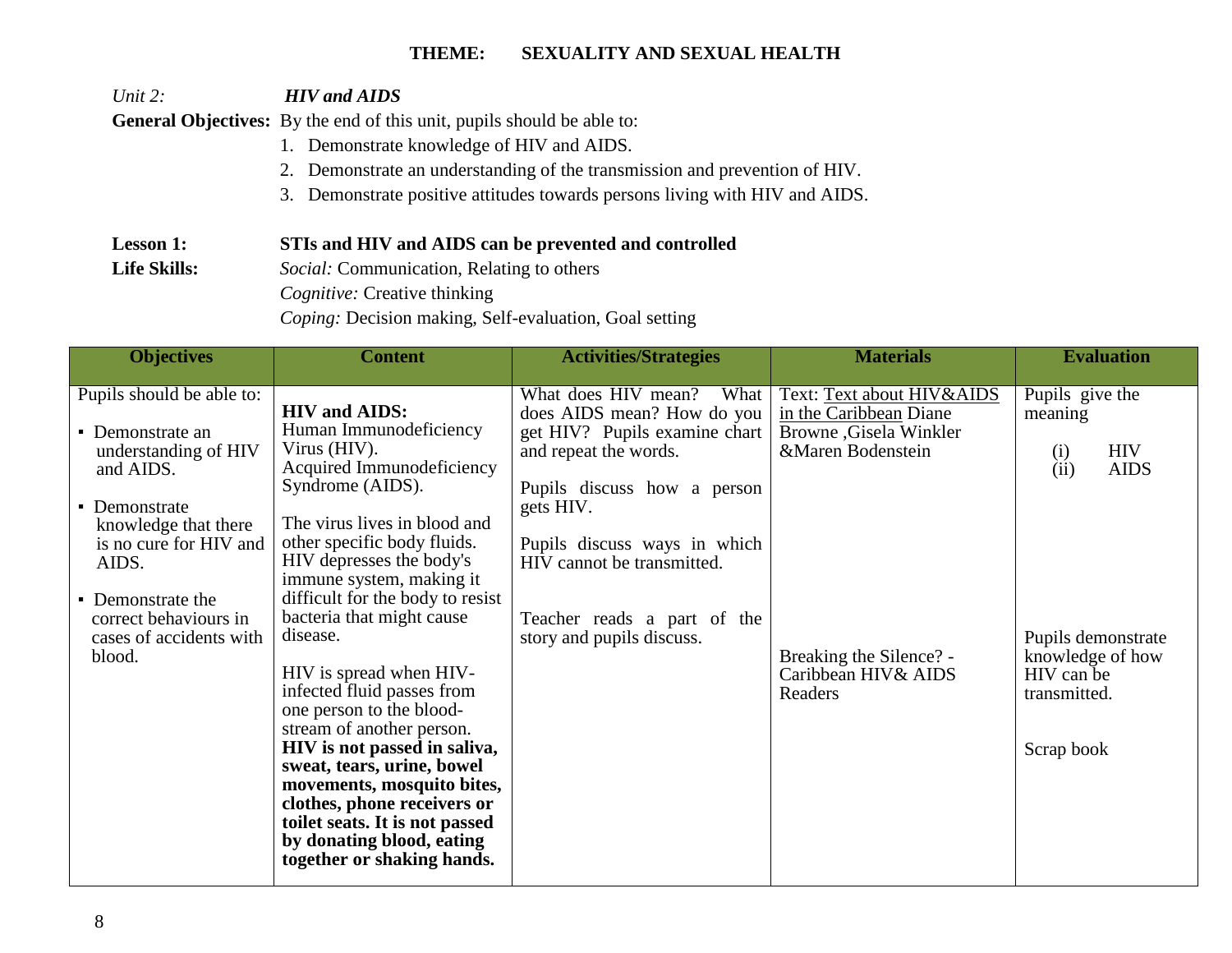*Unit 2: HIV and AIDS*

General Objectives: By the end of this unit, pupils should be able to:

- 1. Demonstrate knowledge of HIV and AIDS.
- 2. Demonstrate an understanding of the transmission and prevention of HIV.
- 3. Demonstrate positive attitudes towards persons living with HIV and AIDS.

### **Lesson 1: STIs and HIV and AIDS can be prevented and controlled**

Life Skills: *Social: Communication, Relating to others* 

 *Cognitive:* Creative thinking

 *Coping:* Decision making, Self-evaluation, Goal setting

| <b>Objectives</b>                                                                                                                                                                                                                                 | <b>Content</b>                                                                                                                                                                                                                                                                                                                                                                                                                                                                                                                                                                                                                                                | <b>Activities/Strategies</b>                                                                                                                                                                                                                                                              | <b>Materials</b>                                                                                                                                                 | <b>Evaluation</b>                                                                                                                                            |
|---------------------------------------------------------------------------------------------------------------------------------------------------------------------------------------------------------------------------------------------------|---------------------------------------------------------------------------------------------------------------------------------------------------------------------------------------------------------------------------------------------------------------------------------------------------------------------------------------------------------------------------------------------------------------------------------------------------------------------------------------------------------------------------------------------------------------------------------------------------------------------------------------------------------------|-------------------------------------------------------------------------------------------------------------------------------------------------------------------------------------------------------------------------------------------------------------------------------------------|------------------------------------------------------------------------------------------------------------------------------------------------------------------|--------------------------------------------------------------------------------------------------------------------------------------------------------------|
| Pupils should be able to:<br>• Demonstrate an<br>understanding of HIV<br>and AIDS.<br>• Demonstrate<br>knowledge that there<br>is no cure for HIV and<br>AIDS.<br>• Demonstrate the<br>correct behaviours in<br>cases of accidents with<br>blood. | <b>HIV</b> and AIDS:<br>Human Immunodeficiency<br>Virus (HIV).<br>Acquired Immunodeficiency<br>Syndrome (AIDS).<br>The virus lives in blood and<br>other specific body fluids.<br>HIV depresses the body's<br>immune system, making it<br>difficult for the body to resist<br>bacteria that might cause<br>disease.<br>HIV is spread when HIV-<br>infected fluid passes from<br>one person to the blood-<br>stream of another person.<br>HIV is not passed in saliva,<br>sweat, tears, urine, bowel<br>movements, mosquito bites,<br>clothes, phone receivers or<br>toilet seats. It is not passed<br>by donating blood, eating<br>together or shaking hands. | What does HIV mean?<br>What<br>does AIDS mean? How do you<br>get HIV? Pupils examine chart<br>and repeat the words.<br>Pupils discuss how a person<br>gets HIV.<br>Pupils discuss ways in which<br>HIV cannot be transmitted.<br>Teacher reads a part of the<br>story and pupils discuss. | Text: Text about HIV&AIDS<br>in the Caribbean Diane<br>Browne , Gisela Winkler<br>&Maren Bodenstein<br>Breaking the Silence? -<br>Caribbean HIV& AIDS<br>Readers | Pupils give the<br>meaning<br><b>HIV</b><br>(i)<br>(ii)<br><b>AIDS</b><br>Pupils demonstrate<br>knowledge of how<br>HIV can be<br>transmitted.<br>Scrap book |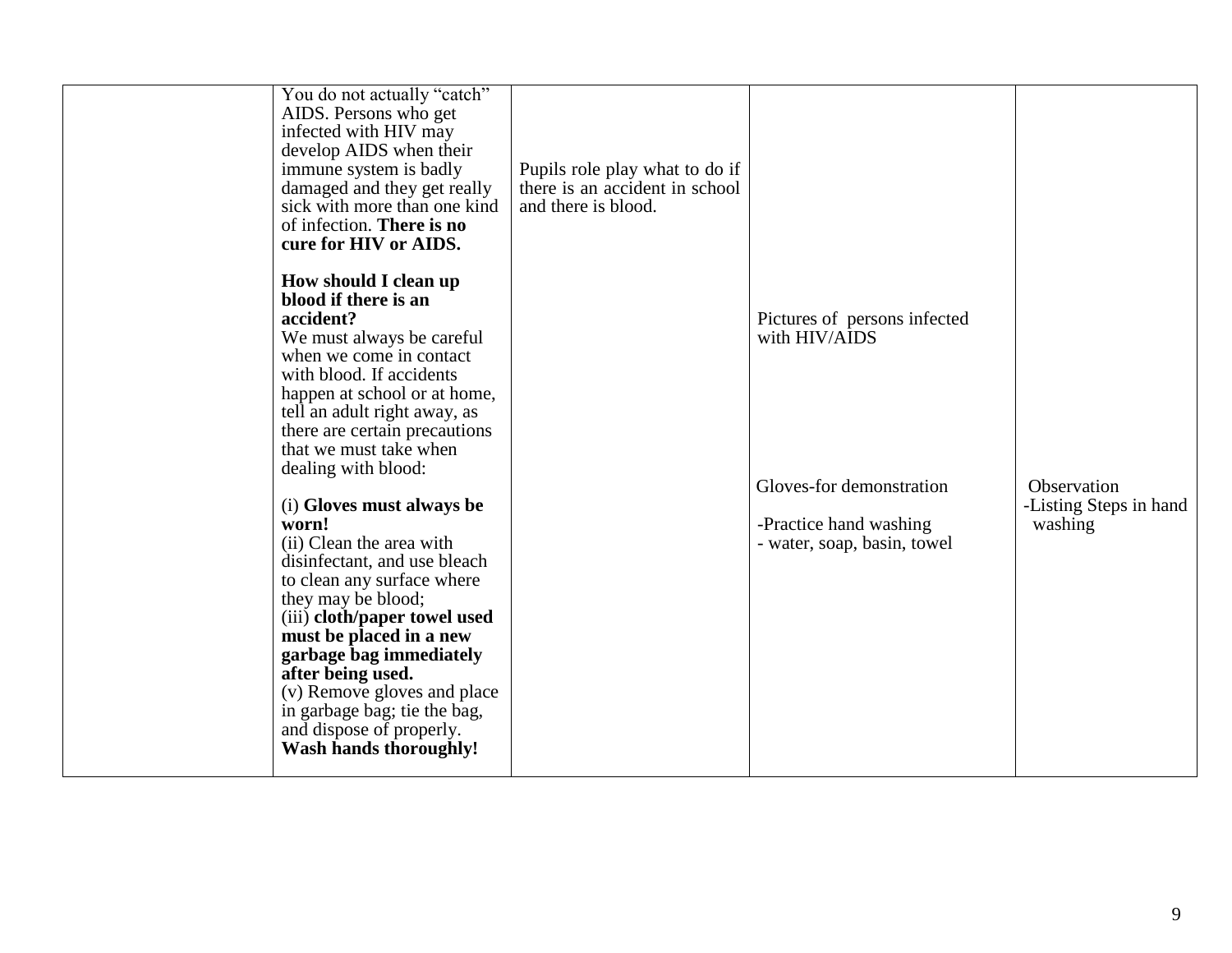| You do not actually "catch"<br>AIDS. Persons who get<br>infected with HIV may<br>develop AIDS when their<br>immune system is badly<br>damaged and they get really<br>sick with more than one kind<br>of infection. There is no<br>cure for HIV or AIDS.                                                                                                                                                                                                                                                                                                                                                                                                                                       | Pupils role play what to do if<br>there is an accident in school<br>and there is blood. |                                                                                                                                    |                                                  |
|-----------------------------------------------------------------------------------------------------------------------------------------------------------------------------------------------------------------------------------------------------------------------------------------------------------------------------------------------------------------------------------------------------------------------------------------------------------------------------------------------------------------------------------------------------------------------------------------------------------------------------------------------------------------------------------------------|-----------------------------------------------------------------------------------------|------------------------------------------------------------------------------------------------------------------------------------|--------------------------------------------------|
| How should I clean up<br>blood if there is an<br>accident?<br>We must always be careful<br>when we come in contact<br>with blood. If accidents<br>happen at school or at home,<br>tell an adult right away, as<br>there are certain precautions<br>that we must take when<br>dealing with blood:<br>(i) Gloves must always be<br>worn!<br>(ii) Clean the area with<br>disinfectant, and use bleach<br>to clean any surface where<br>they may be blood;<br>(iii) cloth/paper towel used<br>must be placed in a new<br>garbage bag immediately<br>after being used.<br>(v) Remove gloves and place<br>in garbage bag; tie the bag,<br>and dispose of properly.<br><b>Wash hands thoroughly!</b> |                                                                                         | Pictures of persons infected<br>with HIV/AIDS<br>Gloves-for demonstration<br>-Practice hand washing<br>- water, soap, basin, towel | Observation<br>-Listing Steps in hand<br>washing |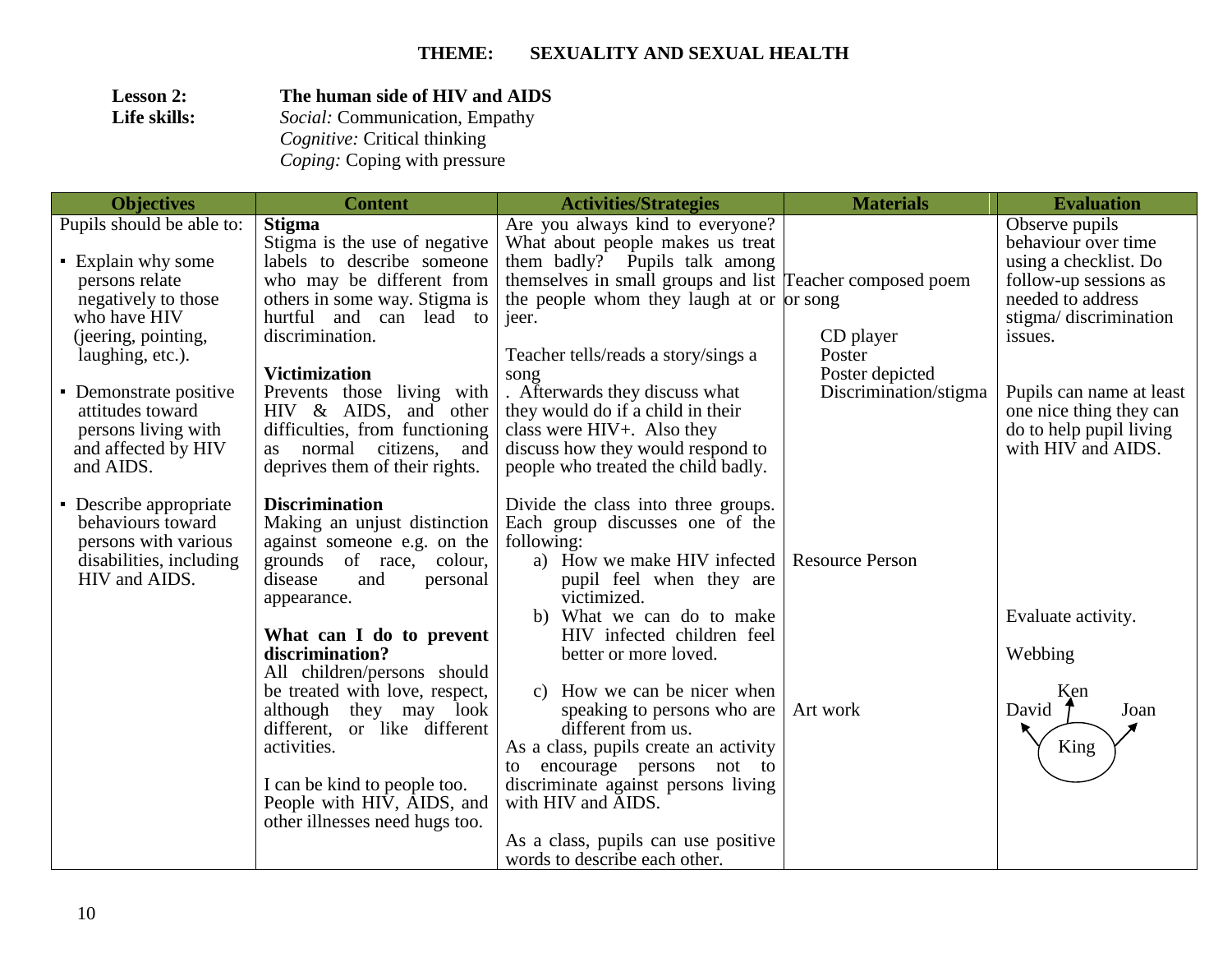| <b>Lesson 2:</b> | The human side of HIV and AIDS        |
|------------------|---------------------------------------|
| Life skills:     | <i>Social:</i> Communication, Empathy |
|                  | <i>Cognitive:</i> Critical thinking   |
|                  | Coping: Coping with pressure          |

| <b>Objectives</b>                                                                                                                                                                                                                                            | <b>Content</b>                                                                                                                                                                                                                                                                                                                                                                                                                                         | <b>Activities/Strategies</b>                                                                                                                                                                                                                                                                                                                                                                                                                                                                                                                           | <b>Materials</b>                                                | <b>Evaluation</b>                                                                                                                                                                                                                                        |
|--------------------------------------------------------------------------------------------------------------------------------------------------------------------------------------------------------------------------------------------------------------|--------------------------------------------------------------------------------------------------------------------------------------------------------------------------------------------------------------------------------------------------------------------------------------------------------------------------------------------------------------------------------------------------------------------------------------------------------|--------------------------------------------------------------------------------------------------------------------------------------------------------------------------------------------------------------------------------------------------------------------------------------------------------------------------------------------------------------------------------------------------------------------------------------------------------------------------------------------------------------------------------------------------------|-----------------------------------------------------------------|----------------------------------------------------------------------------------------------------------------------------------------------------------------------------------------------------------------------------------------------------------|
| Pupils should be able to:<br>• Explain why some<br>persons relate<br>negatively to those<br>who have HIV<br>(jeering, pointing,<br>laughing, etc.).<br>• Demonstrate positive<br>attitudes toward<br>persons living with<br>and affected by HIV<br>and AIDS. | <b>Stigma</b><br>Stigma is the use of negative<br>labels to describe someone<br>who may be different from<br>others in some way. Stigma is<br>hurtful and can lead to<br>discrimination.<br><b>Victimization</b><br>Prevents those living with<br>HIV & AIDS, and other<br>difficulties, from functioning<br>normal citizens,<br>and<br><b>as</b><br>deprives them of their rights.                                                                    | Are you always kind to everyone?<br>What about people makes us treat<br>them badly? Pupils talk among<br>themselves in small groups and list Teacher composed poem<br>the people whom they laugh at or or song<br>jeer.<br>Teacher tells/reads a story/sings a<br>song<br>. Afterwards they discuss what<br>they would do if a child in their<br>class were HIV+. Also they<br>discuss how they would respond to<br>people who treated the child badly.                                                                                                | CD player<br>Poster<br>Poster depicted<br>Discrimination/stigma | Observe pupils<br>behaviour over time<br>using a checklist. Do<br>follow-up sessions as<br>needed to address<br>stigma/discrimination<br>issues.<br>Pupils can name at least<br>one nice thing they can<br>do to help pupil living<br>with HIV and AIDS. |
| • Describe appropriate<br>behaviours toward<br>persons with various<br>disabilities, including<br>HIV and AIDS.                                                                                                                                              | <b>Discrimination</b><br>Making an unjust distinction<br>against someone e.g. on the<br>grounds of race, colour,<br>disease<br>and<br>personal<br>appearance.<br>What can I do to prevent<br>discrimination?<br>All children/persons should<br>be treated with love, respect,<br>although they may look<br>different, or like different<br>activities.<br>I can be kind to people too.<br>People with HIV, AIDS, and<br>other illnesses need hugs too. | Divide the class into three groups.<br>Each group discusses one of the<br>following:<br>a) How we make HIV infected<br>pupil feel when they are<br>victimized.<br>b) What we can do to make<br>HIV infected children feel<br>better or more loved.<br>c) How we can be nicer when<br>speaking to persons who are<br>different from us.<br>As a class, pupils create an activity<br>encourage persons not to<br>to<br>discriminate against persons living<br>with HIV and AIDS.<br>As a class, pupils can use positive<br>words to describe each other. | <b>Resource Person</b><br>Art work                              | Evaluate activity.<br>Webbing<br>Ken<br>David<br>Joan<br>King                                                                                                                                                                                            |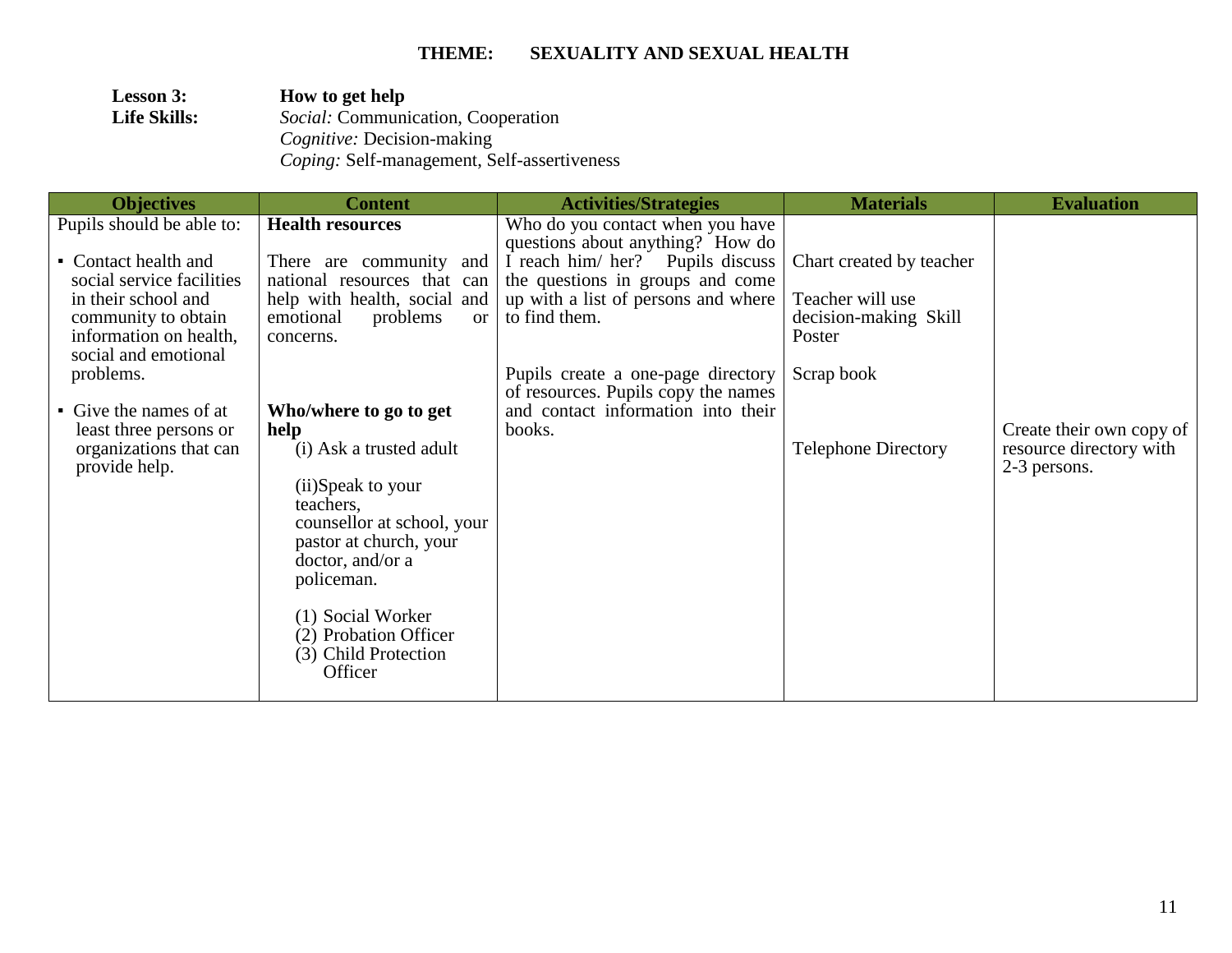| <b>Lesson 3:</b>    | How to get help                                    |
|---------------------|----------------------------------------------------|
| <b>Life Skills:</b> | <i>Social:</i> Communication, Cooperation          |
|                     | <i>Cognitive: Decision-making</i>                  |
|                     | <i>Coping:</i> Self-management, Self-assertiveness |

| <b>Objectives</b>                                                 | <b>Content</b>                                                                | <b>Activities/Strategies</b>                                              | <b>Materials</b>                | <b>Evaluation</b>                                                   |
|-------------------------------------------------------------------|-------------------------------------------------------------------------------|---------------------------------------------------------------------------|---------------------------------|---------------------------------------------------------------------|
| Pupils should be able to:                                         | <b>Health resources</b>                                                       | Who do you contact when you have<br>questions about anything? How do      |                                 |                                                                     |
| • Contact health and                                              | There are community and                                                       | I reach him/ her? Pupils discuss                                          | Chart created by teacher        |                                                                     |
| social service facilities<br>in their school and                  | national resources that can<br>help with health, social and                   | the questions in groups and come<br>up with a list of persons and where   | Teacher will use                |                                                                     |
| community to obtain<br>information on health,                     | problems<br>emotional<br>or<br>concerns.                                      | to find them.                                                             | decision-making Skill<br>Poster |                                                                     |
| social and emotional<br>problems.                                 |                                                                               | Pupils create a one-page directory<br>of resources. Pupils copy the names | Scrap book                      |                                                                     |
| • Give the names of at                                            | Who/where to go to get                                                        | and contact information into their                                        |                                 |                                                                     |
| least three persons or<br>organizations that can<br>provide help. | help<br>(i) Ask a trusted adult                                               | books.                                                                    | <b>Telephone Directory</b>      | Create their own copy of<br>resource directory with<br>2-3 persons. |
|                                                                   | (ii)Speak to your<br>teachers,                                                |                                                                           |                                 |                                                                     |
|                                                                   | counsellor at school, your<br>pastor at church, your                          |                                                                           |                                 |                                                                     |
|                                                                   | doctor, and/or a<br>policeman.                                                |                                                                           |                                 |                                                                     |
|                                                                   | (1) Social Worker<br>(2) Probation Officer<br>(3) Child Protection<br>Officer |                                                                           |                                 |                                                                     |
|                                                                   |                                                                               |                                                                           |                                 |                                                                     |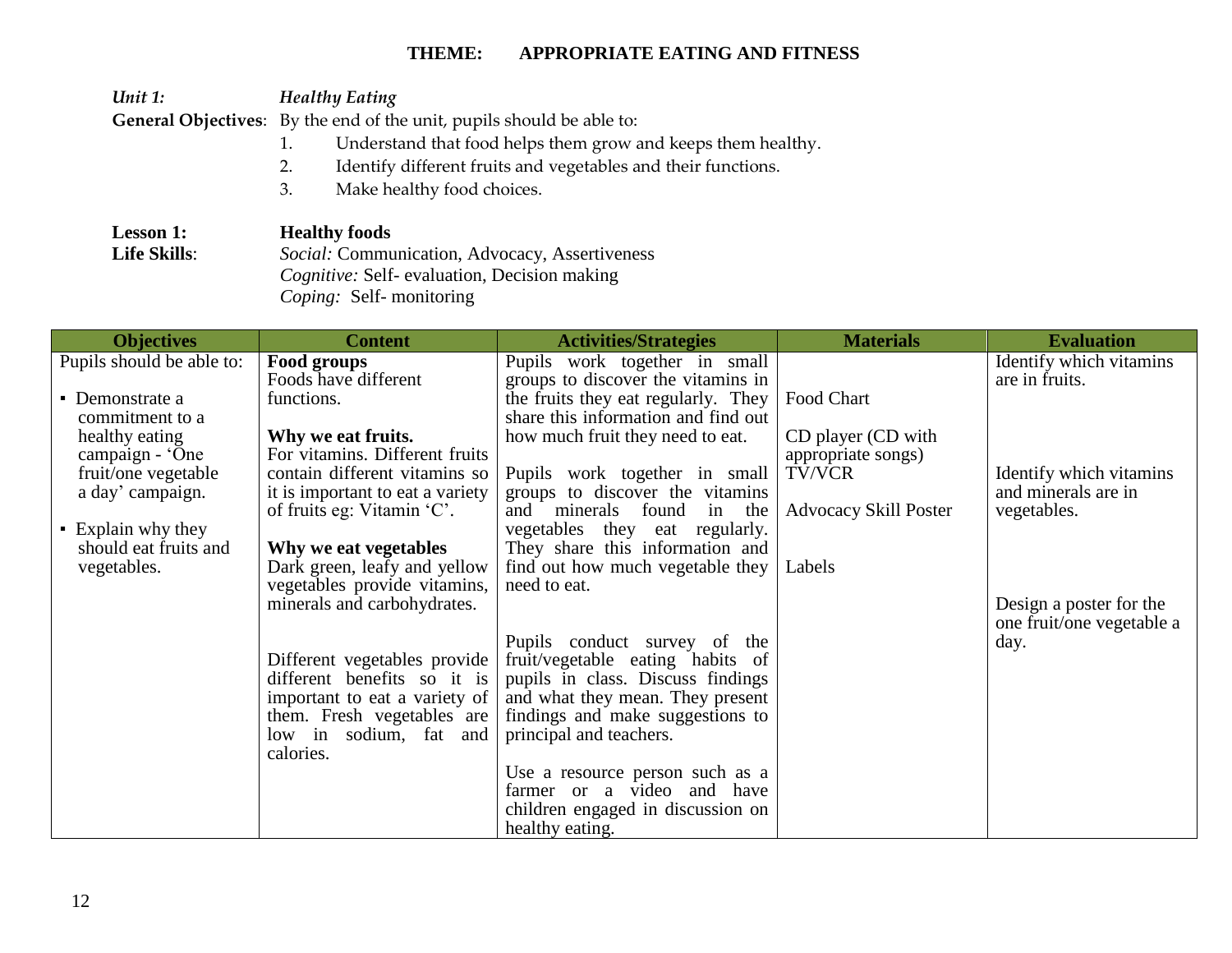*Unit 1: Healthy Eating*  **General Objectives**: By the end of the unit, pupils should be able to:

- 1. Understand that food helps them grow and keeps them healthy.
- 2. Identify different fruits and vegetables and their functions.
- 3. Make healthy food choices.

| <b>Lesson 1:</b>    | <b>Healthy foods</b>                               |
|---------------------|----------------------------------------------------|
| <b>Life Skills:</b> | Social: Communication, Advocacy, Assertiveness     |
|                     | <i>Cognitive:</i> Self-evaluation, Decision making |
|                     | <i>Coping:</i> Self-monitoring                     |

| <b>Objectives</b>                           | <b>Content</b>                                                    | <b>Activities/Strategies</b>                                               | <b>Materials</b>                         | <b>Evaluation</b>                                    |
|---------------------------------------------|-------------------------------------------------------------------|----------------------------------------------------------------------------|------------------------------------------|------------------------------------------------------|
| Pupils should be able to:                   | Food groups<br>Foods have different                               | Pupils work together in small<br>groups to discover the vitamins in        |                                          | Identify which vitamins<br>are in fruits.            |
| • Demonstrate a<br>commitment to a          | functions.                                                        | the fruits they eat regularly. They<br>share this information and find out | Food Chart                               |                                                      |
| healthy eating<br>campaign - 'One           | Why we eat fruits.<br>For vitamins. Different fruits              | how much fruit they need to eat.                                           | CD player (CD with<br>appropriate songs) |                                                      |
| fruit/one vegetable<br>a day' campaign.     | contain different vitamins so<br>it is important to eat a variety | Pupils work together in small<br>groups to discover the vitamins           | TV/VCR                                   | Identify which vitamins<br>and minerals are in       |
|                                             | of fruits eg: Vitamin 'C'.                                        | and minerals found in<br>the                                               | <b>Advocacy Skill Poster</b>             | vegetables.                                          |
| • Explain why they<br>should eat fruits and | Why we eat vegetables                                             | vegetables they eat regularly.<br>They share this information and          |                                          |                                                      |
| vegetables.                                 | Dark green, leafy and yellow<br>vegetables provide vitamins,      | find out how much vegetable they<br>need to eat.                           | Labels                                   |                                                      |
|                                             | minerals and carbohydrates.                                       |                                                                            |                                          | Design a poster for the<br>one fruit/one vegetable a |
|                                             | Different vegetables provide                                      | Pupils conduct survey of the<br>fruit/vegetable eating habits of           |                                          | day.                                                 |
|                                             | different benefits so it is<br>important to eat a variety of      | pupils in class. Discuss findings<br>and what they mean. They present      |                                          |                                                      |
|                                             | them. Fresh vegetables are<br>low in sodium, fat and              | findings and make suggestions to<br>principal and teachers.                |                                          |                                                      |
|                                             | calories.                                                         |                                                                            |                                          |                                                      |
|                                             |                                                                   | Use a resource person such as a<br>farmer or a video and have              |                                          |                                                      |
|                                             |                                                                   | children engaged in discussion on<br>healthy eating.                       |                                          |                                                      |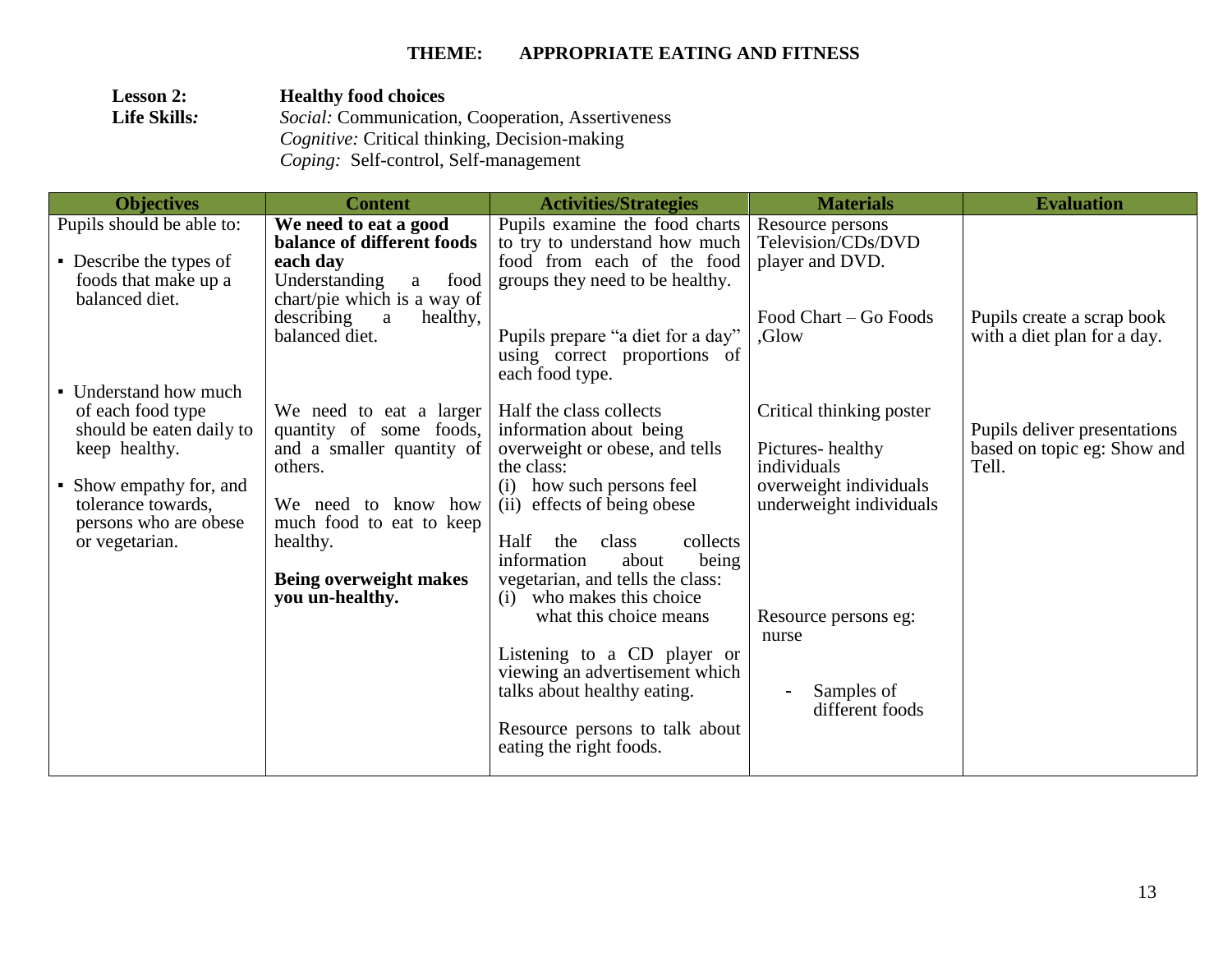| <b>Lesson 2:</b>    | <b>Healthy food choices</b>                              |
|---------------------|----------------------------------------------------------|
| <b>Life Skills:</b> | <i>Social:</i> Communication, Cooperation, Assertiveness |
|                     | <i>Cognitive:</i> Critical thinking, Decision-making     |
|                     | <i>Coping:</i> Self-control, Self-management             |

| <b>Objectives</b>                         | <b>Content</b>                                         | <b>Activities/Strategies</b>                                     | <b>Materials</b>         | <b>Evaluation</b>                                           |
|-------------------------------------------|--------------------------------------------------------|------------------------------------------------------------------|--------------------------|-------------------------------------------------------------|
| Pupils should be able to:                 | We need to eat a good                                  | Pupils examine the food charts                                   | Resource persons         |                                                             |
|                                           | balance of different foods                             | to try to understand how much                                    | Television/CDs/DVD       |                                                             |
| • Describe the types of                   | each day                                               | food from each of the food                                       | player and DVD.          |                                                             |
| foods that make up a<br>balanced diet.    | Understanding<br>a food<br>chart/pie which is a way of | groups they need to be healthy.                                  |                          |                                                             |
|                                           | describing<br>healthy,<br>$\mathbf{a}$                 |                                                                  | Food Chart – Go Foods    | Pupils create a scrap book                                  |
|                                           | balanced diet.                                         | Pupils prepare "a diet for a day"                                | Glow.                    | with a diet plan for a day.                                 |
|                                           |                                                        | using correct proportions of                                     |                          |                                                             |
|                                           |                                                        | each food type.                                                  |                          |                                                             |
| • Understand how much                     |                                                        |                                                                  |                          |                                                             |
| of each food type                         | We need to eat a larger                                | Half the class collects                                          | Critical thinking poster |                                                             |
| should be eaten daily to<br>keep healthy. | quantity of some foods,<br>and a smaller quantity of   | information about being<br>overweight or obese, and tells        | Pictures-healthy         | Pupils deliver presentations<br>based on topic eg: Show and |
|                                           | others.                                                | the class:                                                       | individuals              | Tell.                                                       |
| • Show empathy for, and                   |                                                        | (i) how such persons feel                                        | overweight individuals   |                                                             |
| tolerance towards,                        | We need to know how                                    | (ii) effects of being obese                                      | underweight individuals  |                                                             |
| persons who are obese                     | much food to eat to keep                               |                                                                  |                          |                                                             |
| or vegetarian.                            | healthy.                                               | Half<br>collects<br>the<br>class                                 |                          |                                                             |
|                                           |                                                        | being<br>information<br>about                                    |                          |                                                             |
|                                           | Being overweight makes<br>you un-healthy.              | vegetarian, and tells the class:<br>who makes this choice<br>(i) |                          |                                                             |
|                                           |                                                        | what this choice means                                           | Resource persons eg:     |                                                             |
|                                           |                                                        |                                                                  | nurse                    |                                                             |
|                                           |                                                        | Listening to a CD player or                                      |                          |                                                             |
|                                           |                                                        | viewing an advertisement which                                   |                          |                                                             |
|                                           |                                                        | talks about healthy eating.                                      | Samples of               |                                                             |
|                                           |                                                        |                                                                  | different foods          |                                                             |
|                                           |                                                        | Resource persons to talk about<br>eating the right foods.        |                          |                                                             |
|                                           |                                                        |                                                                  |                          |                                                             |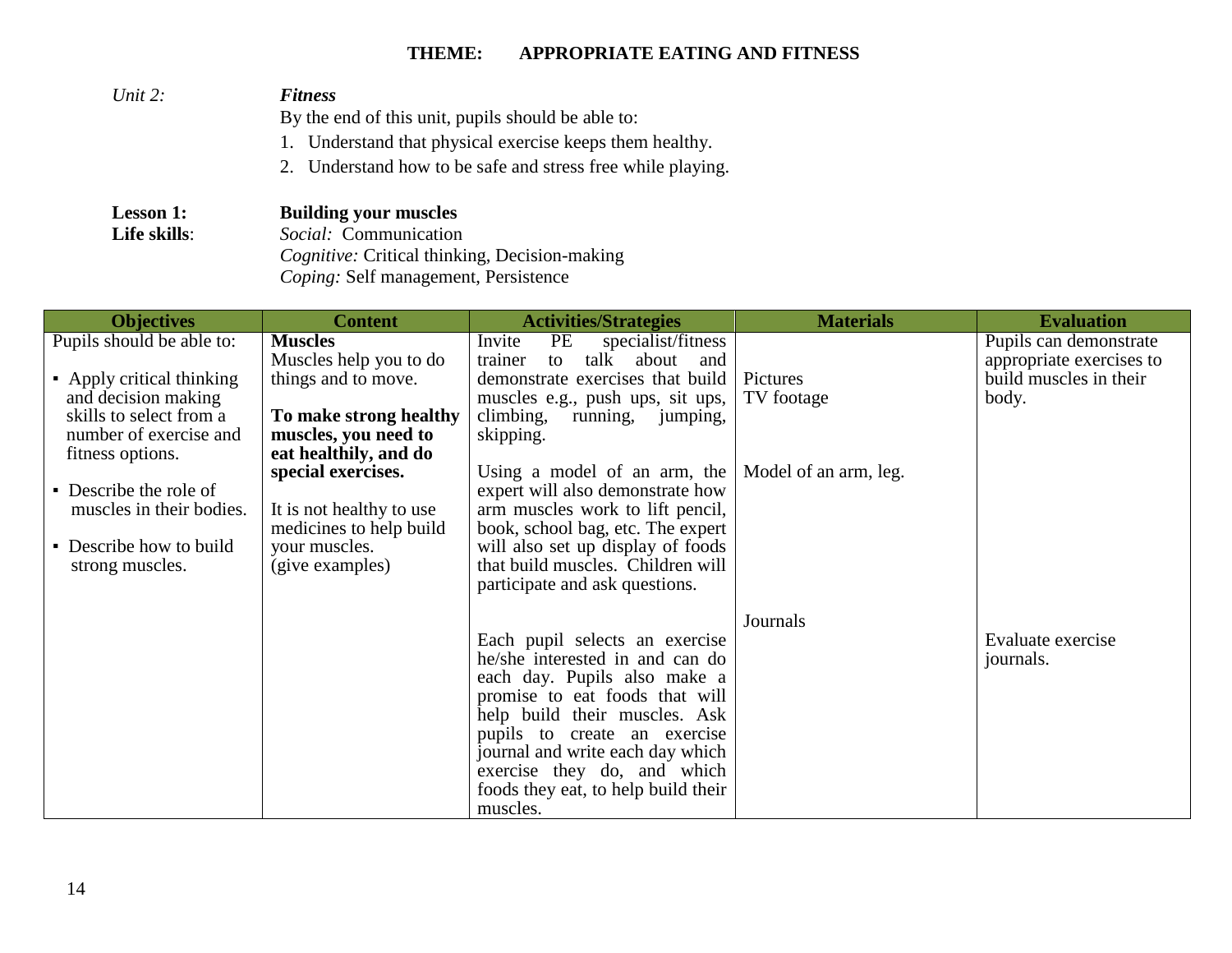| Unit 2:          | <b>Fitness</b>                                              |
|------------------|-------------------------------------------------------------|
|                  | By the end of this unit, pupils should be able to:          |
|                  | 1. Understand that physical exercise keeps them healthy.    |
|                  | 2. Understand how to be safe and stress free while playing. |
| <b>Lesson 1:</b> | <b>Building your muscles</b>                                |
| Life skills:     | Social: Communication                                       |
|                  | <i>Cognitive:</i> Critical thinking, Decision-making        |

*Coping:* Self management, Persistence

| <b>Objectives</b>                                                                                | <b>Content</b>                                                                                                | <b>Activities/Strategies</b>                                                                                                                                                                                                                                                                                               | <b>Materials</b>      | <b>Evaluation</b>                                                            |
|--------------------------------------------------------------------------------------------------|---------------------------------------------------------------------------------------------------------------|----------------------------------------------------------------------------------------------------------------------------------------------------------------------------------------------------------------------------------------------------------------------------------------------------------------------------|-----------------------|------------------------------------------------------------------------------|
| Pupils should be able to:<br>• Apply critical thinking                                           | <b>Muscles</b><br>Muscles help you to do<br>things and to move.                                               | Invite<br>PE<br>specialist/fitness<br>trainer<br>talk<br>about<br>to<br>and<br>demonstrate exercises that build                                                                                                                                                                                                            | Pictures              | Pupils can demonstrate<br>appropriate exercises to<br>build muscles in their |
| and decision making<br>skills to select from a<br>number of exercise and<br>fitness options.     | To make strong healthy<br>muscles, you need to<br>eat healthily, and do                                       | muscles e.g., push ups, sit ups,<br>climbing,<br>running, jumping,<br>skipping.                                                                                                                                                                                                                                            | TV footage            | body.                                                                        |
| • Describe the role of<br>muscles in their bodies.<br>• Describe how to build<br>strong muscles. | special exercises.<br>It is not healthy to use<br>medicines to help build<br>your muscles.<br>(give examples) | Using a model of an arm, the<br>expert will also demonstrate how<br>arm muscles work to lift pencil,<br>book, school bag, etc. The expert<br>will also set up display of foods<br>that build muscles. Children will<br>participate and ask questions.                                                                      | Model of an arm, leg. |                                                                              |
|                                                                                                  |                                                                                                               | Each pupil selects an exercise<br>he/she interested in and can do<br>each day. Pupils also make a<br>promise to eat foods that will<br>help build their muscles. Ask<br>pupils to create an exercise<br>journal and write each day which<br>exercise they do, and which<br>foods they eat, to help build their<br>muscles. | Journals              | Evaluate exercise<br>journals.                                               |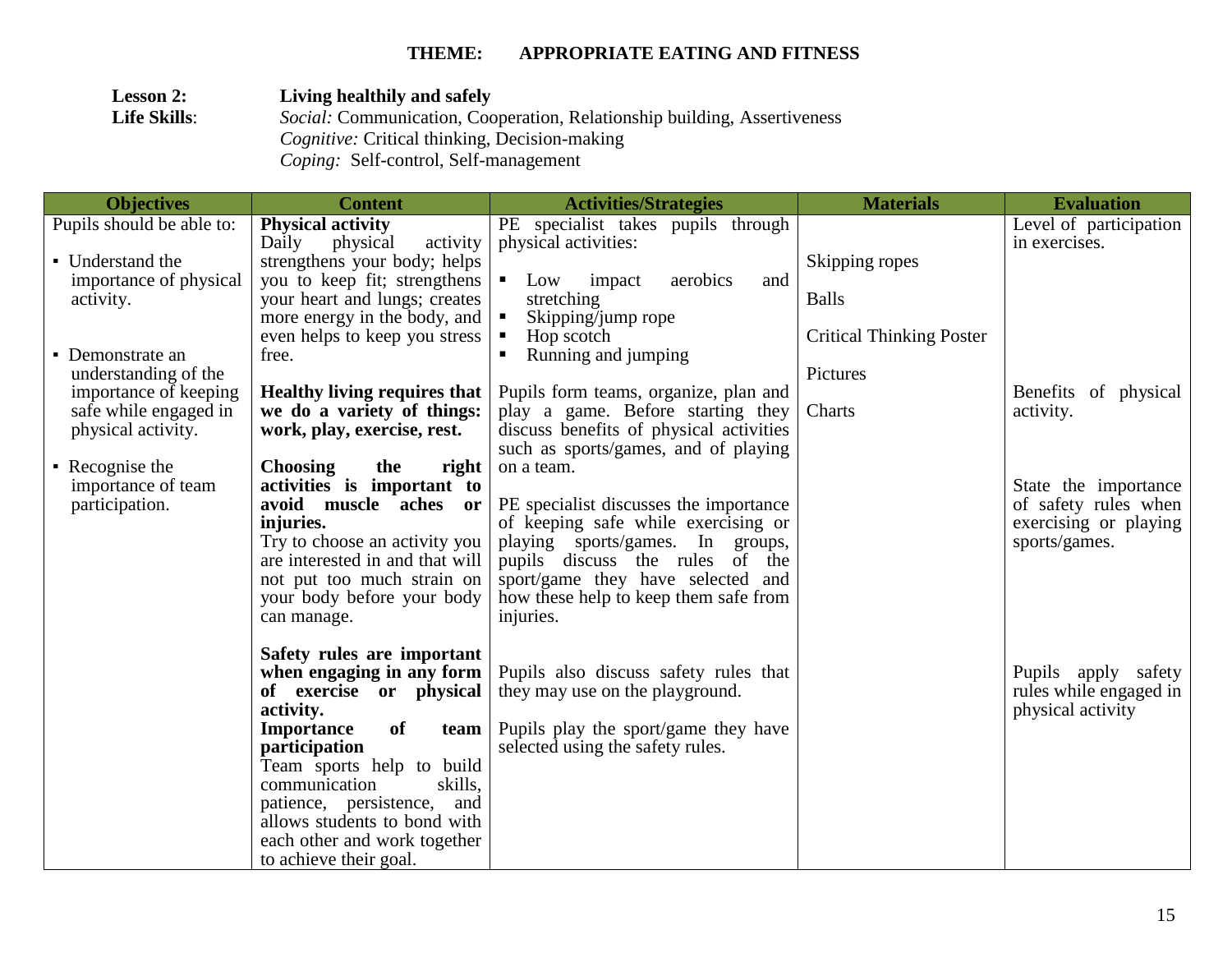| <b>Lesson 2:</b>    | Living healthily and safely                                                     |
|---------------------|---------------------------------------------------------------------------------|
| <b>Life Skills:</b> | <i>Social:</i> Communication, Cooperation, Relationship building, Assertiveness |
|                     | <i>Cognitive:</i> Critical thinking, Decision-making                            |
|                     | <i>Coping:</i> Self-control, Self-management                                    |

| <b>Objectives</b>            | <b>Content</b>                                                | <b>Activities/Strategies</b>                                            | <b>Materials</b>                | <b>Evaluation</b>      |
|------------------------------|---------------------------------------------------------------|-------------------------------------------------------------------------|---------------------------------|------------------------|
| Pupils should be able to:    | <b>Physical activity</b>                                      | PE specialist takes pupils through                                      |                                 | Level of participation |
|                              | Daily<br>physical<br>activity                                 | physical activities:                                                    |                                 | in exercises.          |
| • Understand the             | strengthens your body; helps                                  |                                                                         | Skipping ropes                  |                        |
| importance of physical       | you to keep fit; strengthens                                  | impact<br>aerobics<br>Low<br>$\blacksquare$ .<br>and                    |                                 |                        |
| activity.                    | your heart and lungs; creates                                 | stretching                                                              | <b>Balls</b>                    |                        |
|                              | more energy in the body, and<br>even helps to keep you stress | Skipping/jump rope<br>$\blacksquare$<br>Hop scotch                      | <b>Critical Thinking Poster</b> |                        |
| • Demonstrate an             | free.                                                         | Running and jumping                                                     |                                 |                        |
| understanding of the         |                                                               |                                                                         | Pictures                        |                        |
| importance of keeping        | <b>Healthy living requires that</b>                           | Pupils form teams, organize, plan and                                   |                                 | Benefits of physical   |
| safe while engaged in        | we do a variety of things:                                    | play a game. Before starting they                                       | Charts                          | activity.              |
| physical activity.           | work, play, exercise, rest.                                   | discuss benefits of physical activities                                 |                                 |                        |
|                              |                                                               | such as sports/games, and of playing                                    |                                 |                        |
| $\blacksquare$ Recognise the | <b>Choosing</b><br>the<br>right                               | on a team.                                                              |                                 |                        |
| importance of team           | activities is important to                                    |                                                                         |                                 | State the importance   |
| participation.               | avoid muscle aches or                                         | PE specialist discusses the importance                                  |                                 | of safety rules when   |
|                              | injuries.<br>Try to choose an activity you                    | of keeping safe while exercising or<br>playing sports/games. In groups, |                                 | exercising or playing  |
|                              | are interested in and that will                               | pupils discuss the rules of the                                         |                                 | sports/games.          |
|                              | not put too much strain on                                    | sport/game they have selected and                                       |                                 |                        |
|                              | your body before your body                                    | how these help to keep them safe from                                   |                                 |                        |
|                              | can manage.                                                   | injuries.                                                               |                                 |                        |
|                              |                                                               |                                                                         |                                 |                        |
|                              | Safety rules are important                                    |                                                                         |                                 |                        |
|                              | when engaging in any form                                     | Pupils also discuss safety rules that                                   |                                 | Pupils apply safety    |
|                              | of exercise or physical                                       | they may use on the playground.                                         |                                 | rules while engaged in |
|                              | activity.                                                     |                                                                         |                                 | physical activity      |
|                              | <b>Importance</b><br><b>of</b><br>team                        | Pupils play the sport/game they have                                    |                                 |                        |
|                              | participation<br>Team sports help to build                    | selected using the safety rules.                                        |                                 |                        |
|                              | skills,<br>communication                                      |                                                                         |                                 |                        |
|                              | patience, persistence,<br>and                                 |                                                                         |                                 |                        |
|                              | allows students to bond with                                  |                                                                         |                                 |                        |
|                              | each other and work together                                  |                                                                         |                                 |                        |
|                              | to achieve their goal.                                        |                                                                         |                                 |                        |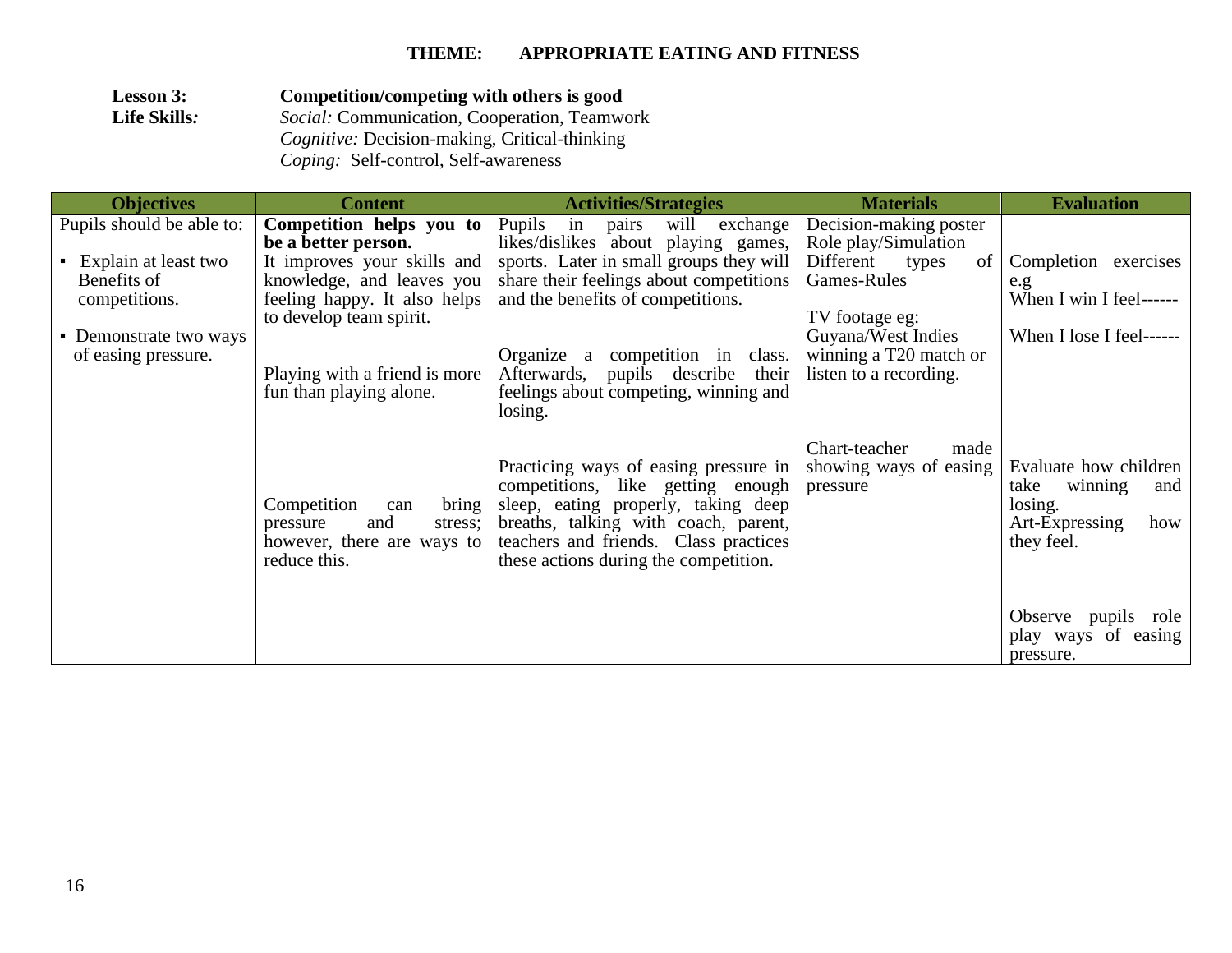| <b>Lesson 3:</b>    | Competition/competing with others is good            |
|---------------------|------------------------------------------------------|
| <b>Life Skills:</b> | Social: Communication, Cooperation, Teamwork         |
|                     | <i>Cognitive:</i> Decision-making, Critical-thinking |
|                     | <i>Coping:</i> Self-control, Self-awareness          |

| <b>Objectives</b>                                 | <b>Content</b>                                                                                          | <b>Activities/Strategies</b>                                                                                                                                                                                                                | <b>Materials</b>                                                           | <b>Evaluation</b>                                                                                 |
|---------------------------------------------------|---------------------------------------------------------------------------------------------------------|---------------------------------------------------------------------------------------------------------------------------------------------------------------------------------------------------------------------------------------------|----------------------------------------------------------------------------|---------------------------------------------------------------------------------------------------|
| Pupils should be able to:<br>Explain at least two | Competition helps you to<br>be a better person.<br>It improves your skills and                          | Pupils<br>exchange<br>will<br>in<br>pairs<br>likes/dislikes about playing games,<br>sports. Later in small groups they will                                                                                                                 | Decision-making poster<br>Role play/Simulation<br>Different<br>types<br>of | Completion exercises                                                                              |
| Benefits of<br>competitions.                      | knowledge, and leaves you<br>feeling happy. It also helps<br>to develop team spirit.                    | share their feelings about competitions<br>and the benefits of competitions.                                                                                                                                                                | Games-Rules<br>TV footage eg:                                              | e.g.<br>When I win I feel------                                                                   |
| • Demonstrate two ways<br>of easing pressure.     | Playing with a friend is more<br>fun than playing alone.                                                | Organize a<br>competition in<br>class.<br>Afterwards, pupils describe<br>their<br>feelings about competing, winning and<br>losing.                                                                                                          | Guyana/West Indies<br>winning a T20 match or<br>listen to a recording.     | When I lose I feel------                                                                          |
|                                                   | Competition<br>bring<br>can<br>and<br>stress;<br>pressure<br>however, there are ways to<br>reduce this. | Practicing ways of easing pressure in<br>competitions, like getting enough<br>sleep, eating properly, taking deep<br>breaths, talking with coach, parent,<br>teachers and friends. Class practices<br>these actions during the competition. | Chart-teacher<br>made<br>showing ways of easing<br>pressure                | Evaluate how children<br>winning<br>and<br>take<br>losing.<br>Art-Expressing<br>how<br>they feel. |
|                                                   |                                                                                                         |                                                                                                                                                                                                                                             |                                                                            | Observe pupils role<br>play ways of easing<br>pressure.                                           |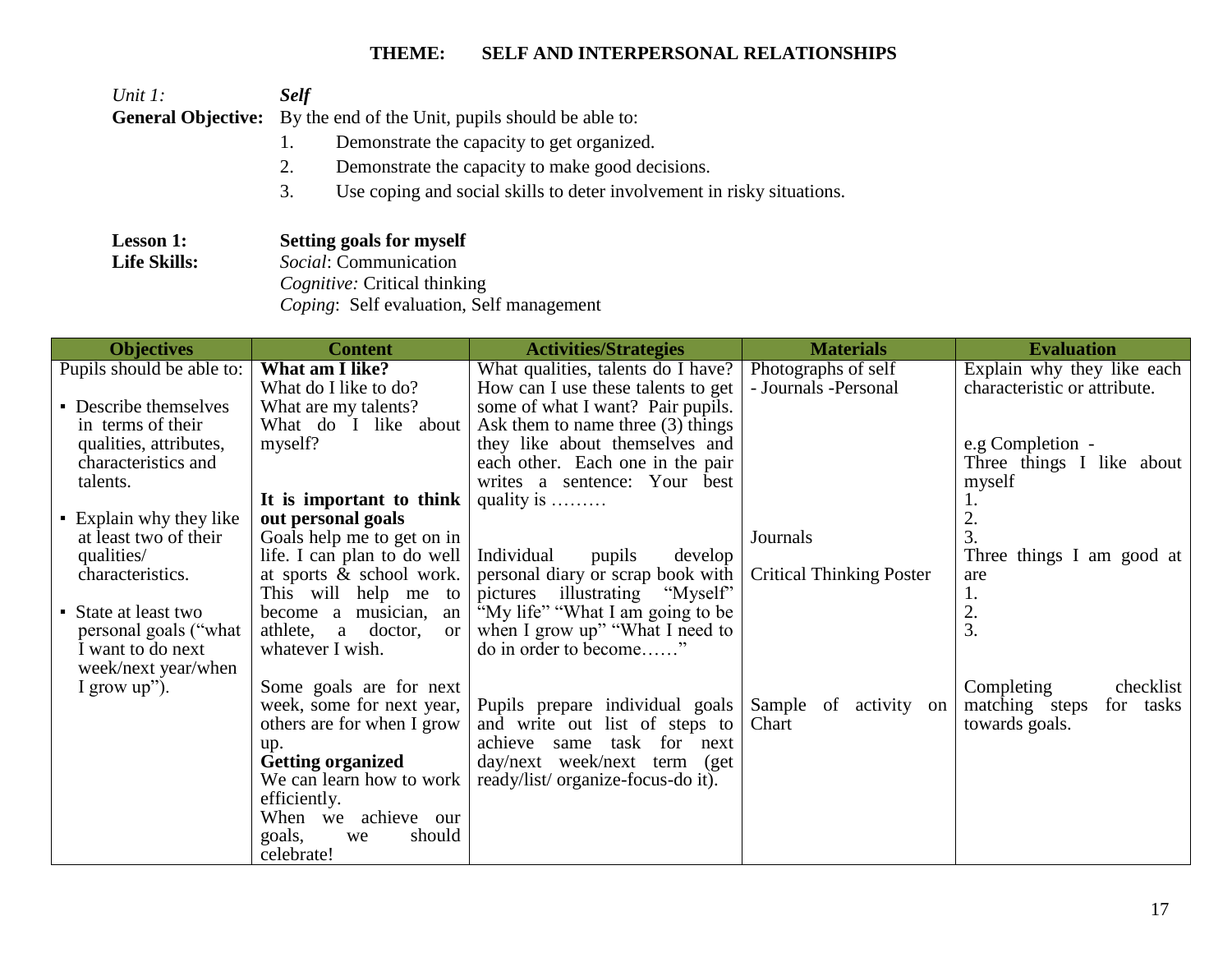| Unit $l$ :                | <b>Self</b>                                                                  |
|---------------------------|------------------------------------------------------------------------------|
| <b>General Objective:</b> | By the end of the Unit, pupils should be able to:                            |
|                           | Demonstrate the capacity to get organized.                                   |
|                           | Demonstrate the capacity to make good decisions.<br>2.                       |
|                           | Use coping and social skills to deter involvement in risky situations.<br>3. |
| <b>Lesson 1:</b>          | Setting goals for myself                                                     |
| <b>Life Skills:</b>       | <i>Social:</i> Communication                                                 |
|                           | Cognitive: Critical thinking                                                 |
|                           | Coping: Self evaluation, Self management                                     |

| <b>Objectives</b>                          | <b>Content</b>                                     | <b>Activities/Strategies</b>                             | <b>Materials</b>                | <b>Evaluation</b>            |
|--------------------------------------------|----------------------------------------------------|----------------------------------------------------------|---------------------------------|------------------------------|
| Pupils should be able to:                  | What am I like?                                    | What qualities, talents do I have?                       | Photographs of self             | Explain why they like each   |
|                                            | What do I like to do?                              | How can I use these talents to get                       | - Journals -Personal            | characteristic or attribute. |
| • Describe themselves                      | What are my talents?                               | some of what I want? Pair pupils.                        |                                 |                              |
| in terms of their                          | What do I like about                               | Ask them to name three $(3)$ things                      |                                 |                              |
| qualities, attributes,                     | myself?                                            | they like about themselves and                           |                                 | e.g Completion -             |
| characteristics and                        |                                                    | each other. Each one in the pair                         |                                 | Three things I like about    |
| talents.                                   |                                                    | writes a sentence: Your best                             |                                 | myself                       |
|                                            | It is important to think                           | quality is $\dots \dots$                                 |                                 |                              |
| • Explain why they like                    | out personal goals                                 |                                                          |                                 | 2.                           |
| at least two of their                      | Goals help me to get on in                         |                                                          | Journals                        | 3.                           |
| qualities/                                 | life. I can plan to do well                        | Individual<br>pupils<br>develop                          |                                 | Three things I am good at    |
| characteristics.                           | at sports & school work.                           | personal diary or scrap book with                        | <b>Critical Thinking Poster</b> | are                          |
|                                            | This will help me to                               | "Myself"<br>illustrating<br>pictures                     |                                 | ī.                           |
| • State at least two                       | become a musician,<br>an                           | "My life" "What I am going to be                         |                                 | 2.<br>3.                     |
| personal goals ("what<br>I want to do next | athlete, a doctor,<br>$\alpha$<br>whatever I wish. | when I grow up" "What I need to<br>do in order to become |                                 |                              |
| week/next year/when                        |                                                    |                                                          |                                 |                              |
| I grow $up$ ").                            | Some goals are for next                            |                                                          |                                 | Completing<br>checklist      |
|                                            | week, some for next year,                          | Pupils prepare individual goals                          | Sample of activity on           | matching steps<br>for tasks  |
|                                            | others are for when I grow                         | and write out list of steps to                           | Chart                           | towards goals.               |
|                                            | up.                                                | task for next<br>achieve same                            |                                 |                              |
|                                            | Getting organized                                  | day/next week/next term (get                             |                                 |                              |
|                                            | We can learn how to work                           | ready/list/ organize-focus-do it).                       |                                 |                              |
|                                            | efficiently.                                       |                                                          |                                 |                              |
|                                            | When we achieve our                                |                                                          |                                 |                              |
|                                            | goals,<br>should<br>we                             |                                                          |                                 |                              |
|                                            | celebrate!                                         |                                                          |                                 |                              |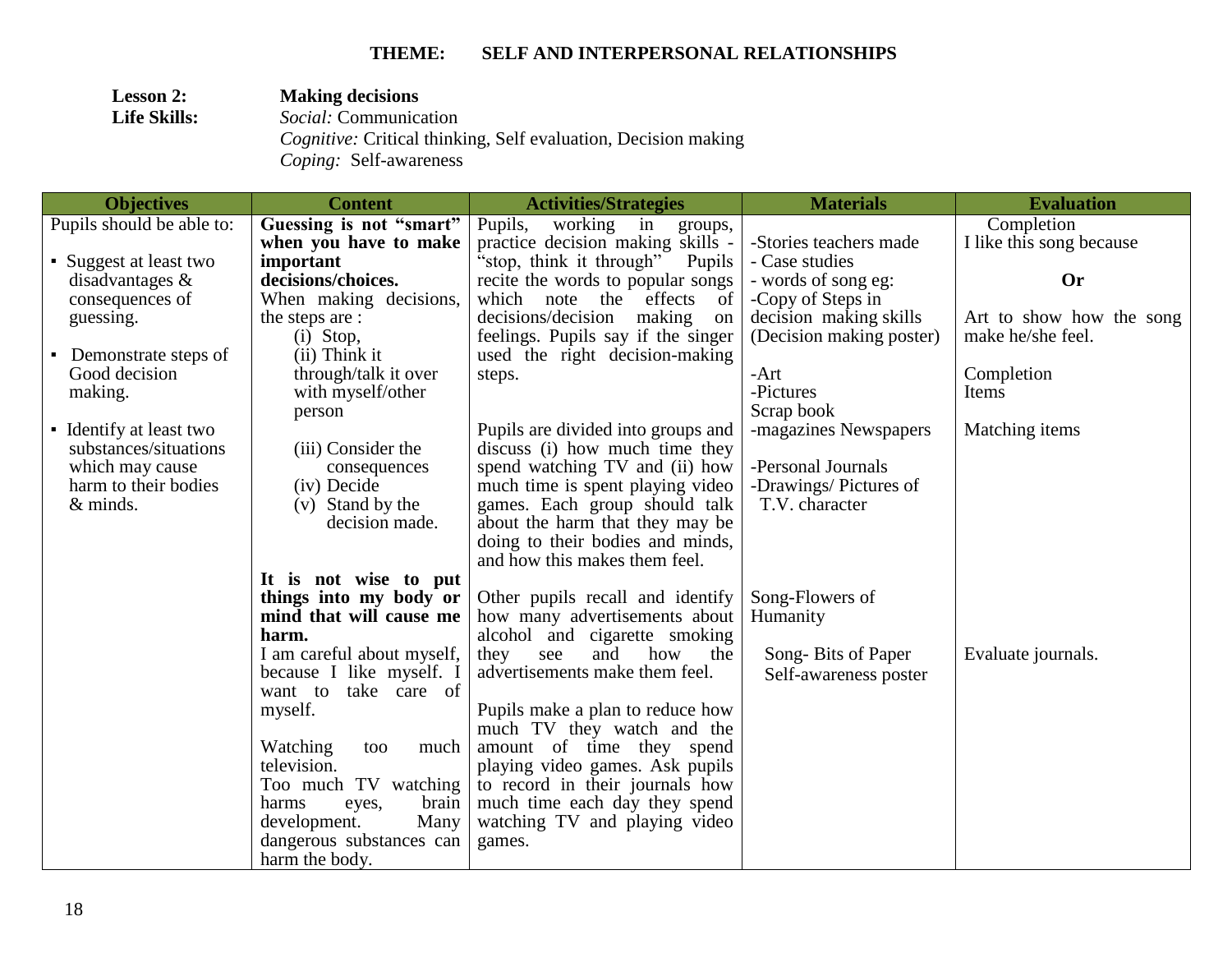| <b>Lesson 2:</b>    | <b>Making decisions</b>                                                                                |
|---------------------|--------------------------------------------------------------------------------------------------------|
| <b>Life Skills:</b> | <i>Social:</i> Communication                                                                           |
|                     | <i>Cognitive:</i> Critical thinking, Self evaluation, Decision making<br><i>Coping:</i> Self-awareness |

| <b>Objectives</b>                      | <b>Content</b>                 | <b>Activities/Strategies</b>                                 | <b>Materials</b>         | <b>Evaluation</b>        |
|----------------------------------------|--------------------------------|--------------------------------------------------------------|--------------------------|--------------------------|
| Pupils should be able to:              | Guessing is not "smart"        | Pupils,<br>working in<br>groups,                             |                          | Completion               |
|                                        | when you have to make          | practice decision making skills -                            | -Stories teachers made   | I like this song because |
| • Suggest at least two                 | important                      | "stop, think it through"<br>Pupils                           | - Case studies           |                          |
| disadvantages $\&$                     | decisions/choices.             | recite the words to popular songs                            | - words of song eg:      | <b>Or</b>                |
| consequences of                        | When making decisions,         | which note the effects<br>-of                                | -Copy of Steps in        |                          |
| guessing.                              | the steps are :                | decisions/decision making<br>on                              | decision making skills   | Art to show how the song |
|                                        | $(i)$ Stop,                    | feelings. Pupils say if the singer                           | (Decision making poster) | make he/she feel.        |
| Demonstrate steps of<br>$\blacksquare$ | (ii) Think it                  | used the right decision-making                               |                          |                          |
| Good decision                          | through/talk it over           | steps.                                                       | $-Art$                   | Completion               |
| making.                                | with myself/other              |                                                              | -Pictures                | Items                    |
|                                        | person                         |                                                              | Scrap book               |                          |
| • Identify at least two                |                                | Pupils are divided into groups and                           | -magazines Newspapers    | Matching items           |
| substances/situations                  | (iii) Consider the             | discuss (i) how much time they                               |                          |                          |
| which may cause                        | consequences                   | spend watching TV and (ii) how                               | -Personal Journals       |                          |
| harm to their bodies                   | (iv) Decide                    | much time is spent playing video                             | -Drawings/Pictures of    |                          |
| $&$ minds.                             | (v) Stand by the               | games. Each group should talk                                | T.V. character           |                          |
|                                        | decision made.                 | about the harm that they may be                              |                          |                          |
|                                        |                                | doing to their bodies and minds,                             |                          |                          |
|                                        |                                | and how this makes them feel.                                |                          |                          |
|                                        | It is not wise to put          |                                                              |                          |                          |
|                                        | things into my body or         | Other pupils recall and identify                             | Song-Flowers of          |                          |
|                                        | mind that will cause me        | how many advertisements about                                | Humanity                 |                          |
|                                        | harm.                          | alcohol and cigarette smoking                                |                          |                          |
|                                        | I am careful about myself,     | and<br>how<br>they<br>see<br>the                             | Song-Bits of Paper       | Evaluate journals.       |
|                                        | because I like myself. I       | advertisements make them feel.                               | Self-awareness poster    |                          |
|                                        | want to take care of           |                                                              |                          |                          |
|                                        | myself.                        | Pupils make a plan to reduce how                             |                          |                          |
|                                        | much                           | much TV they watch and the                                   |                          |                          |
|                                        | Watching<br>too<br>television. | amount of time they spend<br>playing video games. Ask pupils |                          |                          |
|                                        | Too much TV watching           | to record in their journals how                              |                          |                          |
|                                        | brain<br>harms                 | much time each day they spend                                |                          |                          |
|                                        | eyes,<br>Many<br>development.  | watching TV and playing video                                |                          |                          |
|                                        | dangerous substances can       | games.                                                       |                          |                          |
|                                        | harm the body.                 |                                                              |                          |                          |
|                                        |                                |                                                              |                          |                          |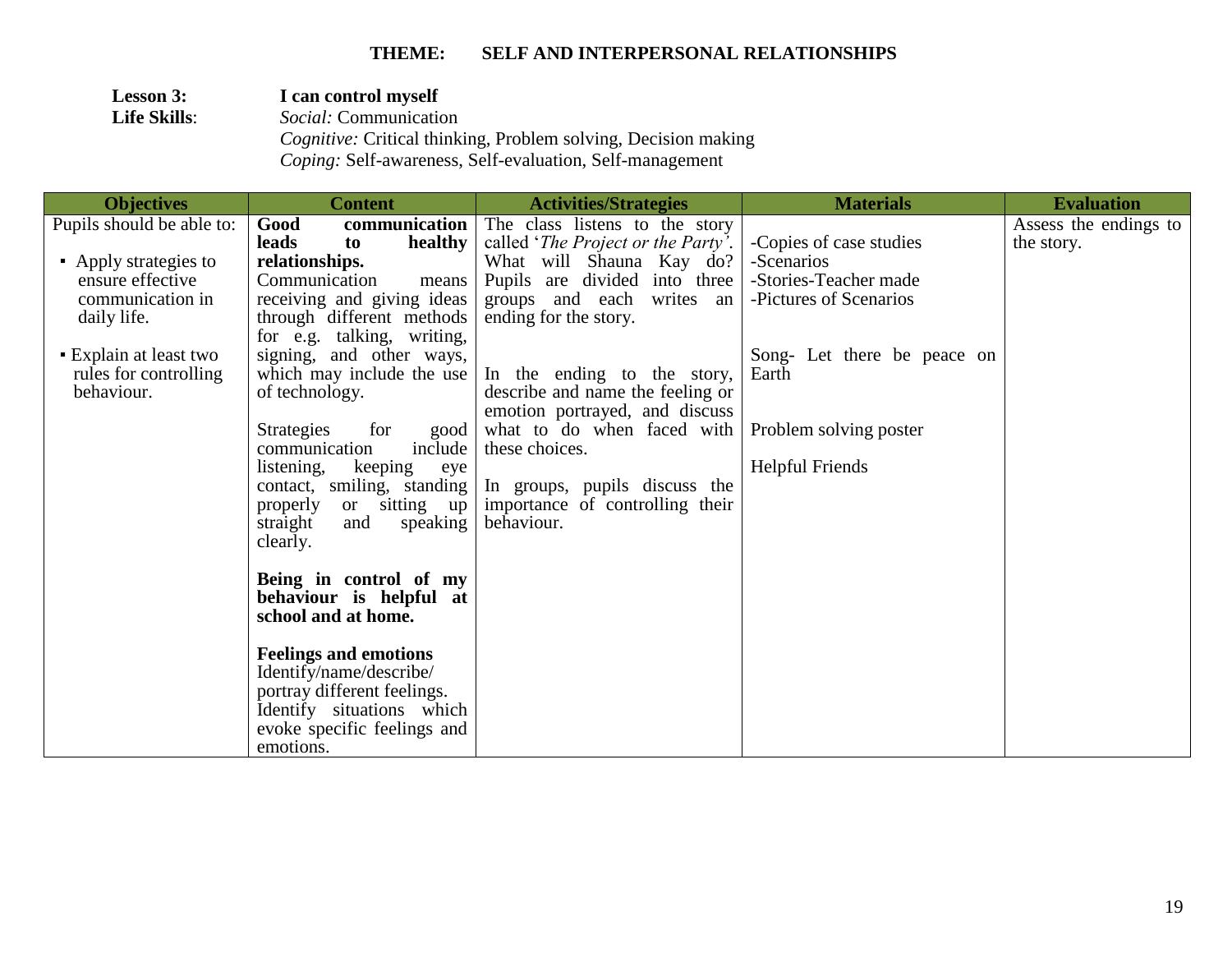| <b>Lesson 3:</b>    | I can control myself                                                  |
|---------------------|-----------------------------------------------------------------------|
| <b>Life Skills:</b> | <i>Social:</i> Communication                                          |
|                     | <i>Cognitive:</i> Critical thinking, Problem solving, Decision making |
|                     | <i>Coping:</i> Self-awareness, Self-evaluation, Self-management       |
|                     |                                                                       |

| <b>Objectives</b>         | <b>Content</b>                                        | <b>Activities/Strategies</b>                 | <b>Materials</b>            | <b>Evaluation</b>     |
|---------------------------|-------------------------------------------------------|----------------------------------------------|-----------------------------|-----------------------|
| Pupils should be able to: | communication<br>Good                                 | The class listens to the story               |                             | Assess the endings to |
|                           | leads<br>healthy<br>to                                | called ' <i>The Project or the Party'</i> .  | -Copies of case studies     | the story.            |
| • Apply strategies to     | relationships.                                        | What will Shauna Kay do?                     | -Scenarios                  |                       |
| ensure effective          | Communication<br>means                                | Pupils are divided into three                | -Stories-Teacher made       |                       |
| communication in          | receiving and giving ideas                            | groups and each writes an                    | -Pictures of Scenarios      |                       |
| daily life.               | through different methods                             | ending for the story.                        |                             |                       |
|                           | for e.g. talking, writing,                            |                                              |                             |                       |
| • Explain at least two    | signing, and other ways,                              |                                              | Song- Let there be peace on |                       |
| rules for controlling     | which may include the use                             | In the ending to the story,                  | Earth                       |                       |
| behaviour.                | of technology.                                        | describe and name the feeling or             |                             |                       |
|                           | for                                                   | emotion portrayed, and discuss               |                             |                       |
|                           | <b>Strategies</b><br>good<br>communication<br>include | what to do when faced with<br>these choices. | Problem solving poster      |                       |
|                           | listening,<br>keeping<br>eye                          |                                              | <b>Helpful Friends</b>      |                       |
|                           | contact, smiling, standing                            | In groups, pupils discuss the                |                             |                       |
|                           | properly<br>or sitting up                             | importance of controlling their              |                             |                       |
|                           | straight<br>speaking<br>and                           | behaviour.                                   |                             |                       |
|                           | clearly.                                              |                                              |                             |                       |
|                           |                                                       |                                              |                             |                       |
|                           | Being in control of my                                |                                              |                             |                       |
|                           | behaviour is helpful at                               |                                              |                             |                       |
|                           | school and at home.                                   |                                              |                             |                       |
|                           |                                                       |                                              |                             |                       |
|                           | <b>Feelings and emotions</b>                          |                                              |                             |                       |
|                           | Identify/name/describe/                               |                                              |                             |                       |
|                           | portray different feelings.                           |                                              |                             |                       |
|                           | Identify situations which                             |                                              |                             |                       |
|                           | evoke specific feelings and                           |                                              |                             |                       |
|                           | emotions.                                             |                                              |                             |                       |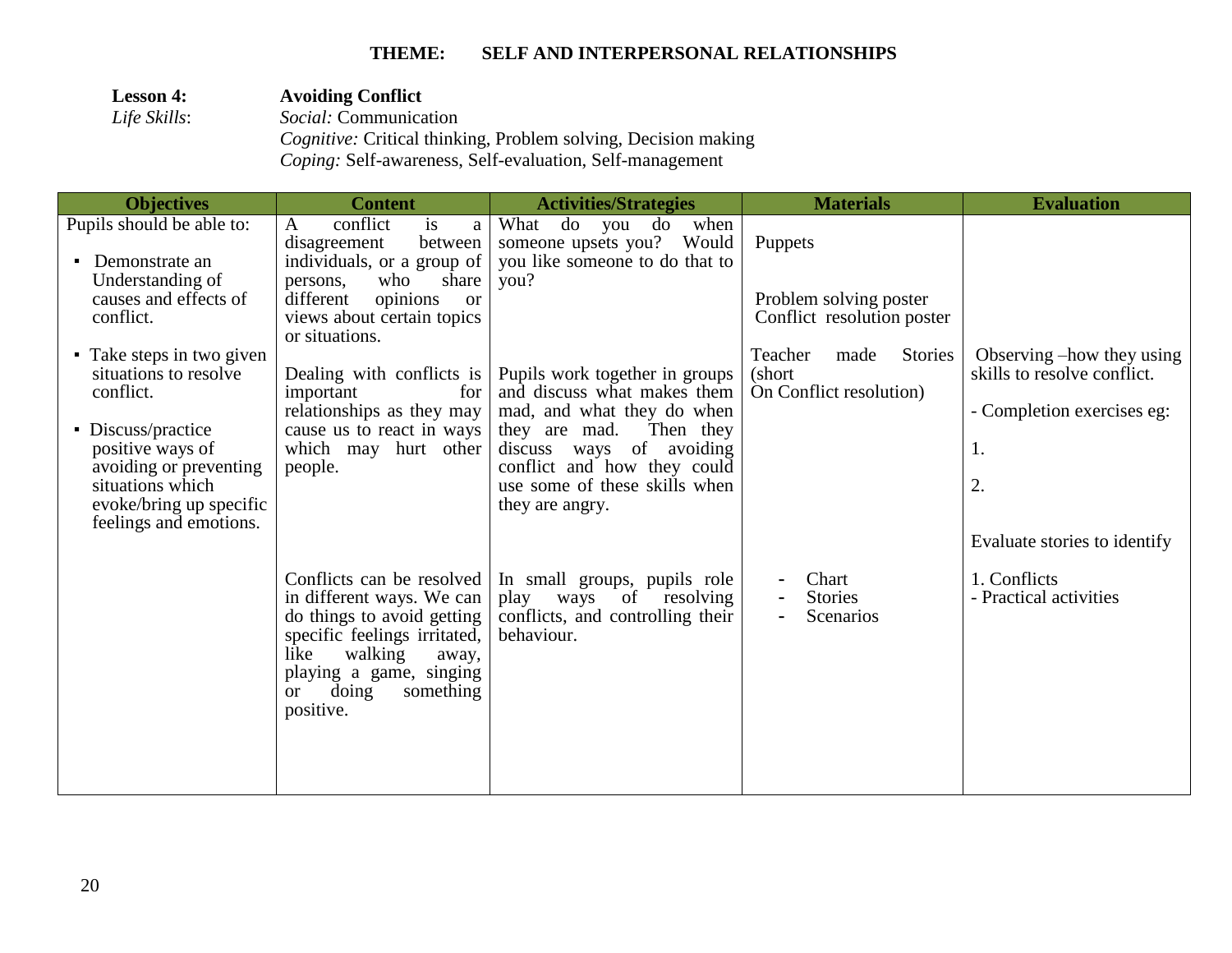| <b>Lesson 4:</b> | <b>Avoiding Conflict</b>                                                                                                                 |
|------------------|------------------------------------------------------------------------------------------------------------------------------------------|
| Life Skills:     | <i>Social:</i> Communication                                                                                                             |
|                  | <i>Cognitive:</i> Critical thinking, Problem solving, Decision making<br><i>Coping:</i> Self-awareness, Self-evaluation, Self-management |

| <b>Objectives</b>                                                                    | <b>Content</b>                                                                                                                                                                                                              | <b>Activities/Strategies</b>                                                                                                                         | <b>Materials</b>                                                 | <b>Evaluation</b>                                                                      |
|--------------------------------------------------------------------------------------|-----------------------------------------------------------------------------------------------------------------------------------------------------------------------------------------------------------------------------|------------------------------------------------------------------------------------------------------------------------------------------------------|------------------------------------------------------------------|----------------------------------------------------------------------------------------|
| Pupils should be able to:<br>Demonstrate an<br>$\blacksquare$                        | conflict<br>$\mathbf{A}$<br>is<br>a<br>between<br>disagreement<br>individuals, or a group of                                                                                                                                | What<br>do you do<br>when<br>someone upsets you? Would<br>you like someone to do that to                                                             | Puppets                                                          |                                                                                        |
| Understanding of<br>causes and effects of<br>conflict.                               | who<br>share<br>persons,<br>different<br>opinions<br><sub>or</sub><br>views about certain topics<br>or situations.                                                                                                          | you?                                                                                                                                                 | Problem solving poster<br>Conflict resolution poster             |                                                                                        |
| • Take steps in two given<br>situations to resolve<br>conflict.                      | Dealing with conflicts is<br>important<br>for<br>relationships as they may                                                                                                                                                  | Pupils work together in groups<br>and discuss what makes them                                                                                        | Teacher<br>Stories<br>made<br>(short<br>On Conflict resolution)  | Observing –how they using<br>skills to resolve conflict.<br>- Completion exercises eg: |
| • Discuss/practice<br>positive ways of<br>avoiding or preventing<br>situations which | cause us to react in ways<br>which may hurt other<br>people.                                                                                                                                                                | mad, and what they do when<br>they are mad.<br>Then they<br>discuss ways of avoiding<br>conflict and how they could<br>use some of these skills when |                                                                  | 1.<br>2.                                                                               |
| evoke/bring up specific<br>feelings and emotions.                                    |                                                                                                                                                                                                                             | they are angry.                                                                                                                                      |                                                                  | Evaluate stories to identify                                                           |
|                                                                                      | Conflicts can be resolved<br>in different ways. We can<br>do things to avoid getting<br>specific feelings irritated,<br>walking<br>like<br>away,<br>playing a game, singing<br>doing<br>something<br><b>or</b><br>positive. | In small groups, pupils role<br>play<br>of resolving<br>ways<br>conflicts, and controlling their<br>behaviour.                                       | Chart<br>$\overline{\phantom{a}}$<br><b>Stories</b><br>Scenarios | 1. Conflicts<br>- Practical activities                                                 |
|                                                                                      |                                                                                                                                                                                                                             |                                                                                                                                                      |                                                                  |                                                                                        |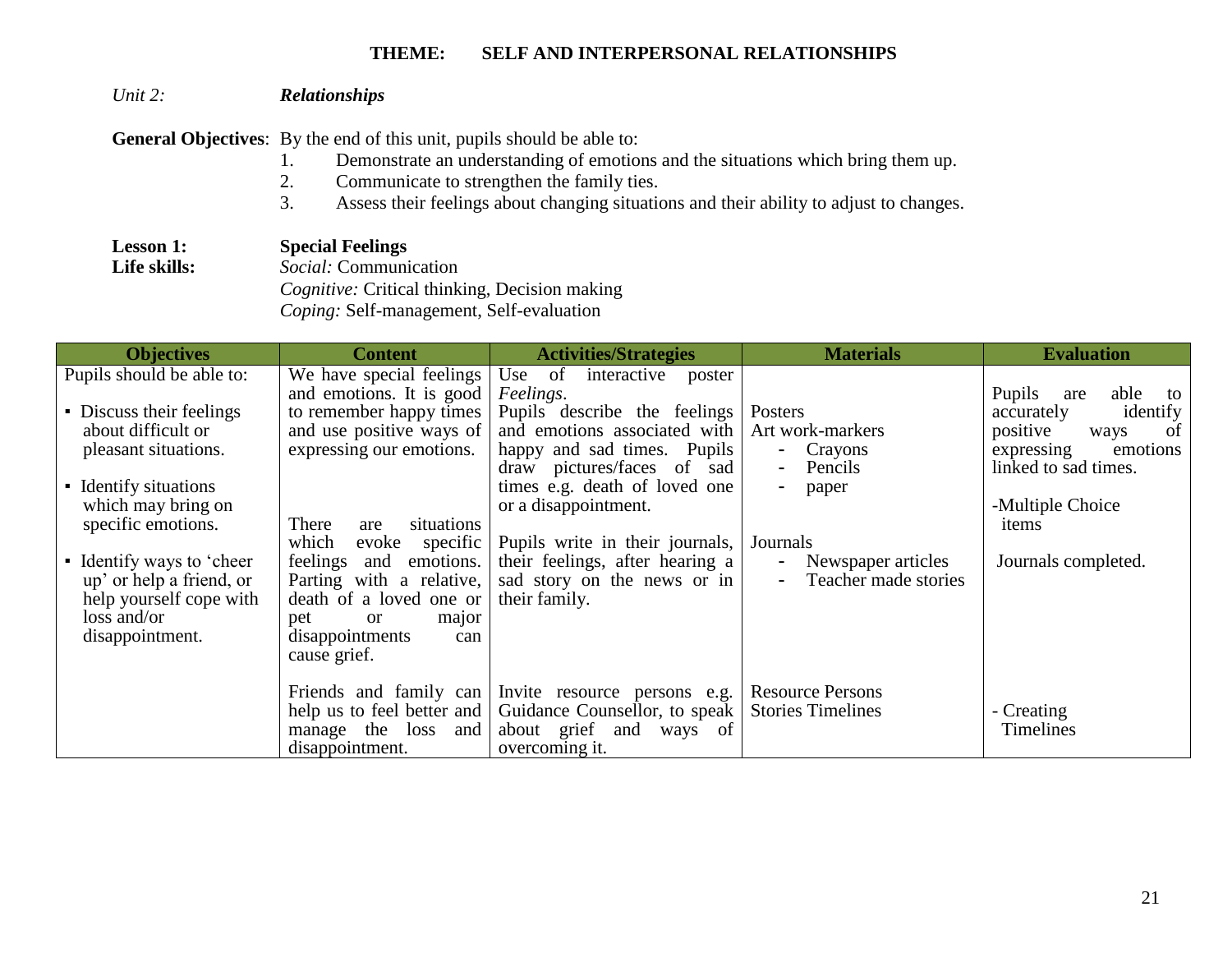#### *Unit 2: Relationships*

**General Objectives**: By the end of this unit, pupils should be able to:

- 1. Demonstrate an understanding of emotions and the situations which bring them up.
- 2. Communicate to strengthen the family ties.
- 3. Assess their feelings about changing situations and their ability to adjust to changes.

**Lesson 1: Special Feelings Life skills:** *Social:* Communication  *Cognitive:* Critical thinking, Decision making  *Coping:* Self-management, Self-evaluation

| <b>Objectives</b>                                              | <b>Content</b>                                                                                                                            | <b>Activities/Strategies</b>                                                       | <b>Materials</b>                               | <b>Evaluation</b>                                |
|----------------------------------------------------------------|-------------------------------------------------------------------------------------------------------------------------------------------|------------------------------------------------------------------------------------|------------------------------------------------|--------------------------------------------------|
| Pupils should be able to:                                      | We have special feelings<br>and emotions. It is good                                                                                      | Use of<br>interactive<br>poster<br>Feelings.                                       |                                                | Pupils<br>able<br>are<br>to                      |
| • Discuss their feelings<br>about difficult or                 | to remember happy times<br>and use positive ways of                                                                                       | Pupils describe the feelings<br>and emotions associated with                       | Posters<br>Art work-markers                    | identify<br>accurately<br>positive<br>of<br>ways |
| pleasant situations.                                           | expressing our emotions.                                                                                                                  | happy and sad times. Pupils<br>draw pictures/faces of sad                          | - Crayons<br>Pencils<br>$\sim$                 | emotions<br>expressing<br>linked to sad times.   |
| • Identify situations<br>which may bring on                    |                                                                                                                                           | times e.g. death of loved one<br>or a disappointment.                              | paper                                          | -Multiple Choice                                 |
|                                                                | specific<br>which<br>evoke                                                                                                                | Pupils write in their journals,                                                    | Journals                                       |                                                  |
| up' or help a friend, or<br>help yourself cope with            | Parting with a relative,<br>death of a loved one or                                                                                       | sad story on the news or in<br>their family.                                       | Teacher made stories                           | Journals completed.                              |
| disappointment.                                                | disappointments<br>can<br>cause grief.                                                                                                    |                                                                                    |                                                |                                                  |
|                                                                | Friends and family can                                                                                                                    | Invite resource persons e.g.                                                       | <b>Resource Persons</b>                        |                                                  |
|                                                                | manage the loss and                                                                                                                       | about grief and ways of                                                            |                                                | <b>Timelines</b>                                 |
| specific emotions.<br>• Identify ways to 'cheer<br>loss and/or | situations<br>There<br>are<br>feelings<br>and emotions.<br>pet<br><sub>or</sub><br>major<br>help us to feel better and<br>disappointment. | their feelings, after hearing a<br>Guidance Counsellor, to speak<br>overcoming it. | Newspaper articles<br><b>Stories Timelines</b> | items<br>- Creating                              |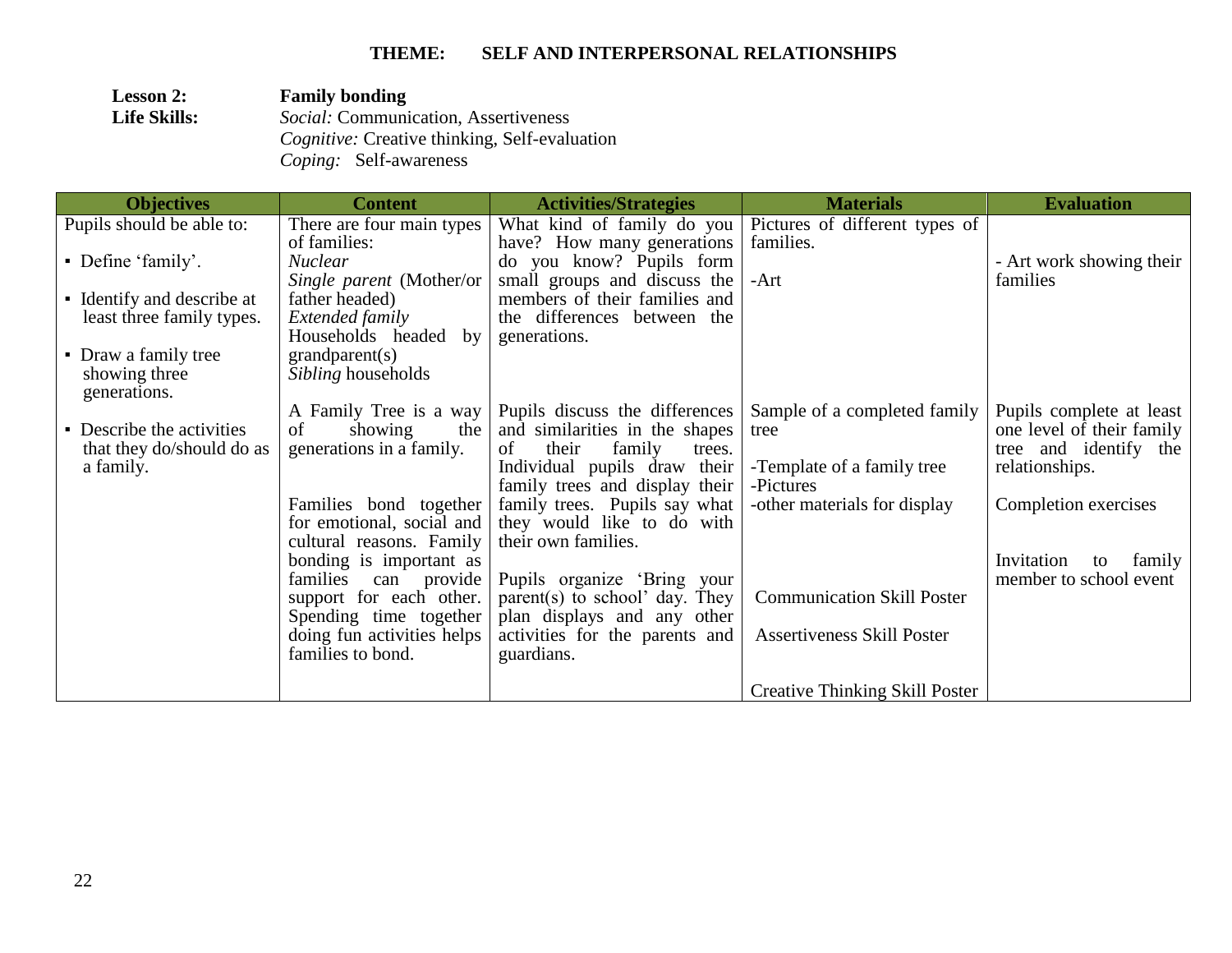| <b>Lesson 2:</b>    | <b>Family bonding</b>                                |
|---------------------|------------------------------------------------------|
| <b>Life Skills:</b> | <i>Social:</i> Communication, Assertiveness          |
|                     | <i>Cognitive:</i> Creative thinking, Self-evaluation |
|                     | <i>Coping:</i> Self-awareness                        |

| <b>Objectives</b>                                                                                                                                   | <b>Content</b>                                                                                                                                                                                                                                                                                                              | <b>Activities/Strategies</b>                                                                                                                                                                                                                                                                                                                                                                                | <b>Materials</b>                                                                                                                                                                                                                   | <b>Evaluation</b>                                                                                                                                                                |
|-----------------------------------------------------------------------------------------------------------------------------------------------------|-----------------------------------------------------------------------------------------------------------------------------------------------------------------------------------------------------------------------------------------------------------------------------------------------------------------------------|-------------------------------------------------------------------------------------------------------------------------------------------------------------------------------------------------------------------------------------------------------------------------------------------------------------------------------------------------------------------------------------------------------------|------------------------------------------------------------------------------------------------------------------------------------------------------------------------------------------------------------------------------------|----------------------------------------------------------------------------------------------------------------------------------------------------------------------------------|
| Pupils should be able to:<br>• Define 'family'.<br>• Identify and describe at<br>least three family types.<br>• Draw a family tree<br>showing three | There are four main types<br>of families:<br><b>Nuclear</b><br>Single parent (Mother/or<br>father headed)<br>Extended family<br>Households headed<br>by<br>grandparent(s)<br><i>Sibling</i> households                                                                                                                      | have? How many generations<br>do you know? Pupils form<br>small groups and discuss the<br>members of their families and<br>the differences between the<br>generations.                                                                                                                                                                                                                                      | What kind of family do you   Pictures of different types of<br>families.<br>-Art                                                                                                                                                   | - Art work showing their<br>families                                                                                                                                             |
| generations.<br>• Describe the activities<br>that they do/should do as<br>a family.                                                                 | A Family Tree is a way<br>of<br>showing<br>the<br>generations in a family.<br>Families bond together<br>for emotional, social and<br>cultural reasons. Family<br>bonding is important as<br>families<br>can provide<br>support for each other.<br>Spending time together<br>doing fun activities helps<br>families to bond. | Pupils discuss the differences<br>and similarities in the shapes<br>their<br>family<br>of<br>trees.<br>Individual pupils draw their<br>family trees and display their<br>family trees. Pupils say what<br>they would like to do with<br>their own families.<br>Pupils organize 'Bring your<br>parent(s) to school' day. They<br>plan displays and any other<br>activities for the parents and<br>guardians. | Sample of a completed family<br>tree<br>-Template of a family tree<br>-Pictures<br>-other materials for display<br><b>Communication Skill Poster</b><br><b>Assertiveness Skill Poster</b><br><b>Creative Thinking Skill Poster</b> | Pupils complete at least<br>one level of their family<br>tree and identify the<br>relationships.<br>Completion exercises<br>Invitation<br>family<br>to<br>member to school event |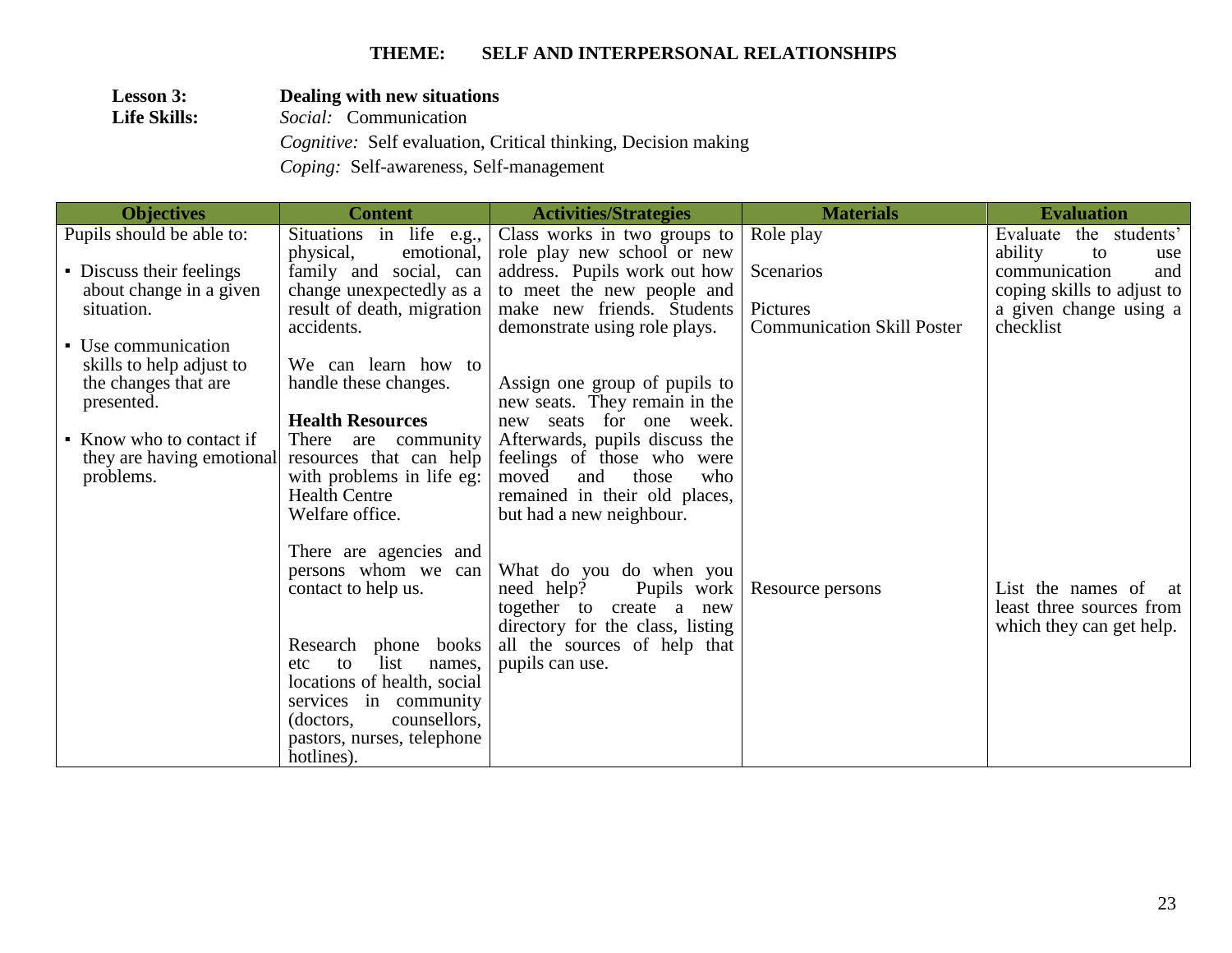## **Lesson 3: Dealing with new situations**<br>**Life Skills:** *Social:* Communication **Life Skills:** *Social:* Communication  *Cognitive:* Self evaluation, Critical thinking, Decision making

 *Coping:* Self-awareness, Self-management

| <b>Objectives</b>         | <b>Content</b>                                     | <b>Activities/Strategies</b>     | <b>Materials</b>                              | <b>Evaluation</b>                   |
|---------------------------|----------------------------------------------------|----------------------------------|-----------------------------------------------|-------------------------------------|
| Pupils should be able to: | $\overline{\text{Situations}}$ in life e.g.,       | Class works in two groups to     | Role play                                     | the students'<br>Evaluate           |
|                           | physical,<br>emotional,                            | role play new school or new      |                                               | ability<br>to<br>use                |
| • Discuss their feelings  | family and social, can                             | address. Pupils work out how     | Scenarios                                     | communication<br>and                |
| about change in a given   | change unexpectedly as a                           | to meet the new people and       |                                               | coping skills to adjust to          |
| situation.                | result of death, migration<br>accidents.           | make new friends. Students       | Pictures<br><b>Communication Skill Poster</b> | a given change using a<br>checklist |
| • Use communication       |                                                    | demonstrate using role plays.    |                                               |                                     |
| skills to help adjust to  | We can learn how to                                |                                  |                                               |                                     |
| the changes that are      | handle these changes.                              | Assign one group of pupils to    |                                               |                                     |
| presented.                |                                                    | new seats. They remain in the    |                                               |                                     |
|                           | <b>Health Resources</b>                            | new seats for one week.          |                                               |                                     |
| • Know who to contact if  | There are community                                | Afterwards, pupils discuss the   |                                               |                                     |
| they are having emotional | resources that can help                            | feelings of those who were       |                                               |                                     |
| problems.                 | with problems in life eg:                          | and<br>those<br>moved<br>who     |                                               |                                     |
|                           | <b>Health Centre</b><br>Welfare office.            | remained in their old places,    |                                               |                                     |
|                           |                                                    | but had a new neighbour.         |                                               |                                     |
|                           | There are agencies and                             |                                  |                                               |                                     |
|                           | persons whom we can                                | What do you do when you          |                                               |                                     |
|                           | contact to help us.                                | need help?<br>Pupils work        | Resource persons                              | List the names of<br>at             |
|                           |                                                    | together to create a new         |                                               | least three sources from            |
|                           |                                                    | directory for the class, listing |                                               | which they can get help.            |
|                           | Research phone books                               | all the sources of help that     |                                               |                                     |
|                           | list<br>to<br>names,<br>etc                        | pupils can use.                  |                                               |                                     |
|                           | locations of health, social                        |                                  |                                               |                                     |
|                           | services in community<br>counsellors,<br>(doctors, |                                  |                                               |                                     |
|                           | pastors, nurses, telephone                         |                                  |                                               |                                     |
|                           | hotlines).                                         |                                  |                                               |                                     |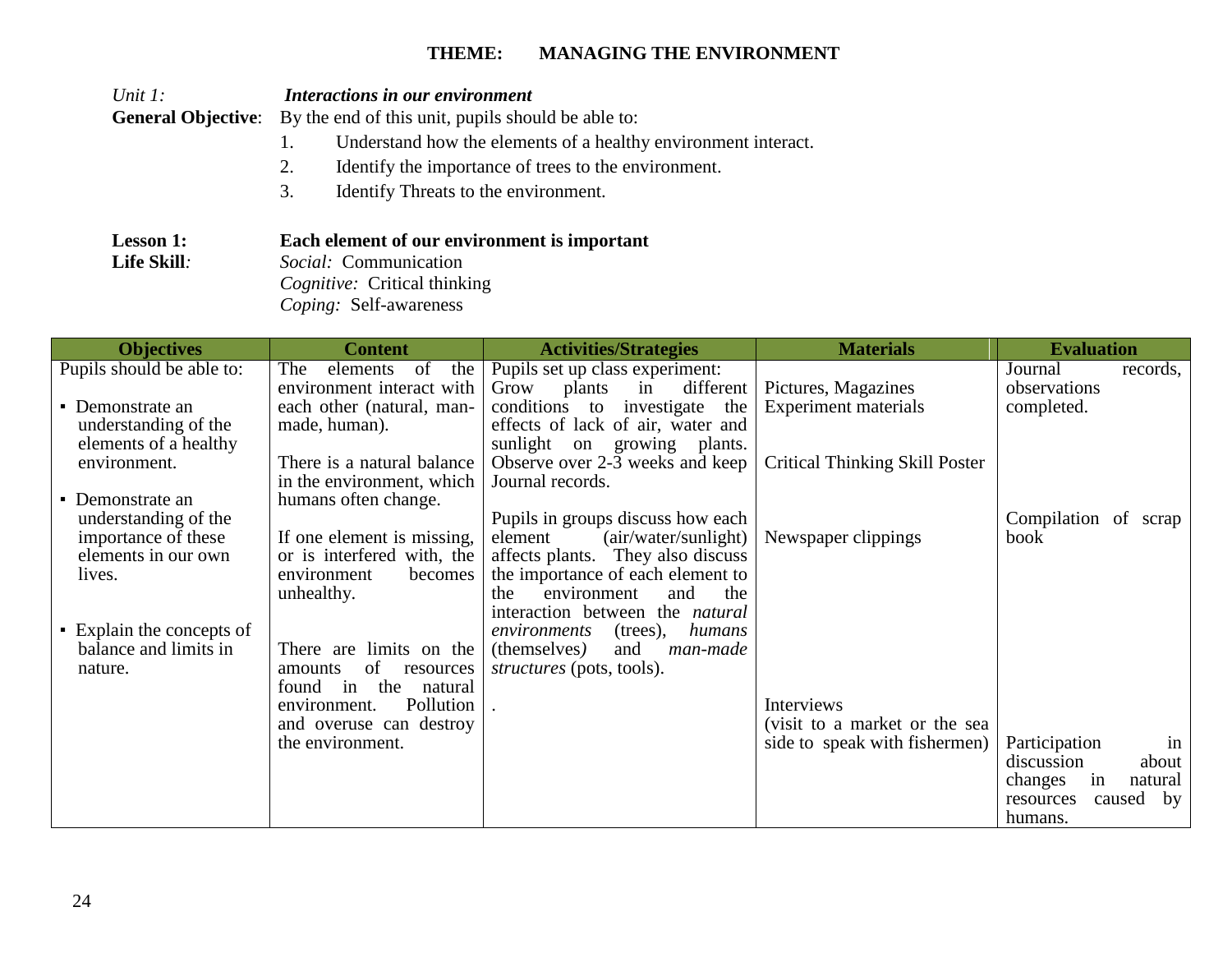| Unit $l$ :<br><b>General Objective:</b>                                                                                                                                                                                                                                             | Interactions in our environment<br>By the end of this unit, pupils should be able to:<br>$1_{-}$<br>2.<br>3.<br>Identify Threats to the environment.                                                                                                                                                                                                    | Understand how the elements of a healthy environment interact.<br>Identify the importance of trees to the environment.                                                                                                                                                                                                                                                                                                                                                                                                                                              |                                                                                                                    |                                                                                                             |
|-------------------------------------------------------------------------------------------------------------------------------------------------------------------------------------------------------------------------------------------------------------------------------------|---------------------------------------------------------------------------------------------------------------------------------------------------------------------------------------------------------------------------------------------------------------------------------------------------------------------------------------------------------|---------------------------------------------------------------------------------------------------------------------------------------------------------------------------------------------------------------------------------------------------------------------------------------------------------------------------------------------------------------------------------------------------------------------------------------------------------------------------------------------------------------------------------------------------------------------|--------------------------------------------------------------------------------------------------------------------|-------------------------------------------------------------------------------------------------------------|
| Lesson 1:<br>Life Skill:                                                                                                                                                                                                                                                            | Each element of our environment is important<br>Social: Communication<br>Cognitive: Critical thinking<br>Coping: Self-awareness                                                                                                                                                                                                                         |                                                                                                                                                                                                                                                                                                                                                                                                                                                                                                                                                                     |                                                                                                                    |                                                                                                             |
| <b>Objectives</b>                                                                                                                                                                                                                                                                   | <b>Content</b>                                                                                                                                                                                                                                                                                                                                          | <b>Activities/Strategies</b>                                                                                                                                                                                                                                                                                                                                                                                                                                                                                                                                        | <b>Materials</b>                                                                                                   | <b>Evaluation</b>                                                                                           |
| Pupils should be able to:<br>• Demonstrate an<br>understanding of the<br>elements of a healthy<br>environment.<br>• Demonstrate an<br>understanding of the<br>importance of these<br>elements in our own<br>lives.<br>• Explain the concepts of<br>balance and limits in<br>nature. | The<br>elements<br>of<br>the<br>environment interact with<br>each other (natural, man-<br>made, human).<br>There is a natural balance<br>in the environment, which<br>humans often change.<br>If one element is missing,<br>or is interfered with, the<br>environment<br>becomes<br>unhealthy.<br>There are limits on the<br>of<br>amounts<br>resources | Pupils set up class experiment:<br>Grow<br>plants<br>in<br>different<br>conditions to investigate the<br>effects of lack of air, water and<br>sunlight on growing plants.<br>Observe over 2-3 weeks and keep<br>Journal records.<br>Pupils in groups discuss how each<br>(air/water/sunlight)<br>element<br>affects plants. They also discuss<br>the importance of each element to<br>environment<br>the.<br>and<br>the<br>interaction between the natural<br>environments<br>$(trees)$ ,<br>humans<br>(themselves)<br>and<br>man-made<br>structures (pots, tools). | Pictures, Magazines<br><b>Experiment materials</b><br><b>Critical Thinking Skill Poster</b><br>Newspaper clippings | Journal<br>records,<br>observations<br>completed.<br>Compilation of scrap<br>book                           |
|                                                                                                                                                                                                                                                                                     | found in the natural<br>Pollution<br>environment.<br>and overuse can destroy<br>the environment.                                                                                                                                                                                                                                                        |                                                                                                                                                                                                                                                                                                                                                                                                                                                                                                                                                                     | Interviews<br>(visit to a market or the sea<br>side to speak with fishermen)                                       | Participation<br>in<br>discussion<br>about<br>changes<br>in<br>natural<br>resources<br>caused by<br>humans. |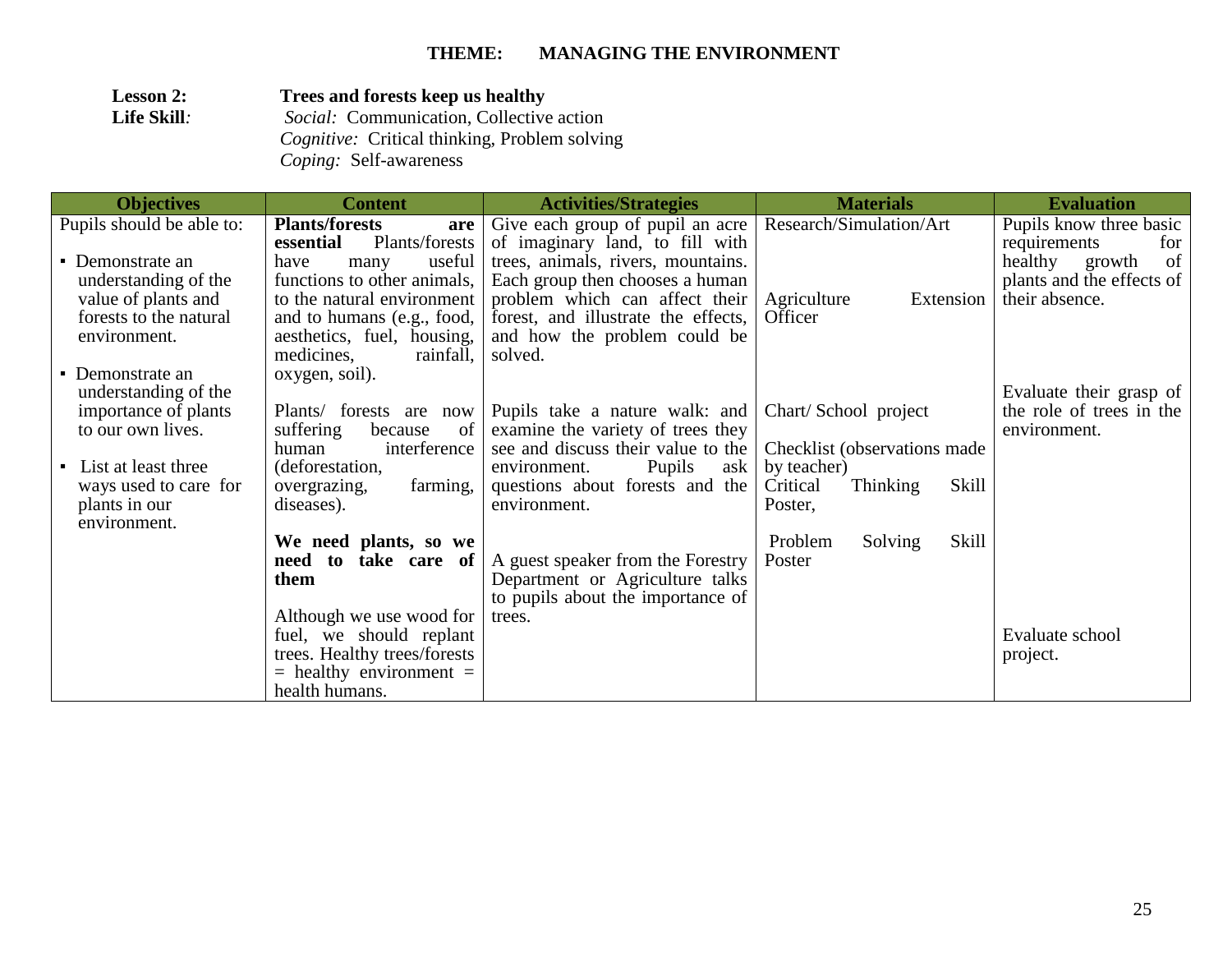| <b>Lesson 2:</b> | Trees and forests keep us healthy                    |
|------------------|------------------------------------------------------|
| Life Skill:      | <i>Social:</i> Communication, Collective action      |
|                  | <i>Cognitive:</i> Critical thinking, Problem solving |
|                  | <i>Coping:</i> Self-awareness                        |

| <b>Objectives</b>                             | <b>Content</b>                                              | <b>Activities/Strategies</b>                                            | <b>Materials</b>                      | <b>Evaluation</b>                              |
|-----------------------------------------------|-------------------------------------------------------------|-------------------------------------------------------------------------|---------------------------------------|------------------------------------------------|
| Pupils should be able to:                     | <b>Plants/forests</b><br>are<br>Plants/forests<br>essential | Give each group of pupil an acre<br>of imaginary land, to fill with     | Research/Simulation/Art               | Pupils know three basic<br>requirements<br>for |
| • Demonstrate an                              | useful<br>have<br>many                                      | trees, animals, rivers, mountains.                                      |                                       | of<br>healthy<br>growth                        |
| understanding of the                          | functions to other animals,                                 | Each group then chooses a human                                         |                                       | plants and the effects of                      |
| value of plants and<br>forests to the natural | to the natural environment                                  | problem which can affect their<br>forest, and illustrate the effects,   | Agriculture<br>Extension<br>Officer   | their absence.                                 |
| environment.                                  | and to humans (e.g., food,<br>aesthetics, fuel, housing,    | and how the problem could be                                            |                                       |                                                |
|                                               | medicines,<br>rainfall,                                     | solved.                                                                 |                                       |                                                |
| • Demonstrate an                              | oxygen, soil).                                              |                                                                         |                                       |                                                |
| understanding of the                          |                                                             |                                                                         |                                       | Evaluate their grasp of                        |
| importance of plants                          | Plants/ forests are<br>now                                  | Pupils take a nature walk: and                                          | Chart/School project                  | the role of trees in the                       |
| to our own lives.                             | suffering<br>because<br>of<br>interference<br>human         | examine the variety of trees they<br>see and discuss their value to the | Checklist (observations made)         | environment.                                   |
| • List at least three                         | (deforestation,                                             | Pupils<br>environment.<br>ask                                           | by teacher)                           |                                                |
| ways used to care for                         | farming,<br>overgrazing,                                    | questions about forests and the                                         | Skill<br>Critical<br><b>Thinking</b>  |                                                |
| plants in our                                 | diseases).                                                  | environment.                                                            | Poster.                               |                                                |
| environment.                                  |                                                             |                                                                         |                                       |                                                |
|                                               | We need plants, so we<br>need to<br>take care of            | A guest speaker from the Forestry                                       | Skill<br>Problem<br>Solving<br>Poster |                                                |
|                                               | them                                                        | Department or Agriculture talks                                         |                                       |                                                |
|                                               |                                                             | to pupils about the importance of                                       |                                       |                                                |
|                                               | Although we use wood for                                    | trees.                                                                  |                                       |                                                |
|                                               | fuel, we should replant                                     |                                                                         |                                       | Evaluate school                                |
|                                               | trees. Healthy trees/forests                                |                                                                         |                                       | project.                                       |
|                                               | $=$ healthy environment $=$<br>health humans.               |                                                                         |                                       |                                                |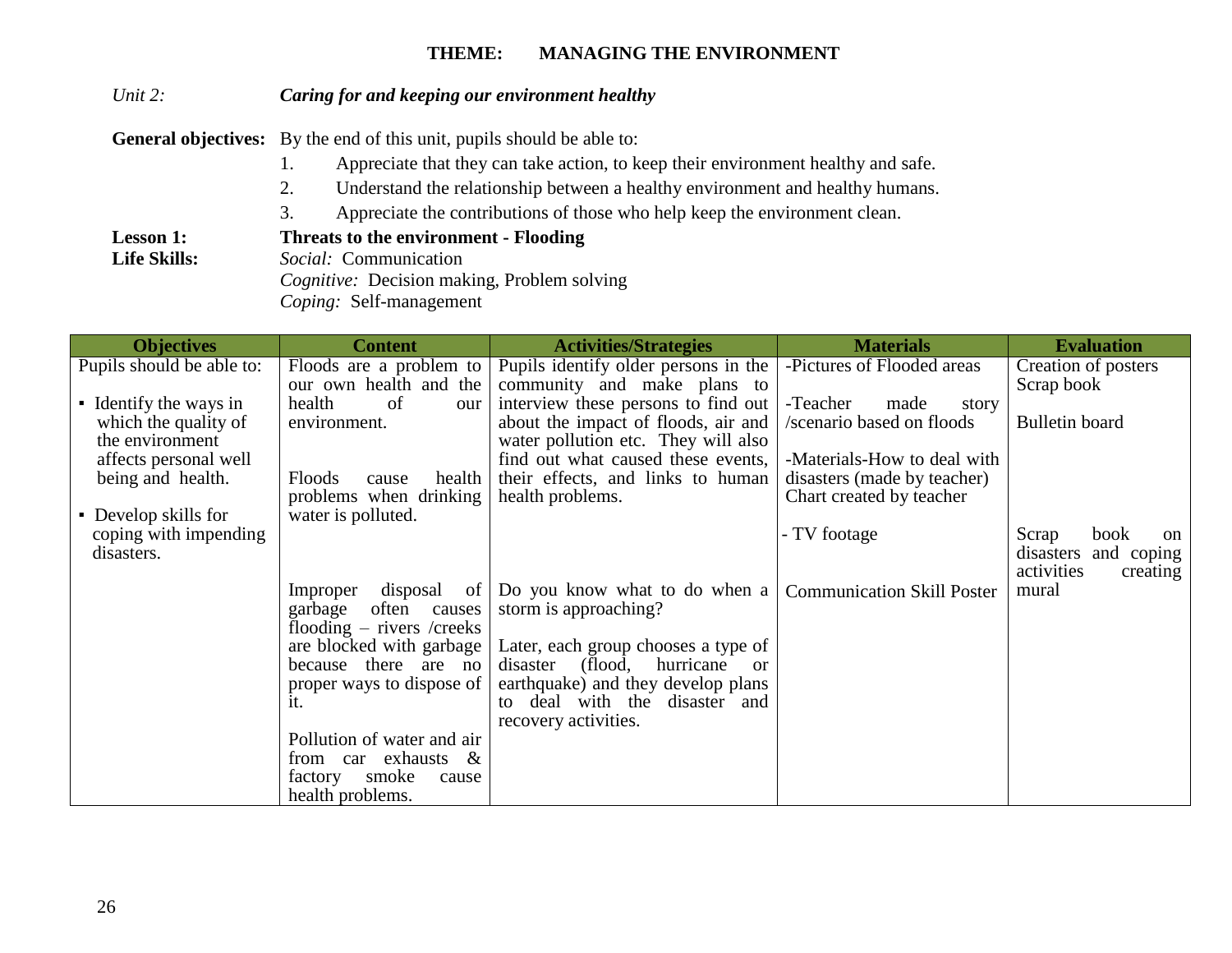### *Unit 2: Caring for and keeping our environment healthy*

General objectives: By the end of this unit, pupils should be able to:

- 1. Appreciate that they can take action, to keep their environment healthy and safe.
- 2. Understand the relationship between a healthy environment and healthy humans.
- 3. Appreciate the contributions of those who help keep the environment clean.

**Lesson 1: Threats to the environment - Flooding** 

**Life Skills:** *Social:* Communication

 *Cognitive:* Decision making, Problem solving

 *Coping:* Self-management

| <b>Objectives</b>                          | <b>Content</b>                                          | <b>Activities/Strategies</b>                                              | <b>Materials</b>                  | <b>Evaluation</b>              |
|--------------------------------------------|---------------------------------------------------------|---------------------------------------------------------------------------|-----------------------------------|--------------------------------|
| Pupils should be able to:                  | Floods are a problem to                                 | Pupils identify older persons in the                                      | -Pictures of Flooded areas        | Creation of posters            |
|                                            | our own health and the                                  | community and make plans to                                               |                                   | Scrap book                     |
| • Identify the ways in                     | health<br>of<br>our                                     | interview these persons to find out                                       | -Teacher<br>made<br>story         |                                |
| which the quality of                       | environment.                                            | about the impact of floods, air and                                       | /scenario based on floods         | Bulletin board                 |
| the environment                            |                                                         | water pollution etc. They will also<br>find out what caused these events, | -Materials-How to deal with       |                                |
| affects personal well<br>being and health. | Floods<br>health<br>cause                               | their effects, and links to human                                         | disasters (made by teacher)       |                                |
|                                            | problems when drinking                                  | health problems.                                                          | Chart created by teacher          |                                |
| • Develop skills for                       | water is polluted.                                      |                                                                           |                                   |                                |
| coping with impending                      |                                                         |                                                                           | - TV footage                      | Scrap<br>book<br><sub>on</sub> |
| disasters.                                 |                                                         |                                                                           |                                   | disasters<br>and coping        |
|                                            |                                                         |                                                                           |                                   | activities<br>creating         |
|                                            | disposal<br>Improper<br>of <sub>1</sub>                 | Do you know what to do when a                                             | <b>Communication Skill Poster</b> | mural                          |
|                                            | garbage<br>often<br>causes                              | storm is approaching?                                                     |                                   |                                |
|                                            | flooding $-$ rivers /creeks<br>are blocked with garbage | Later, each group chooses a type of                                       |                                   |                                |
|                                            | because there are no                                    | hurricane<br>(flood,<br>disaster<br><sub>or</sub>                         |                                   |                                |
|                                            | proper ways to dispose of                               | earthquake) and they develop plans                                        |                                   |                                |
|                                            | it.                                                     | to deal with the disaster and                                             |                                   |                                |
|                                            |                                                         | recovery activities.                                                      |                                   |                                |
|                                            | Pollution of water and air                              |                                                                           |                                   |                                |
|                                            | from car exhausts $\&$                                  |                                                                           |                                   |                                |
|                                            | smoke<br>factory<br>cause                               |                                                                           |                                   |                                |
|                                            | health problems.                                        |                                                                           |                                   |                                |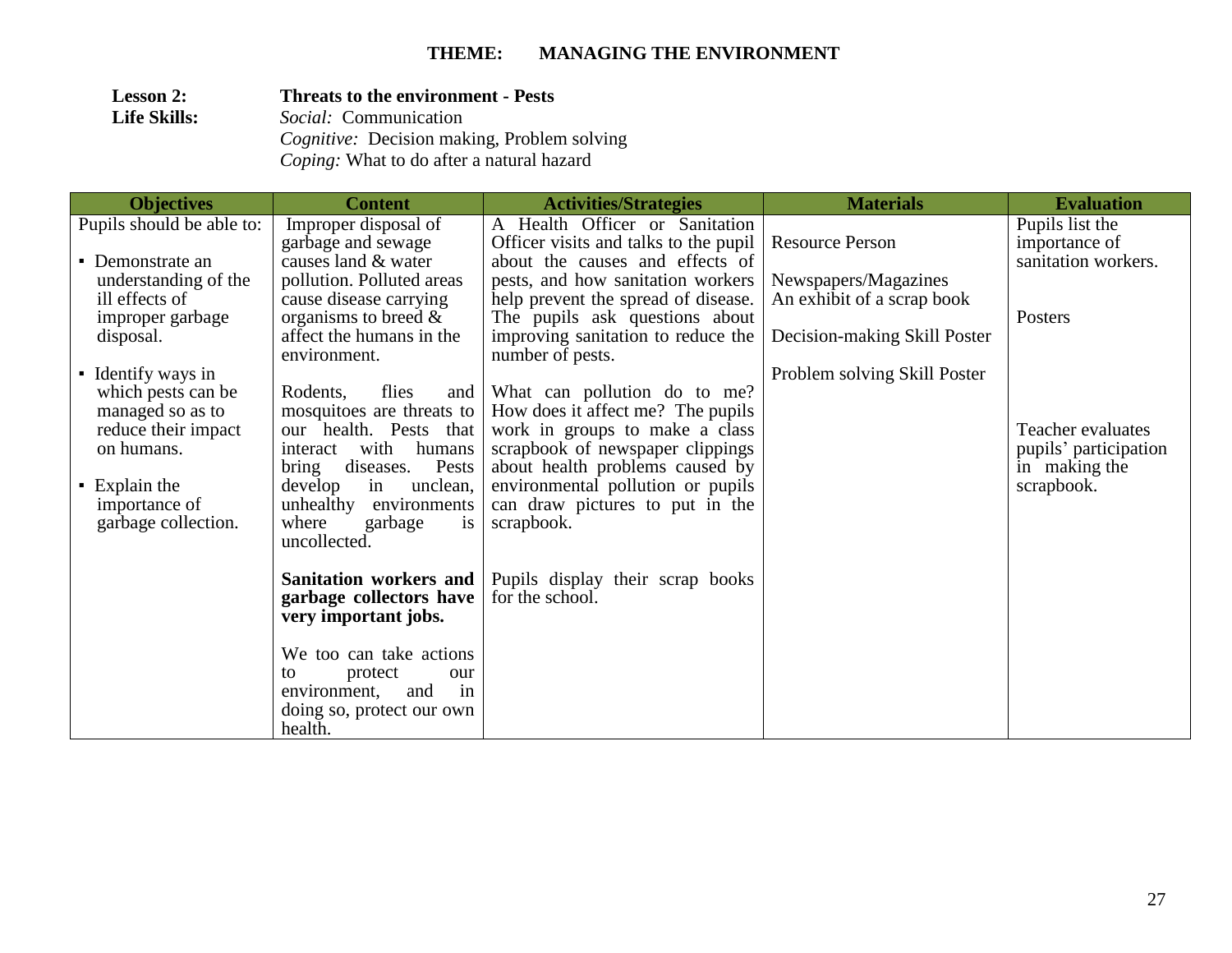### **Lesson 2:** Threats to the environment - Pests<br>Life Skills: Social: Communication **Life Skills:** *Social:* Communication  *Cognitive:* Decision making, Problem solving  *Coping:* What to do after a natural hazard

| <b>Objectives</b>                        | <b>Content</b>                      | <b>Activities/Strategies</b>          | <b>Materials</b>             | <b>Evaluation</b>     |
|------------------------------------------|-------------------------------------|---------------------------------------|------------------------------|-----------------------|
| Pupils should be able to:                | Improper disposal of                | A Health Officer or Sanitation        |                              | Pupils list the       |
|                                          | garbage and sewage                  | Officer visits and talks to the pupil | <b>Resource Person</b>       | importance of         |
| • Demonstrate an                         | causes land & water                 | about the causes and effects of       |                              | sanitation workers.   |
| understanding of the                     | pollution. Polluted areas           | pests, and how sanitation workers     | Newspapers/Magazines         |                       |
| ill effects of                           | cause disease carrying              | help prevent the spread of disease.   | An exhibit of a scrap book   |                       |
| improper garbage                         | organisms to breed $\&$             | The pupils ask questions about        |                              | Posters               |
| disposal.                                | affect the humans in the            | improving sanitation to reduce the    | Decision-making Skill Poster |                       |
|                                          | environment.                        | number of pests.                      |                              |                       |
| • Identify ways in<br>which pests can be | Rodents,<br>flies                   | and What can pollution do to me?      | Problem solving Skill Poster |                       |
| managed so as to                         | mosquitoes are threats to           | How does it affect me? The pupils     |                              |                       |
| reduce their impact                      | our health. Pests that              | work in groups to make a class        |                              | Teacher evaluates     |
| on humans.                               | with humans<br>interact             | scrapbook of newspaper clippings      |                              | pupils' participation |
|                                          | Pests<br>diseases.<br>bring         | about health problems caused by       |                              | in making the         |
| $\blacksquare$ Explain the               | unclean,<br>develop<br>in           | environmental pollution or pupils     |                              | scrapbook.            |
| importance of                            | unhealthy environments              | can draw pictures to put in the       |                              |                       |
| garbage collection.                      | where<br>garbage<br>$\overline{1}S$ | scrapbook.                            |                              |                       |
|                                          | uncollected.                        |                                       |                              |                       |
|                                          |                                     |                                       |                              |                       |
|                                          | <b>Sanitation workers and</b>       | Pupils display their scrap books      |                              |                       |
|                                          | garbage collectors have             | for the school.                       |                              |                       |
|                                          | very important jobs.                |                                       |                              |                       |
|                                          | We too can take actions             |                                       |                              |                       |
|                                          | protect<br>to<br>our                |                                       |                              |                       |
|                                          | and<br>environment,<br>in           |                                       |                              |                       |
|                                          | doing so, protect our own           |                                       |                              |                       |
|                                          | health.                             |                                       |                              |                       |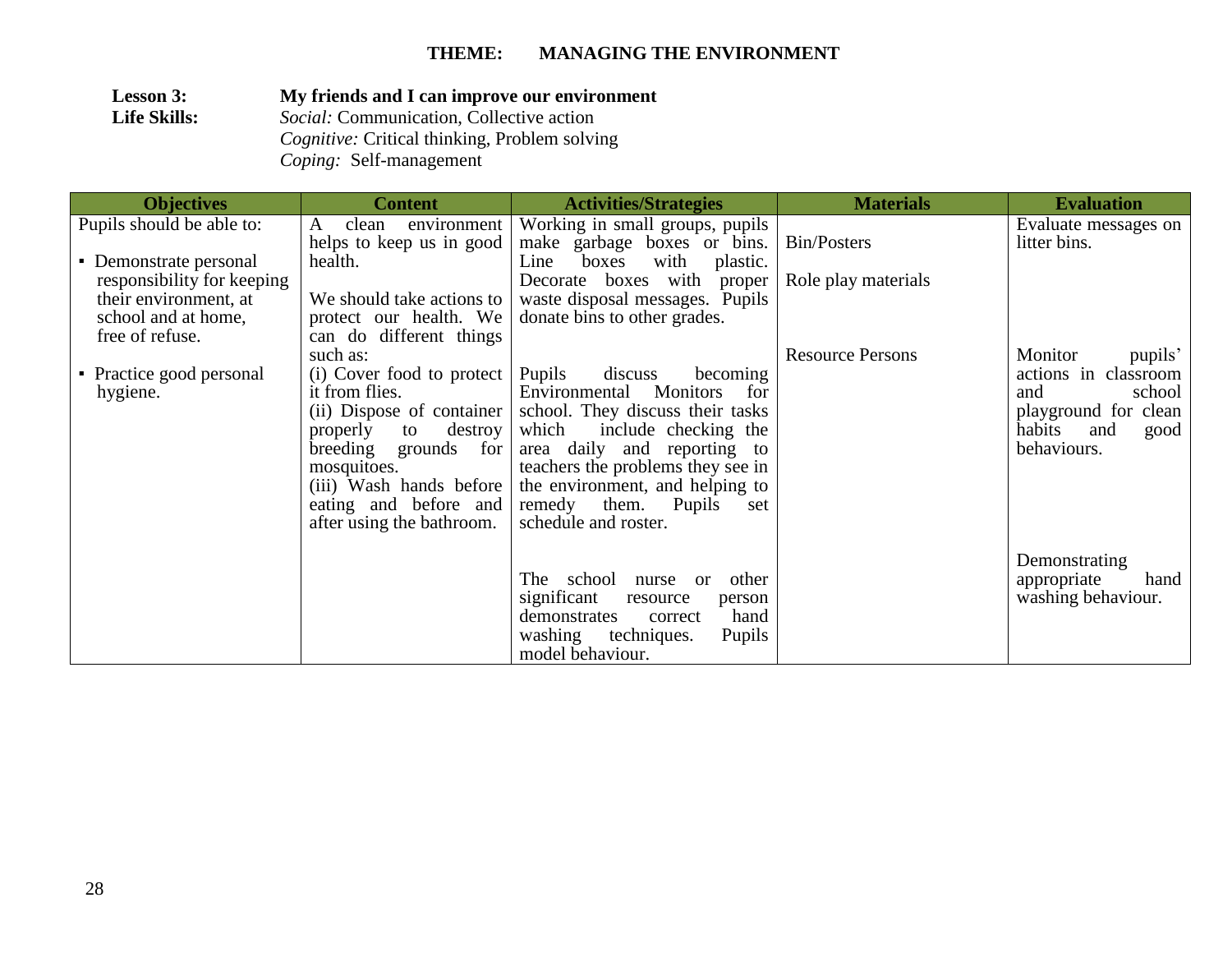**Lesson 3: My friends and I can improve our environment**<br>**Life Skills:** Social: Communication, Collective action **Life Skills:** *Social:* Communication, Collective action *Cognitive:* Critical thinking, Problem solving *Coping:* Self-management

| <b>Objectives</b>                                                                                                       | <b>Content</b>                                                                                                                                                                                 | <b>Activities/Strategies</b>                                                                                                                                                                                                                                                                                                                   | <b>Materials</b>        | <b>Evaluation</b>                                                                                                           |
|-------------------------------------------------------------------------------------------------------------------------|------------------------------------------------------------------------------------------------------------------------------------------------------------------------------------------------|------------------------------------------------------------------------------------------------------------------------------------------------------------------------------------------------------------------------------------------------------------------------------------------------------------------------------------------------|-------------------------|-----------------------------------------------------------------------------------------------------------------------------|
| Pupils should be able to:                                                                                               | clean<br>environment<br>A<br>helps to keep us in good                                                                                                                                          | Working in small groups, pupils<br>make garbage boxes or bins.                                                                                                                                                                                                                                                                                 | Bin/Posters             | Evaluate messages on<br>litter bins.                                                                                        |
| • Demonstrate personal<br>responsibility for keeping<br>their environment, at<br>school and at home,<br>free of refuse. | health.<br>We should take actions to<br>protect our health. We<br>can do different things                                                                                                      | with<br>boxes<br>Line<br>plastic.<br>Decorate boxes with proper<br>waste disposal messages. Pupils<br>donate bins to other grades.                                                                                                                                                                                                             | Role play materials     |                                                                                                                             |
| • Practice good personal<br>hygiene.                                                                                    | such as:<br>(i) Cover food to protect   Pupils<br>it from flies.<br>(ii) Dispose of container<br>properly<br>to destroy<br>breeding<br>grounds for<br>mosquitoes.<br>after using the bathroom. | discuss<br>becoming<br>Environmental<br><b>Monitors</b><br>for<br>school. They discuss their tasks<br>which<br>include checking the<br>area daily and reporting to<br>teachers the problems they see in<br>(iii) Wash hands before the environment, and helping to<br>eating and before and remedy them. Pupils<br>set<br>schedule and roster. | <b>Resource Persons</b> | Monitor<br>pupils'<br>actions in classroom<br>school<br>and<br>playground for clean<br>habits<br>and<br>good<br>behaviours. |
|                                                                                                                         |                                                                                                                                                                                                | The school nurse or<br>other<br>significant<br>resource<br>person<br>hand<br>demonstrates<br>correct<br><b>Pupils</b><br>washing<br>techniques.<br>model behaviour.                                                                                                                                                                            |                         | Demonstrating<br>appropriate<br>hand<br>washing behaviour.                                                                  |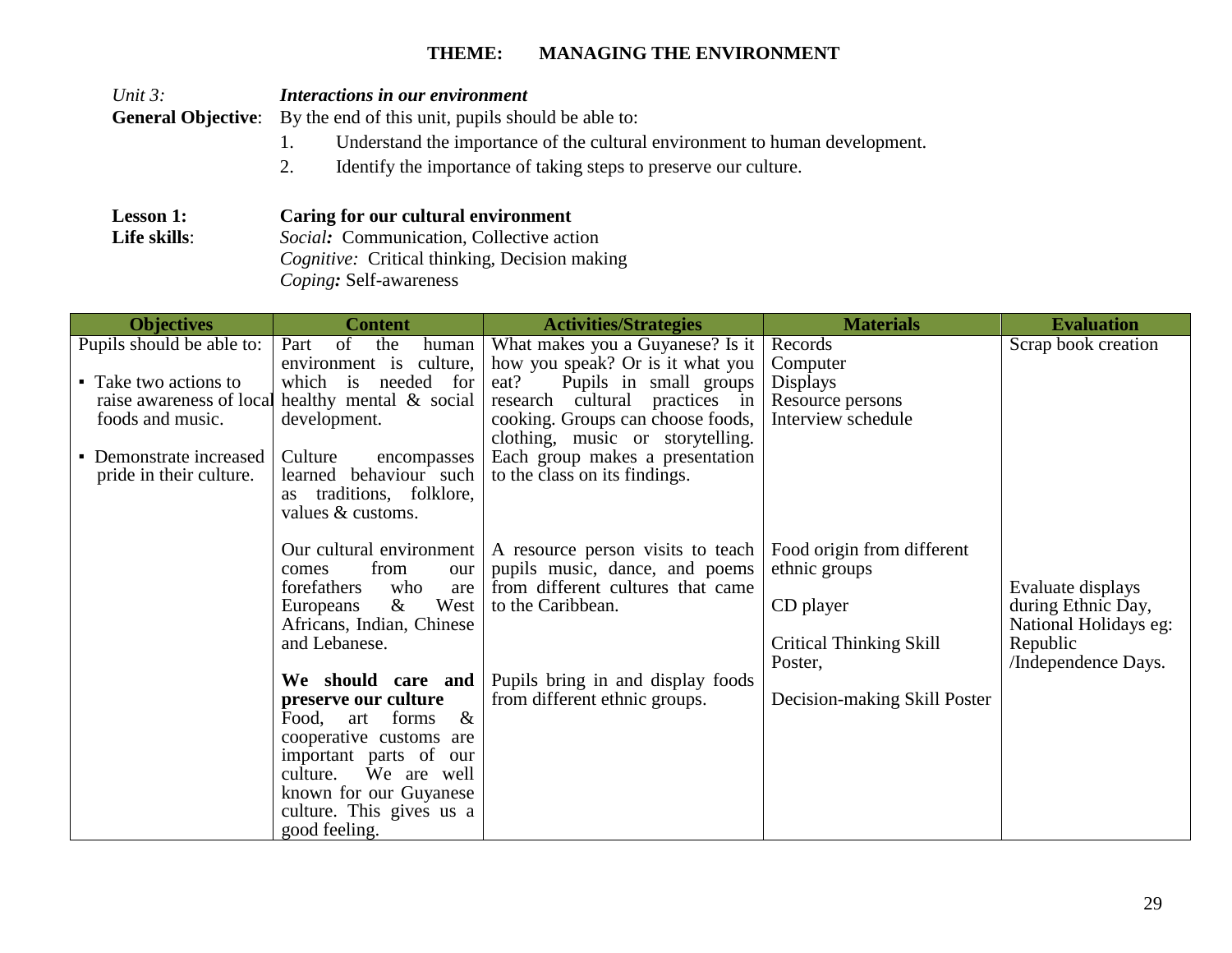1. Understand the importance of the cultural environment to human development.

*Unit 3: Interactions in our environment*

**General Objective:** By the end of this unit, pupils should be able to:

|                                                                                                                              | 2.<br>Identify the importance of taking steps to preserve our culture.                                                                                                                                                                                                                                                                                                                                                                                                                                                                                                                                                                                             |                                                                                                                                                                                                                                                                                                                                                                                                                                                                                              |                                                                                                                                                                                                                           |                                                                                                                            |
|------------------------------------------------------------------------------------------------------------------------------|--------------------------------------------------------------------------------------------------------------------------------------------------------------------------------------------------------------------------------------------------------------------------------------------------------------------------------------------------------------------------------------------------------------------------------------------------------------------------------------------------------------------------------------------------------------------------------------------------------------------------------------------------------------------|----------------------------------------------------------------------------------------------------------------------------------------------------------------------------------------------------------------------------------------------------------------------------------------------------------------------------------------------------------------------------------------------------------------------------------------------------------------------------------------------|---------------------------------------------------------------------------------------------------------------------------------------------------------------------------------------------------------------------------|----------------------------------------------------------------------------------------------------------------------------|
| <b>Lesson 1:</b><br>Life skills:                                                                                             | Caring for our cultural environment<br>Social: Communication, Collective action<br>Cognitive: Critical thinking, Decision making<br>Coping: Self-awareness                                                                                                                                                                                                                                                                                                                                                                                                                                                                                                         |                                                                                                                                                                                                                                                                                                                                                                                                                                                                                              |                                                                                                                                                                                                                           |                                                                                                                            |
| <b>Objectives</b>                                                                                                            | <b>Content</b>                                                                                                                                                                                                                                                                                                                                                                                                                                                                                                                                                                                                                                                     | <b>Activities/Strategies</b>                                                                                                                                                                                                                                                                                                                                                                                                                                                                 | <b>Materials</b>                                                                                                                                                                                                          | <b>Evaluation</b>                                                                                                          |
| Pupils should be able to:<br>• Take two actions to<br>foods and music.<br>• Demonstrate increased<br>pride in their culture. | $\sigma$ f<br>Part<br>the<br>human<br>environment is culture,<br>which is needed for<br>raise awareness of local healthy mental & social<br>development.<br>Culture<br>encompasses<br>learned behaviour such<br>traditions, folklore,<br>as<br>values & customs.<br>Our cultural environment<br>from<br>comes<br>our<br>forefathers<br>who<br>are<br>West<br>$\&$<br>Europeans<br>Africans, Indian, Chinese<br>and Lebanese.<br>We should care and<br>preserve our culture<br>$\&$<br>forms<br>Food,<br>art<br>cooperative customs are<br>important parts of our<br>culture.<br>We are well<br>known for our Guyanese<br>culture. This gives us a<br>good feeling. | What makes you a Guyanese? Is it<br>how you speak? Or is it what you<br>Pupils in small groups<br>eat?<br>research cultural practices in<br>cooking. Groups can choose foods,<br>clothing, music or storytelling.<br>Each group makes a presentation<br>to the class on its findings.<br>A resource person visits to teach<br>pupils music, dance, and poems<br>from different cultures that came<br>to the Caribbean.<br>Pupils bring in and display foods<br>from different ethnic groups. | Records<br>Computer<br><b>Displays</b><br>Resource persons<br>Interview schedule<br>Food origin from different<br>ethnic groups<br>CD player<br><b>Critical Thinking Skill</b><br>Poster,<br>Decision-making Skill Poster | Scrap book creation<br>Evaluate displays<br>during Ethnic Day,<br>National Holidays eg:<br>Republic<br>/Independence Days. |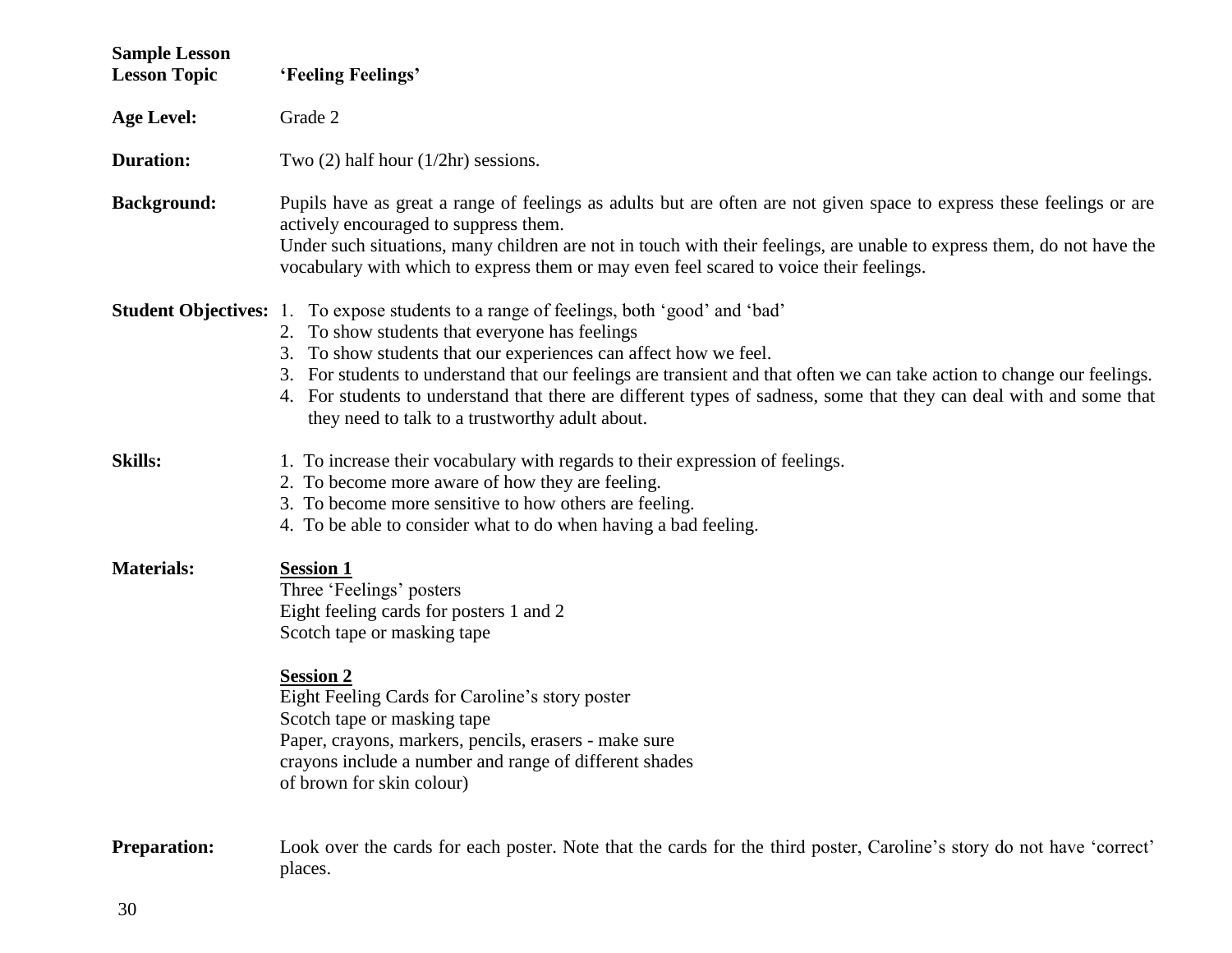| <b>Sample Lesson</b><br><b>Lesson Topic</b> | 'Feeling Feelings'                                                                                                                                                                                                                                                                                                                                                                                                                                                                                                        |  |  |
|---------------------------------------------|---------------------------------------------------------------------------------------------------------------------------------------------------------------------------------------------------------------------------------------------------------------------------------------------------------------------------------------------------------------------------------------------------------------------------------------------------------------------------------------------------------------------------|--|--|
| <b>Age Level:</b>                           | Grade 2                                                                                                                                                                                                                                                                                                                                                                                                                                                                                                                   |  |  |
| <b>Duration:</b>                            | Two $(2)$ half hour $(1/2hr)$ sessions.                                                                                                                                                                                                                                                                                                                                                                                                                                                                                   |  |  |
| <b>Background:</b>                          | Pupils have as great a range of feelings as adults but are often are not given space to express these feelings or are<br>actively encouraged to suppress them.<br>Under such situations, many children are not in touch with their feelings, are unable to express them, do not have the<br>vocabulary with which to express them or may even feel scared to voice their feelings.                                                                                                                                        |  |  |
|                                             | <b>Student Objectives:</b> 1. To expose students to a range of feelings, both 'good' and 'bad'<br>2. To show students that everyone has feelings<br>3. To show students that our experiences can affect how we feel.<br>3. For students to understand that our feelings are transient and that often we can take action to change our feelings.<br>4. For students to understand that there are different types of sadness, some that they can deal with and some that<br>they need to talk to a trustworthy adult about. |  |  |
| <b>Skills:</b>                              | 1. To increase their vocabulary with regards to their expression of feelings.<br>2. To become more aware of how they are feeling.<br>3. To become more sensitive to how others are feeling.<br>4. To be able to consider what to do when having a bad feeling.                                                                                                                                                                                                                                                            |  |  |
| <b>Materials:</b>                           | <b>Session 1</b><br>Three 'Feelings' posters<br>Eight feeling cards for posters 1 and 2<br>Scotch tape or masking tape<br><b>Session 2</b><br>Eight Feeling Cards for Caroline's story poster<br>Scotch tape or masking tape<br>Paper, crayons, markers, pencils, erasers - make sure<br>crayons include a number and range of different shades<br>of brown for skin colour)                                                                                                                                              |  |  |
| <b>Preparation:</b>                         | Look over the cards for each poster. Note that the cards for the third poster, Caroline's story do not have 'correct'<br>places.                                                                                                                                                                                                                                                                                                                                                                                          |  |  |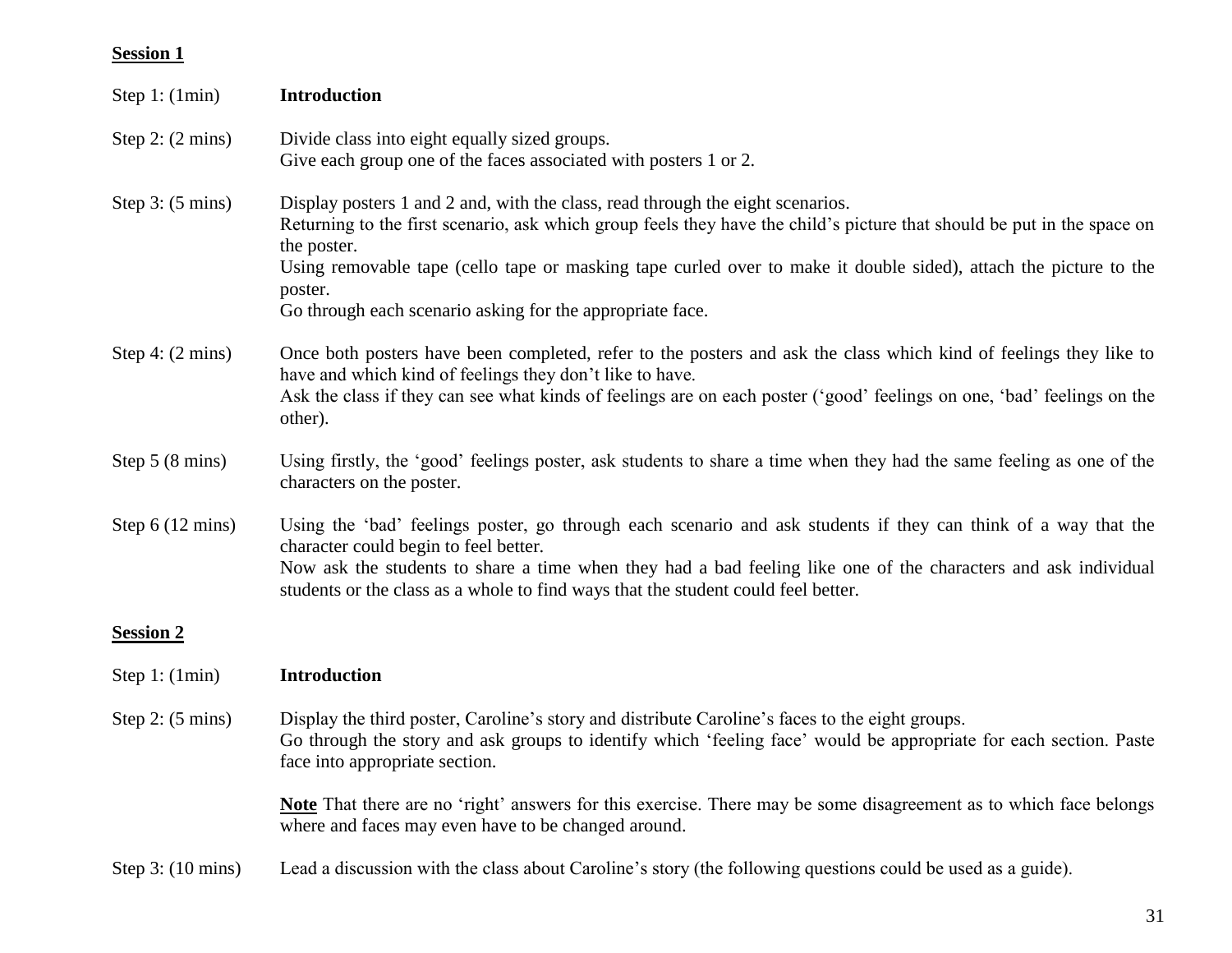## **Session 1**

| Step 1: $(1min)$            | <b>Introduction</b>                                                                                                                                                                                                                                                                                                                                                                                                  |
|-----------------------------|----------------------------------------------------------------------------------------------------------------------------------------------------------------------------------------------------------------------------------------------------------------------------------------------------------------------------------------------------------------------------------------------------------------------|
| Step 2: $(2 \text{ mins})$  | Divide class into eight equally sized groups.<br>Give each group one of the faces associated with posters 1 or 2.                                                                                                                                                                                                                                                                                                    |
| Step $3: (5 \text{ mins})$  | Display posters 1 and 2 and, with the class, read through the eight scenarios.<br>Returning to the first scenario, ask which group feels they have the child's picture that should be put in the space on<br>the poster.<br>Using removable tape (cello tape or masking tape curled over to make it double sided), attach the picture to the<br>poster.<br>Go through each scenario asking for the appropriate face. |
| Step 4: $(2 \text{ mins})$  | Once both posters have been completed, refer to the posters and ask the class which kind of feelings they like to<br>have and which kind of feelings they don't like to have.<br>Ask the class if they can see what kinds of feelings are on each poster ('good' feelings on one, 'bad' feelings on the<br>other).                                                                                                   |
| Step 5 (8 mins)             | Using firstly, the 'good' feelings poster, ask students to share a time when they had the same feeling as one of the<br>characters on the poster.                                                                                                                                                                                                                                                                    |
| Step $6(12 \text{ mins})$   | Using the 'bad' feelings poster, go through each scenario and ask students if they can think of a way that the<br>character could begin to feel better.<br>Now ask the students to share a time when they had a bad feeling like one of the characters and ask individual<br>students or the class as a whole to find ways that the student could feel better.                                                       |
| <b>Session 2</b>            |                                                                                                                                                                                                                                                                                                                                                                                                                      |
| Step 1: $(1min)$            | <b>Introduction</b>                                                                                                                                                                                                                                                                                                                                                                                                  |
| Step 2: (5 mins)            | Display the third poster, Caroline's story and distribute Caroline's faces to the eight groups.<br>Go through the story and ask groups to identify which 'feeling face' would be appropriate for each section. Paste<br>face into appropriate section.                                                                                                                                                               |
|                             | Note That there are no 'right' answers for this exercise. There may be some disagreement as to which face belongs<br>where and faces may even have to be changed around.                                                                                                                                                                                                                                             |
| Step $3: (10 \text{ mins})$ | Lead a discussion with the class about Caroline's story (the following questions could be used as a guide).                                                                                                                                                                                                                                                                                                          |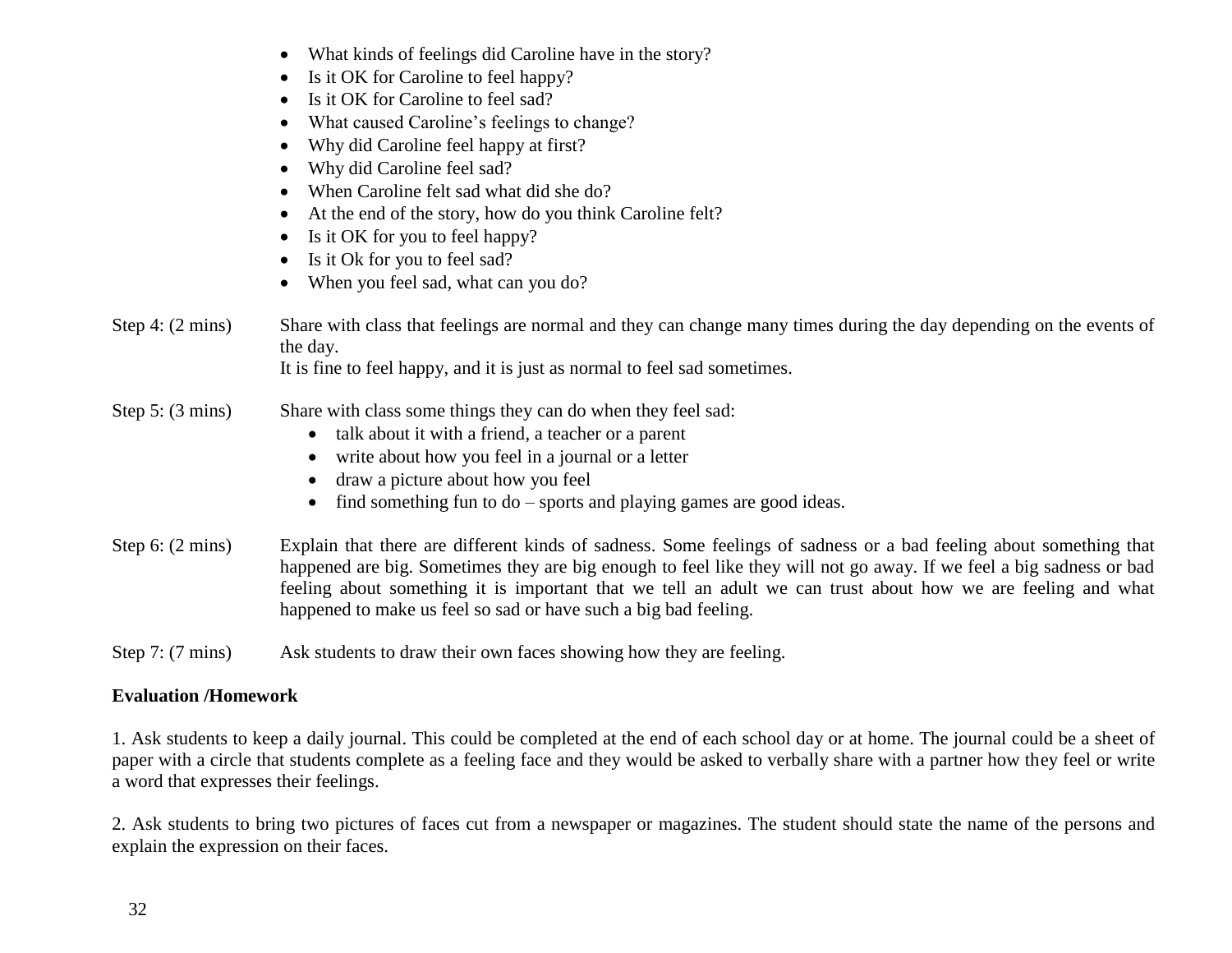|  |  |  |  |  | What kinds of feelings did Caroline have in the story? |
|--|--|--|--|--|--------------------------------------------------------|
|--|--|--|--|--|--------------------------------------------------------|

- Is it OK for Caroline to feel happy?
- Is it OK for Caroline to feel sad?
- What caused Caroline's feelings to change?
- Why did Caroline feel happy at first?
- Why did Caroline feel sad?
- When Caroline felt sad what did she do?
- At the end of the story, how do you think Caroline felt?
- Is it OK for you to feel happy?
- Is it Ok for you to feel sad?
- When you feel sad, what can you do?
- Step 4: (2 mins) Share with class that feelings are normal and they can change many times during the day depending on the events of the day.

It is fine to feel happy, and it is just as normal to feel sad sometimes.

- Step 5: (3 mins) Share with class some things they can do when they feel sad:
	- talk about it with a friend, a teacher or a parent
	- write about how you feel in a journal or a letter
	- draw a picture about how you feel
	- $\bullet$  find something fun to do sports and playing games are good ideas.
- Step 6: (2 mins) Explain that there are different kinds of sadness. Some feelings of sadness or a bad feeling about something that happened are big. Sometimes they are big enough to feel like they will not go away. If we feel a big sadness or bad feeling about something it is important that we tell an adult we can trust about how we are feeling and what happened to make us feel so sad or have such a big bad feeling.
- Step 7: (7 mins) Ask students to draw their own faces showing how they are feeling.

### **Evaluation /Homework**

1. Ask students to keep a daily journal. This could be completed at the end of each school day or at home. The journal could be a sheet of paper with a circle that students complete as a feeling face and they would be asked to verbally share with a partner how they feel or write a word that expresses their feelings.

2. Ask students to bring two pictures of faces cut from a newspaper or magazines. The student should state the name of the persons and explain the expression on their faces.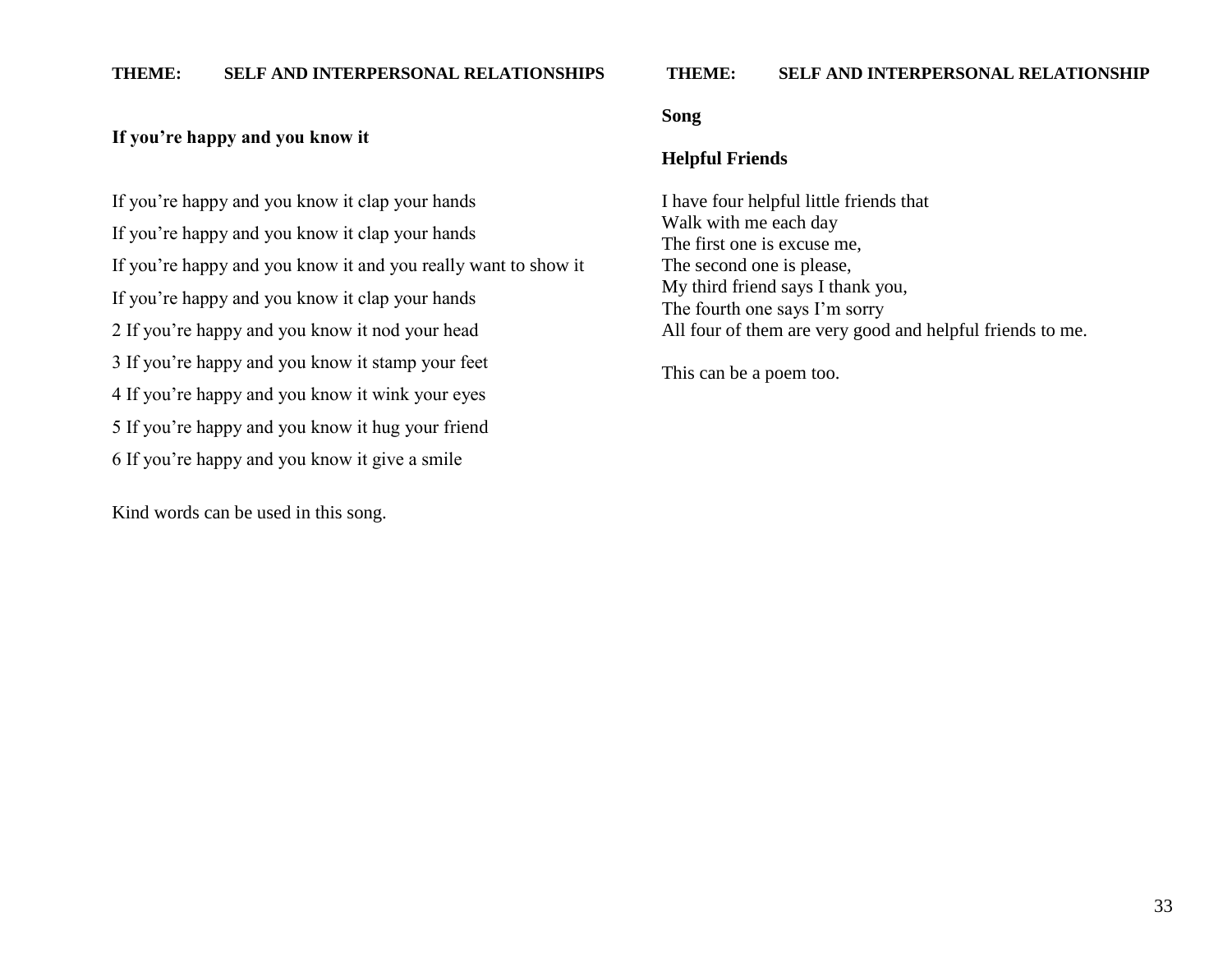#### **THEME: SELF AND INTERPERSONAL RELATIONSHIP**

### **If you"re happy and you know it**

If you"re happy and you know it clap your hands If you"re happy and you know it clap your hands If you"re happy and you know it and you really want to show it If you"re happy and you know it clap your hands 2 If you"re happy and you know it nod your head 3 If you"re happy and you know it stamp your feet 4 If you"re happy and you know it wink your eyes 5 If you"re happy and you know it hug your friend 6 If you"re happy and you know it give a smile

Kind words can be used in this song.

#### **Song**

#### **Helpful Friends**

I have four helpful little friends that Walk with me each day The first one is excuse me, The second one is please, My third friend says I thank you, The fourth one says I'm sorry All four of them are very good and helpful friends to me.

This can be a poem too.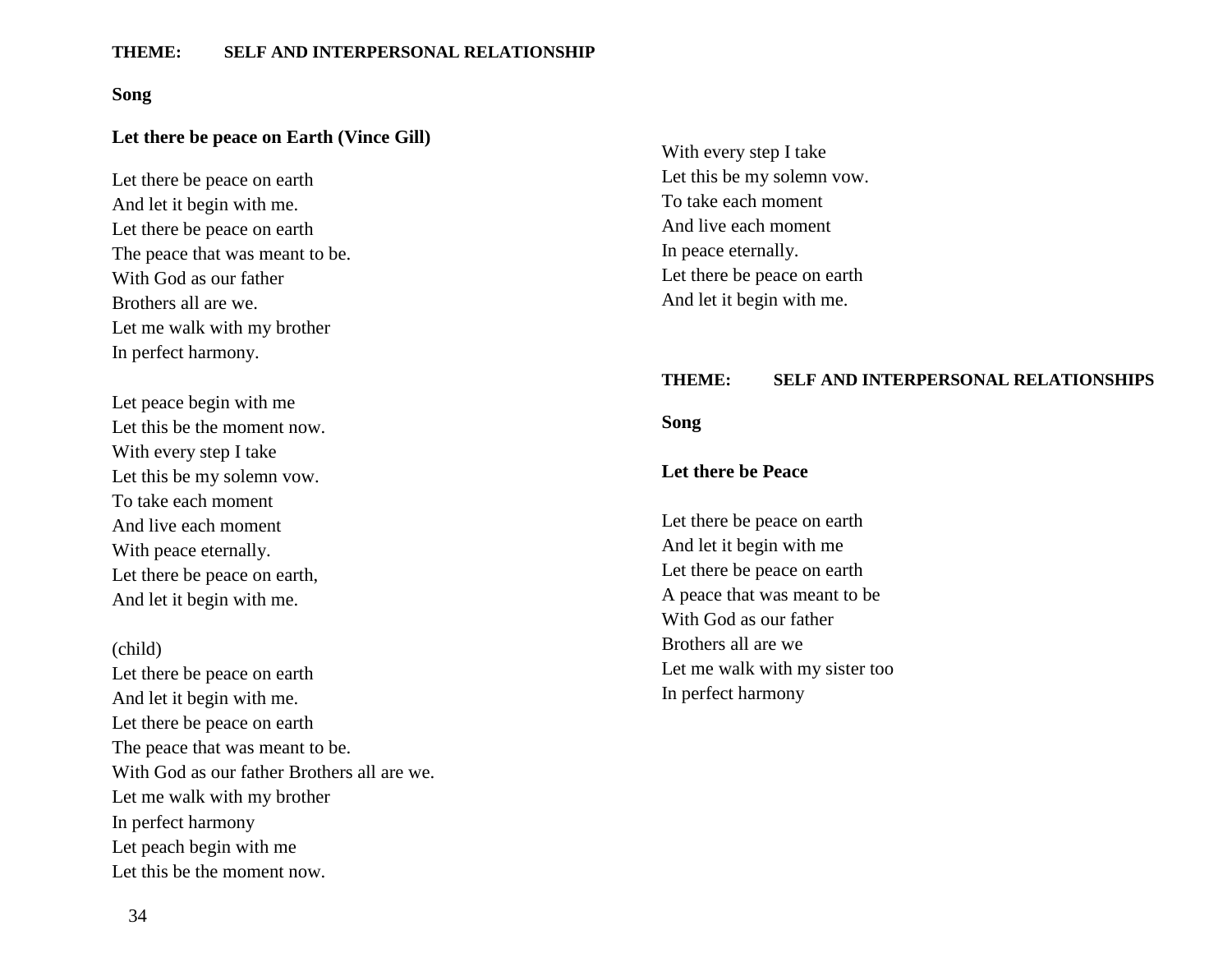#### **Song**

### **Let there be peace on Earth (Vince Gill)**

Let there be peace on earth And let it begin with me. Let there be peace on earth The peace that was meant to be. With God as our father Brothers all are we. Let me walk with my brother In perfect harmony.

Let peace begin with me Let this be the moment now. With every step I take Let this be my solemn vow. To take each moment And live each moment With peace eternally. Let there be peace on earth, And let it begin with me.

#### (child)

Let there be peace on earth And let it begin with me. Let there be peace on earth The peace that was meant to be. With God as our father Brothers all are we. Let me walk with my brother In perfect harmony Let peach begin with me Let this be the moment now.

With every step I take Let this be my solemn vow. To take each moment And live each moment In peace eternally. Let there be peace on earth And let it begin with me.

#### **THEME: SELF AND INTERPERSONAL RELATIONSHIPS**

**Song**

#### **Let there be Peace**

Let there be peace on earth And let it begin with me Let there be peace on earth A peace that was meant to be With God as our father Brothers all are we Let me walk with my sister too In perfect harmony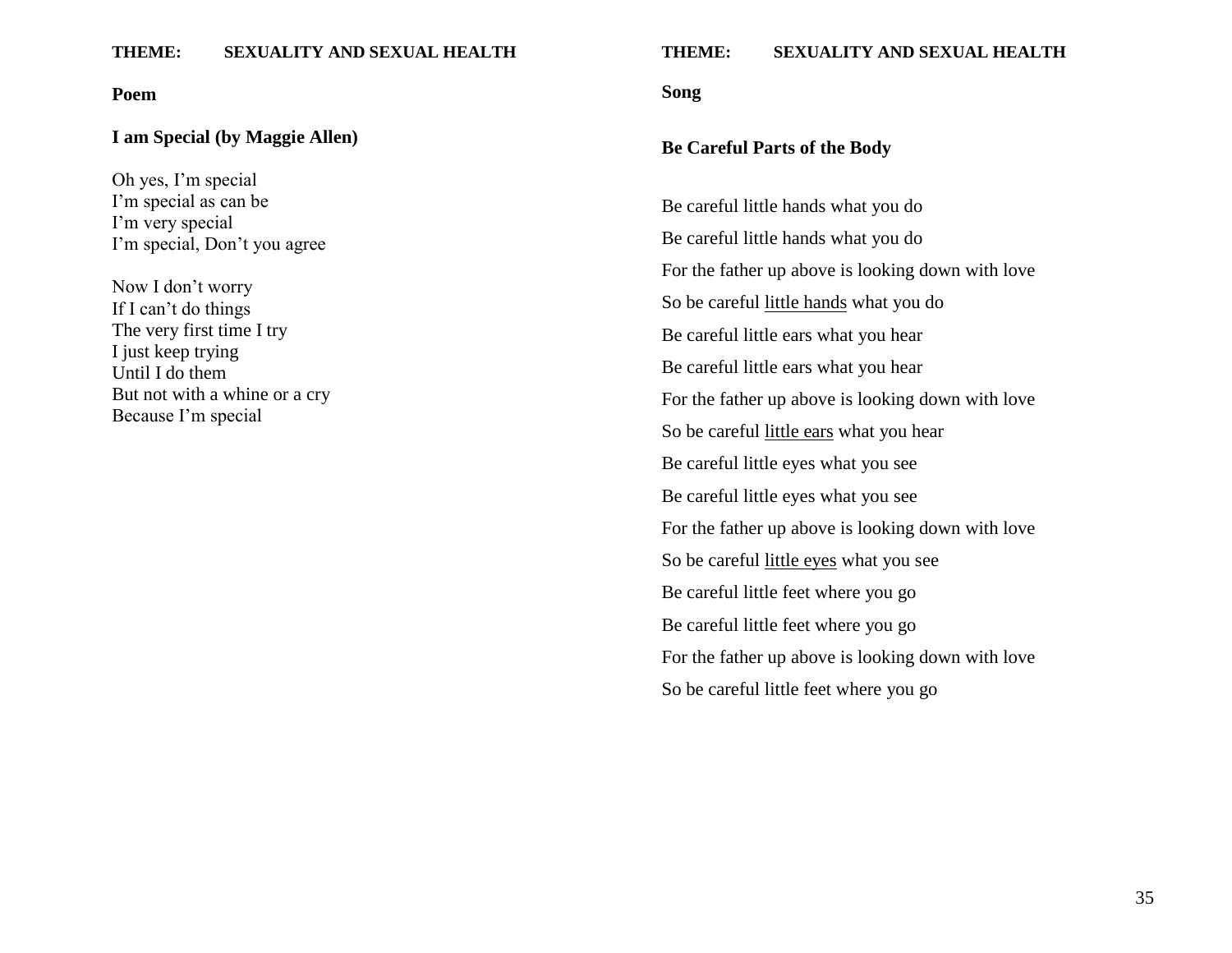#### **Poem**

#### **I am Special (by Maggie Allen)**

Oh yes, I"m special I'm special as can be I'm very special I'm special, Don't you agree

Now I don"t worry If I can't do things The very first time I try I just keep trying Until I do them But not with a whine or a cry Because I"m special

#### **THEME: SEXUALITY AND SEXUAL HEALTH**

**Song**

#### **Be Careful Parts of the Body**

Be careful little hands what you do Be careful little hands what you do For the father up above is looking down with love So be careful little hands what you do Be careful little ears what you hear Be careful little ears what you hear For the father up above is looking down with love So be careful little ears what you hear Be careful little eyes what you see Be careful little eyes what you see For the father up above is looking down with love So be careful little eyes what you see Be careful little feet where you go Be careful little feet where you go For the father up above is looking down with love So be careful little feet where you go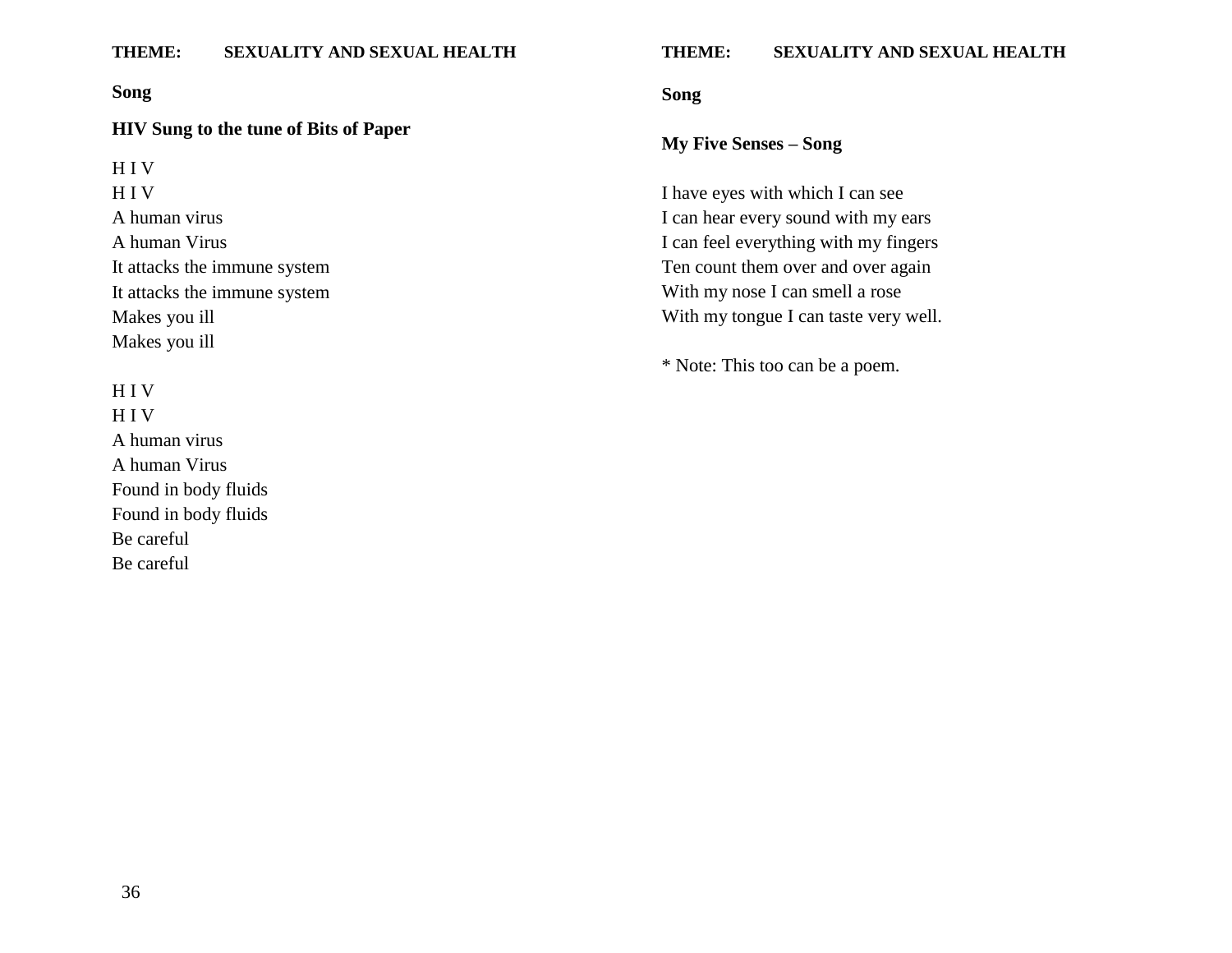#### **Song**

#### **HIV Sung to the tune of Bits of Paper**

H I V H I V A human virus A human Virus It attacks the immune system It attacks the immune system Makes you ill Makes you ill

### H I V

H I V A human virus A human Virus Found in body fluids Found in body fluids Be careful Be careful

#### **THEME: SEXUALITY AND SEXUAL HEALTH**

**Song**

### **My Five Senses – Song**

I have eyes with which I can see I can hear every sound with my ears I can feel everything with my fingers Ten count them over and over again With my nose I can smell a rose With my tongue I can taste very well.

\* Note: This too can be a poem.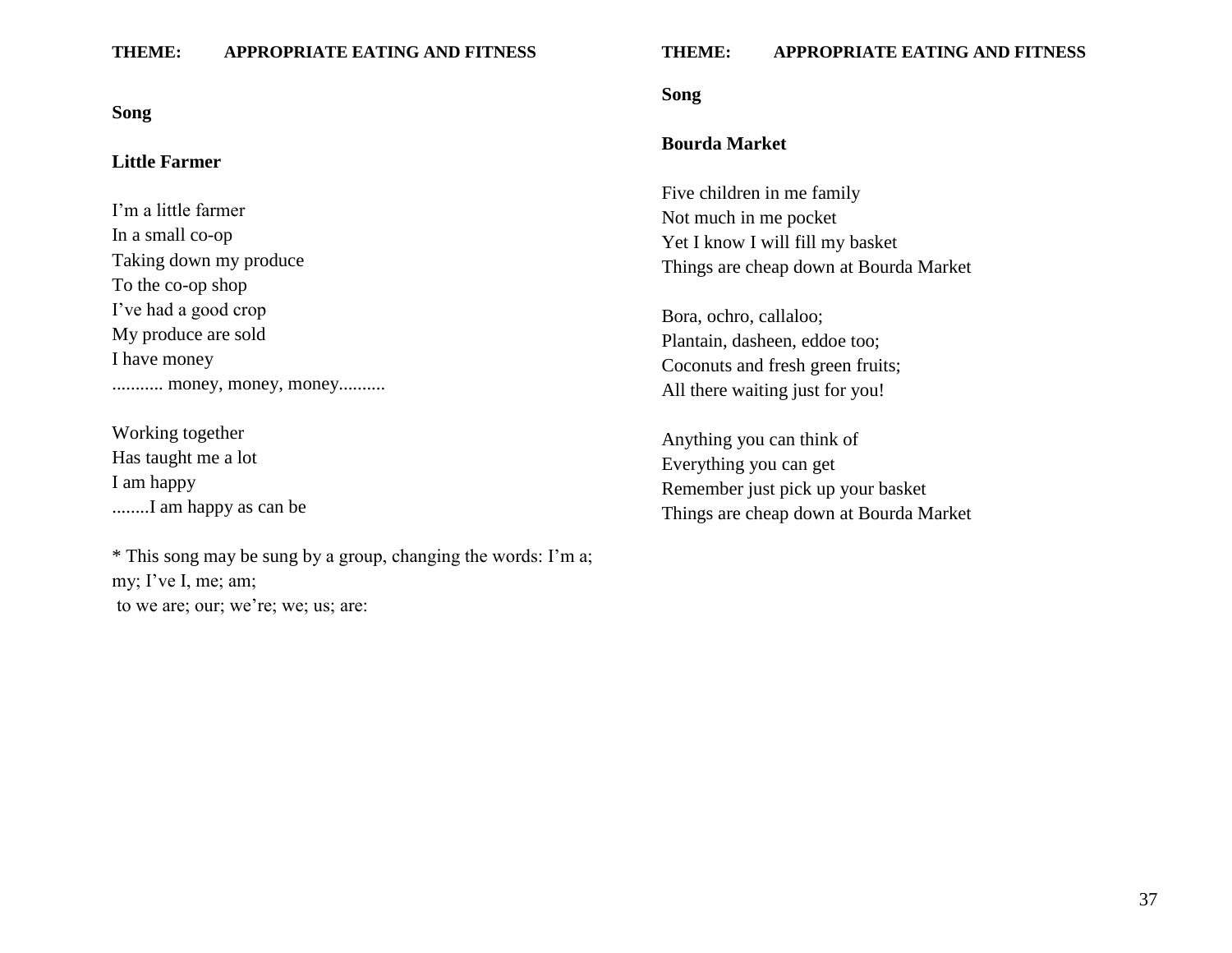#### **Song**

#### **Little Farmer**

I"m a little farmer In a small co-op Taking down my produce To the co-op shop I"ve had a good crop My produce are sold I have money ............ money, money, money...........

Working together Has taught me a lot I am happy ........I am happy as can be

\* This song may be sung by a group, changing the words: I"m a; my; I've I, me; am; to we are; our; we're; we; us; are:

#### **THEME: APPROPRIATE EATING AND FITNESS**

#### **Song**

### **Bourda Market**

Five children in me family Not much in me pocket Yet I know I will fill my basket Things are cheap down at Bourda Market

Bora, ochro, callaloo; Plantain, dasheen, eddoe too; Coconuts and fresh green fruits; All there waiting just for you!

Anything you can think of Everything you can get Remember just pick up your basket Things are cheap down at Bourda Market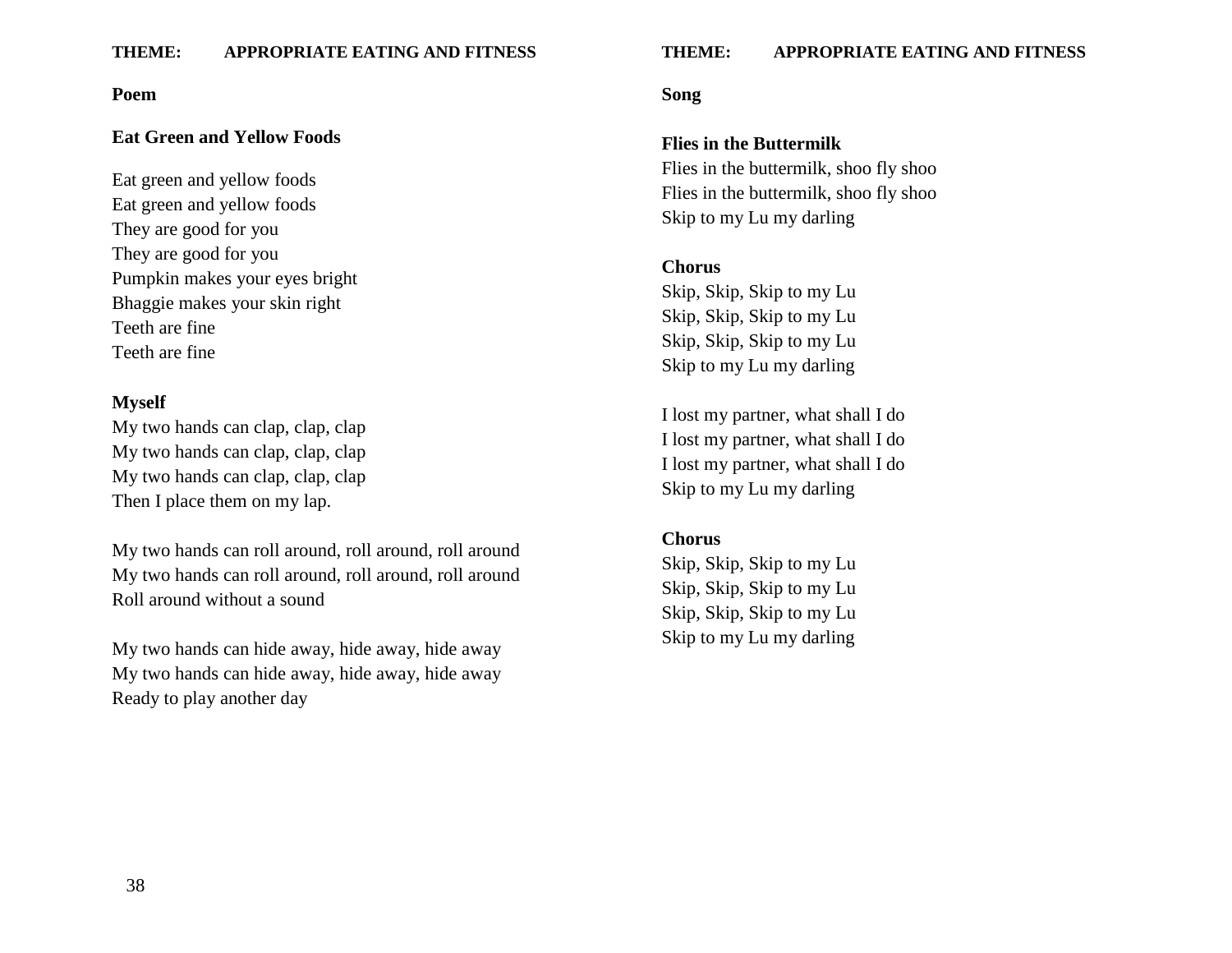#### **Poem**

### **Eat Green and Yellow Foods**

Eat green and yellow foods Eat green and yellow foods They are good for you They are good for you Pumpkin makes your eyes bright Bhaggie makes your skin right Teeth are fine Teeth are fine

#### **Myself**

My two hands can clap, clap, clap My two hands can clap, clap, clap My two hands can clap, clap, clap Then I place them on my lap.

My two hands can roll around, roll around, roll around My two hands can roll around, roll around, roll around Roll around without a sound

My two hands can hide away, hide away, hide away My two hands can hide away, hide away, hide away Ready to play another day

#### **THEME: APPROPRIATE EATING AND FITNESS**

#### **Song**

#### **Flies in the Buttermilk**

Flies in the buttermilk, shoo fly shoo Flies in the buttermilk, shoo fly shoo Skip to my Lu my darling

### **Chorus**

Skip, Skip, Skip to my Lu Skip, Skip, Skip to my Lu Skip, Skip, Skip to my Lu Skip to my Lu my darling

I lost my partner, what shall I do I lost my partner, what shall I do I lost my partner, what shall I do Skip to my Lu my darling

#### **Chorus**

Skip, Skip, Skip to my Lu Skip, Skip, Skip to my Lu Skip, Skip, Skip to my Lu Skip to my Lu my darling